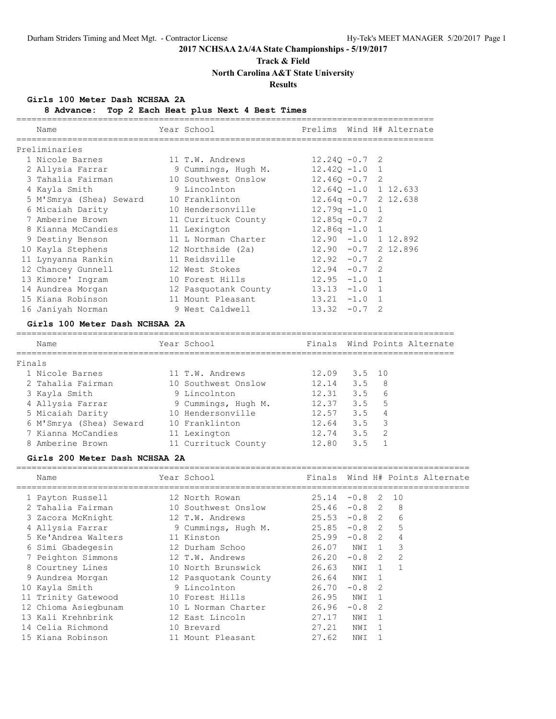### **Track & Field**

**North Carolina A&T State University**

#### **Results**

#### **Girls 100 Meter Dash NCHSAA 2A**

| 8 Advance:                     | Top 2 Each Heat plus Next 4 Best Times |                |        |                |                                 |
|--------------------------------|----------------------------------------|----------------|--------|----------------|---------------------------------|
| Name                           | Year School                            |                |        |                | Prelims Wind H# Alternate       |
| Preliminaries                  |                                        |                |        |                |                                 |
| 1 Nicole Barnes                | 11 T.W. Andrews                        | $12.24Q - 0.7$ |        | 2              |                                 |
| 2 Allysia Farrar               | 9 Cummings, Hugh M.                    | $12.42Q - 1.0$ |        | $\mathbf 1$    |                                 |
| 3 Tahalia Fairman              | 10 Southwest Onslow                    | $12.46Q - 0.7$ |        | 2              |                                 |
| 4 Kayla Smith                  | 9 Lincolnton                           | $12.64Q - 1.0$ |        |                | 1 12.633                        |
| 5 M'Smrya (Shea) Seward        | 10 Franklinton                         | $12.64q -0.7$  |        |                | 2 12.638                        |
| 6 Micaiah Darity               | 10 Hendersonville                      | $12.79q - 1.0$ |        | $\mathbf{1}$   |                                 |
| 7 Amberine Brown               | 11 Currituck County                    | $12.85q -0.7$  |        | 2              |                                 |
| 8 Kianna McCandies             | 11 Lexington                           | $12.86q - 1.0$ |        | $\mathbf{1}$   |                                 |
| 9 Destiny Benson               | 11 L Norman Charter                    | $12.90 - 1.0$  |        |                | 1 12.892                        |
| 10 Kayla Stephens              | 12 Northside (2a)                      | $12.90 - 0.7$  |        |                | 2 12.896                        |
| 11 Lynyanna Rankin             | 11 Reidsville                          | $12.92 - 0.7$  |        | 2              |                                 |
| 12 Chancey Gunnell             | 12 West Stokes                         | $12.94 - 0.7$  |        | $\mathfrak{D}$ |                                 |
| 13 Kimore' Ingram              | 10 Forest Hills                        | $12.95 - 1.0$  |        | $\mathbf{1}$   |                                 |
| 14 Aundrea Morgan              | 12 Pasquotank County                   | $13.13 - 1.0$  |        | $\mathbf{1}$   |                                 |
| 15 Kiana Robinson              | 11 Mount Pleasant                      | $13.21 -1.0$   |        | 1              |                                 |
| 16 Janiyah Norman              | 9 West Caldwell                        | $13.32 -0.7$   |        | 2              |                                 |
| Girls 100 Meter Dash NCHSAA 2A |                                        |                |        |                |                                 |
| Name                           | Year School                            |                |        |                | Finals Wind Points Alternate    |
| Finals                         |                                        |                |        |                |                                 |
| 1 Nicole Barnes                | 11 T.W. Andrews                        | 12.09          | 3.5    | 10             |                                 |
| 2 Tahalia Fairman              | 10 Southwest Onslow                    | 12.14          | 3.5    | - 8            |                                 |
| 3 Kayla Smith                  | 9 Lincolnton                           | 12.31          | 3.5    | - 6            |                                 |
| 4 Allysia Farrar               | 9 Cummings, Hugh M.                    | 12.37          | 3.5    | -5             |                                 |
| 5 Micaiah Darity               | 10 Hendersonville                      | 12.57          | 3.5    | 4              |                                 |
| 6 M'Smrya (Shea) Seward        | 10 Franklinton                         | 12.64          | 3.5    | 3              |                                 |
| 7 Kianna McCandies             | 11 Lexington                           | 12.74          | 3.5    |                | 2                               |
| 8 Amberine Brown               | 11 Currituck County                    | 12.80          | 3.5    |                | $\mathbf{1}$                    |
| Girls 200 Meter Dash NCHSAA 2A |                                        |                |        |                |                                 |
| Name                           | Year School                            |                |        |                | Finals Wind H# Points Alternate |
| 1 Payton Russell               | 12 North Rowan                         | $25.14 -0.8$   |        | 2              | 10                              |
| 2 Tahalia Fairman              | 10 Southwest Onslow                    | $25.46 -0.8$ 2 |        |                | -8                              |
| 3 Zacora McKnight              | 12 T.W. Andrews                        | $25.53 -0.8$ 2 |        |                | 6                               |
| 4 Allysia Farrar               | 9 Cummings, Hugh M.                    | 25.85          | $-0.8$ | $\mathcal{L}$  | 5                               |

 5 Ke'Andrea Walters 11 Kinston 25.99 -0.8 2 4 6 Simi Gbadegesin 12 Durham Schoo 26.07 NWI 1 3 7 Peighton Simmons 12 T.W. Andrews 26.20 -0.8 2 2 8 Courtney Lines 10 North Brunswick 26.63 NWI 1 1 9 Aundrea Morgan 12 Pasquotank County 26.64 NWI 1 10 Kayla Smith 9 Lincolnton 26.70 -0.8 2 11 Trinity Gatewood 10 Forest Hills 26.95 NWI 1 12 Chioma Asiegbunam 10 L Norman Charter 26.96 -0.8 2 13 Kali Krehnbrink 12 East Lincoln 27.17 NWI 1 14 Celia Richmond 10 Brevard 27.21 NWI 1 15 Kiana Robinson 11 Mount Pleasant 27.62 NWI 1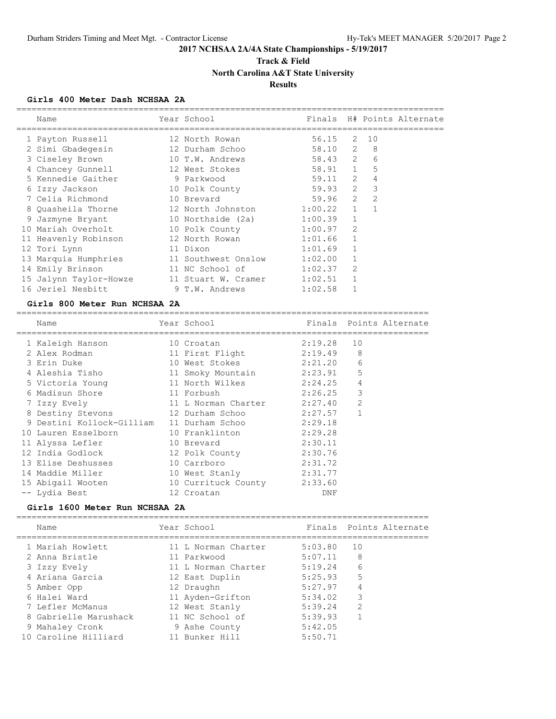## **Track & Field North Carolina A&T State University**

### **Results**

### **Girls 400 Meter Dash NCHSAA 2A**

| Name                   | Year School         |         |                |                | Finals H# Points Alternate |
|------------------------|---------------------|---------|----------------|----------------|----------------------------|
| 1 Payton Russell       | 12 North Rowan      | 56.15   | 2              | 10             |                            |
| 2 Simi Gbadegesin      | 12 Durham Schoo     | 58.10 2 |                | 8              |                            |
| 3 Ciseley Brown        | 10 T.W. Andrews     | 58.43 2 |                | 6              |                            |
| 4 Chancey Gunnell      | 12 West Stokes      | 58.91 1 |                | 5              |                            |
| 5 Kennedie Gaither     | 9 Parkwood          | 59.11   | $\overline{2}$ | 4              |                            |
| 6 Izzy Jackson         | 10 Polk County      | 59.93   | $\overline{2}$ | 3              |                            |
| 7 Celia Richmond       | 10 Brevard          | 59.96   | 2              | $\overline{2}$ |                            |
| 8 Quasheila Thorne     | 12 North Johnston   | 1:00.22 | $\mathbf{1}$   |                |                            |
| 9 Jazmyne Bryant       | 10 Northside (2a)   | 1:00.39 | $\mathbf{1}$   |                |                            |
| 10 Mariah Overholt     | 10 Polk County      | 1:00.97 | $\overline{2}$ |                |                            |
| 11 Heavenly Robinson   | 12 North Rowan      | 1:01.66 |                |                |                            |
| 12 Tori Lynn           | 11 Dixon            | 1:01.69 |                |                |                            |
| 13 Marquia Humphries   | 11 Southwest Onslow | 1:02.00 |                |                |                            |
| 14 Emily Brinson       | 11 NC School of     | 1:02.37 | $\overline{2}$ |                |                            |
| 15 Jalynn Taylor-Howze | 11 Stuart W. Cramer | 1:02.51 |                |                |                            |
| 16 Jeriel Nesbitt      | 9 T.W. Andrews      | 1:02.58 |                |                |                            |
|                        |                     |         |                |                |                            |

#### **Girls 800 Meter Run NCHSAA 2A**

| Name                                      | Year School               |         |                | Finals Points Alternate |
|-------------------------------------------|---------------------------|---------|----------------|-------------------------|
|                                           |                           |         |                |                         |
| 1 Kaleigh Hanson                          | 10 Croatan                | 2:19.28 | 10             |                         |
| 2 Alex Rodman                             | 11 First Flight           | 2:19.49 | 8              |                         |
| 3 Erin Duke                               | 10 West Stokes            | 2:21.20 | 6              |                         |
| 4 Aleshia Tisho                           | 11 Smoky Mountain 2:23.91 |         | 5              |                         |
| 5 Victoria Young                          | 11 North Wilkes           | 2:24.25 | 4              |                         |
| 6 Madisun Shore                           | 11 Forbush                | 2:26.25 | 3              |                         |
| 7 Izzy Evely                              | 11 L Norman Charter       | 2:27.40 | $\overline{2}$ |                         |
| 8 Destiny Stevons                         | 12 Durham Schoo           | 2:27.57 |                |                         |
| 9 Destini Kollock-Gilliam 11 Durham Schoo |                           | 2:29.18 |                |                         |
| 10 Lauren Esselborn                       | 10 Franklinton            | 2:29.28 |                |                         |
| 11 Alyssa Lefler                          | 10 Brevard                | 2:30.11 |                |                         |
| 12 India Godlock                          | 12 Polk County            | 2:30.76 |                |                         |
| 13 Elise Deshusses                        | 10 Carrboro               | 2:31.72 |                |                         |
| 14 Maddie Miller                          | 10 West Stanly            | 2:31.77 |                |                         |
| 15 Abigail Wooten                         | 10 Currituck County       | 2:33.60 |                |                         |
| -- Lydia Best                             | 12 Croatan                | DNF     |                |                         |

#### **Girls 1600 Meter Run NCHSAA 2A**

| Name                  | Year School         |         | Finals Points Alternate |
|-----------------------|---------------------|---------|-------------------------|
| 1 Mariah Howlett      | 11 L Norman Charter | 5:03.80 | 1 O                     |
| 2 Anna Bristle        | 11 Parkwood         | 5:07.11 | 8                       |
| 3 Izzy Evely          | 11 L Norman Charter | 5:19.24 | 6                       |
| 4 Ariana Garcia       | 12 East Duplin      | 5:25.93 | 5                       |
| 5 Amber Opp           | 12 Draughn          | 5:27.97 | 4                       |
| 6 Halei Ward          | 11 Ayden-Grifton    | 5:34.02 | 3                       |
| 7 Lefler McManus      | 12 West Stanly      | 5:39.24 | $\mathcal{P}$           |
| 8 Gabrielle Marushack | 11 NC School of     | 5:39.93 |                         |
| 9 Mahaley Cronk       | 9 Ashe County       | 5:42.05 |                         |
| 10 Caroline Hilliard  | 11 Bunker Hill      | 5:50.71 |                         |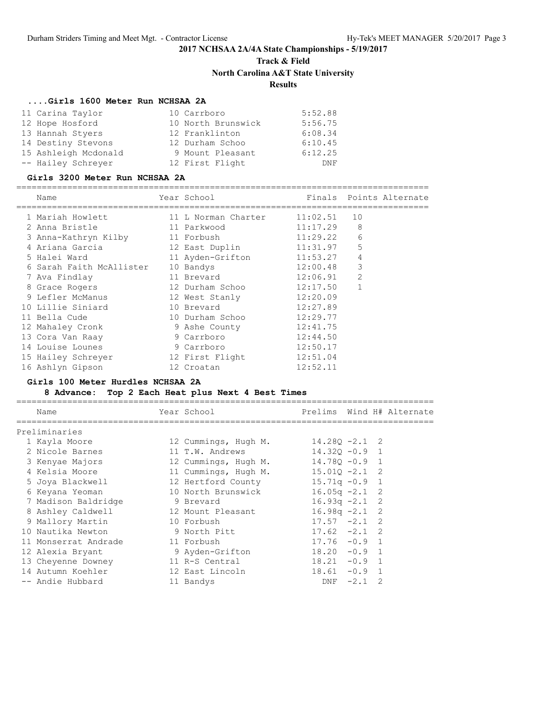## **Track & Field North Carolina A&T State University Results**

### **....Girls 1600 Meter Run NCHSAA 2A**

| 11 Carina Taylor     | 10 Carrboro        | 5:52.88    |
|----------------------|--------------------|------------|
| 12 Hope Hosford      | 10 North Brunswick | 5:56.75    |
| 13 Hannah Styers     | 12 Franklinton     | 6:08.34    |
| 14 Destiny Stevons   | 12 Durham Schoo    | 6:10.45    |
| 15 Ashleigh Mcdonald | 9 Mount Pleasant   | 6:12.25    |
| -- Hailey Schreyer   | 12 First Flight    | <b>DNF</b> |

#### **Girls 3200 Meter Run NCHSAA 2A**

# =================================================================================

| Name                     |  |                                                                                                                                                                                                                                                                                      | Finals Points Alternate |
|--------------------------|--|--------------------------------------------------------------------------------------------------------------------------------------------------------------------------------------------------------------------------------------------------------------------------------------|-------------------------|
| 1 Mariah Howlett         |  | 11:02.51                                                                                                                                                                                                                                                                             | 10                      |
| 2 Anna Bristle           |  | 11:17.29                                                                                                                                                                                                                                                                             | 8                       |
| 3 Anna-Kathryn Kilby     |  | 11:29.22                                                                                                                                                                                                                                                                             | 6                       |
| 4 Ariana Garcia          |  | 11:31.97                                                                                                                                                                                                                                                                             | 5                       |
| 5 Halei Ward             |  |                                                                                                                                                                                                                                                                                      | 4                       |
| 6 Sarah Faith McAllister |  | 12:00.48                                                                                                                                                                                                                                                                             | 3                       |
| 7 Ava Findlay            |  | 12:06.91                                                                                                                                                                                                                                                                             | $\overline{2}$          |
| 8 Grace Rogers           |  | 12:17.50                                                                                                                                                                                                                                                                             |                         |
| 9 Lefler McManus         |  | 12:20.09                                                                                                                                                                                                                                                                             |                         |
| 10 Lillie Siniard        |  | 12:27.89                                                                                                                                                                                                                                                                             |                         |
| 11 Bella Cude            |  | 12:29.77                                                                                                                                                                                                                                                                             |                         |
| 12 Mahaley Cronk         |  | 12:41.75                                                                                                                                                                                                                                                                             |                         |
| 13 Cora Van Raay         |  | 12:44.50                                                                                                                                                                                                                                                                             |                         |
| 14 Louise Lounes         |  | 12:50.17                                                                                                                                                                                                                                                                             |                         |
| 15 Hailey Schreyer       |  | 12:51.04                                                                                                                                                                                                                                                                             |                         |
| 16 Ashlyn Gipson         |  | 12:52.11                                                                                                                                                                                                                                                                             |                         |
|                          |  | Year School<br>11 L Norman Charter<br>11 Parkwood<br>11 Forbush<br>12 East Duplin<br>11 Ayden-Grifton<br>10 Bandys<br>11 Brevard<br>12 Durham Schoo<br>12 West Stanly<br>10 Brevard<br>10 Durham Schoo<br>9 Ashe County<br>9 Carrboro<br>9 Carrboro<br>12 First Flight<br>12 Croatan | 11:53.27                |

### **Girls 100 Meter Hurdles NCHSAA 2A**

### **8 Advance: Top 2 Each Heat plus Next 4 Best Times**

| Name                 | Year School          |                  |        |               | Prelims Wind H# Alternate |
|----------------------|----------------------|------------------|--------|---------------|---------------------------|
| Preliminaries        |                      |                  |        |               |                           |
| 1 Kayla Moore        | 12 Cummings, Hugh M. | $14.28Q - 2.1$ 2 |        |               |                           |
| 2 Nicole Barnes      | 11 T.W. Andrews      | $14.320 - 0.9$ 1 |        |               |                           |
| 3 Kenyae Majors      | 12 Cummings, Hugh M. | $14.780 - 0.9$ 1 |        |               |                           |
| 4 Kelsia Moore       | 11 Cummings, Hugh M. | $15.010 - 2.1$ 2 |        |               |                           |
| 5 Joya Blackwell     | 12 Hertford County   | $15.71q - 0.9$ 1 |        |               |                           |
| 6 Keyana Yeoman      | 10 North Brunswick   | $16.05q -2.1$ 2  |        |               |                           |
| 7 Madison Baldridge  | 9 Brevard            | $16.93q -2.1$ 2  |        |               |                           |
| 8 Ashley Caldwell    | 12 Mount Pleasant    | $16.98q -2.1$ 2  |        |               |                           |
| 9 Mallory Martin     | 10 Forbush           | $17.57 - 2.1$ 2  |        |               |                           |
| 10 Nautika Newton    | 9 North Pitt         | $17.62 -2.1$ 2   |        |               |                           |
| 11 Monserrat Andrade | 11 Forbush           | $17.76 - 0.9$ 1  |        |               |                           |
| 12 Alexia Bryant     | 9 Ayden-Grifton      | $18.20 -0.9$ 1   |        |               |                           |
| 13 Cheyenne Downey   | 11 R-S Central       | $18.21 -0.9$ 1   |        |               |                           |
| 14 Autumn Koehler    | 12 East Lincoln      | $18.61 - 0.9$    |        |               |                           |
| -- Andie Hubbard     | 11 Bandys            | DNF              | $-2.1$ | $\mathcal{D}$ |                           |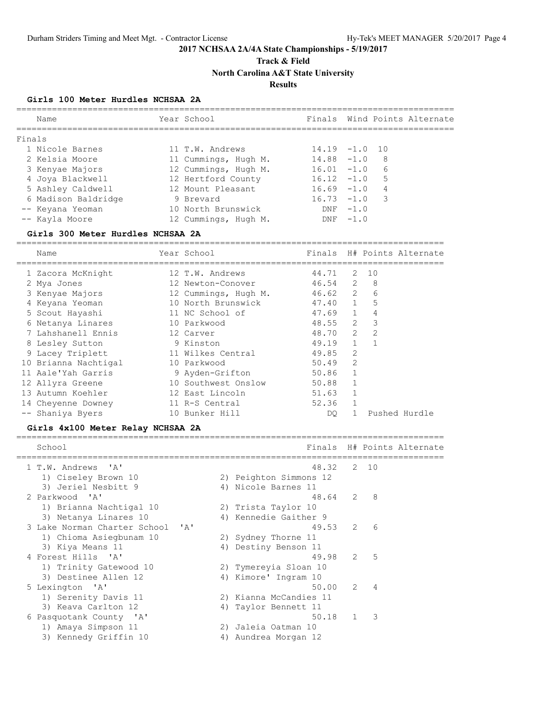**Track & Field**

**North Carolina A&T State University**

#### **Results**

#### **Girls 100 Meter Hurdles NCHSAA 2A**

| Name                | Year School          |                  |            | Finals Wind Points Alternate |
|---------------------|----------------------|------------------|------------|------------------------------|
| Finals              |                      |                  |            |                              |
| 1 Nicole Barnes     | 11 T.W. Andrews      | $14.19 - 1.0 10$ |            |                              |
| 2 Kelsia Moore      | 11 Cummings, Hugh M. | $14.88 - 1.0$    |            | - 8                          |
| 3 Kenyae Majors     | 12 Cummings, Hugh M. | $16.01 - 1.0$    |            | 6                            |
| 4 Joya Blackwell    | 12 Hertford County   | $16.12 - 1.0$    |            | .5                           |
| 5 Ashley Caldwell   | 12 Mount Pleasant    | $16.69 - 1.0$    |            | 4                            |
| 6 Madison Baldridge | 9 Brevard            | $16.73 - 1.0$    |            | $\overline{\phantom{a}}$     |
| -- Keyana Yeoman    | 10 North Brunswick   |                  | $DNF -1.0$ |                              |
| -- Kayla Moore      | 12 Cummings, Hugh M. | DNF              | $-1.0$     |                              |
|                     |                      |                  |            |                              |

#### **Girls 300 Meter Hurdles NCHSAA 2A**

==================================================================================== Name Year School Finals H# Points Alternate ==================================================================================== 1 Zacora McKnight 12 T.W. Andrews 44.71 2 10 2 Mya Jones 12 Newton-Conover 46.54 2 8 3 Kenyae Majors 12 Cummings, Hugh M. 46.62 2 6 4 Keyana Yeoman 10 North Brunswick 47.40 1 5 5 Scout Hayashi 11 NC School of 47.69 1 4 6 Netanya Linares 10 Parkwood 48.55 2 3 7 Lahshanell Ennis 12 Carver 48.70 2 2 8 Lesley Sutton 9 Kinston 49.19 1 1 9 Lacey Triplett 11 Wilkes Central 49.85 2 10 Brianna Nachtigal 10 Parkwood 50.49 2 11 Aale'Yah Garris 9 Ayden-Grifton 50.86 1 12 Allyra Greene 10 Southwest Onslow 50.88 1 13 Autumn Koehler 12 East Lincoln 51.63 1 14 Cheyenne Downey 11 R-S Central 52.36 1 -- Shaniya Byers 10 Bunker Hill DQ 1 Pushed Hurdle

#### **Girls 4x100 Meter Relay NCHSAA 2A**

|  | School                           |                        |              |                          | Finals H# Points Alternate |
|--|----------------------------------|------------------------|--------------|--------------------------|----------------------------|
|  | 1 T.W. Andrews 'A'               | 48.32 2 10             |              |                          |                            |
|  | 1) Ciseley Brown 10              | 2) Peighton Simmons 12 |              |                          |                            |
|  | 3) Jeriel Nesbitt 9              | 4) Nicole Barnes 11    |              |                          |                            |
|  | 2 Parkwood 'A'                   | 48.64 2 8              |              |                          |                            |
|  | 1) Brianna Nachtigal 10          | 2) Trista Taylor 10    |              |                          |                            |
|  | 3) Netanya Linares 10            | 4) Kennedie Gaither 9  |              |                          |                            |
|  | 3 Lake Norman Charter School 'A' | $49.53$ 2              |              | 6                        |                            |
|  | 1) Chioma Asiegbunam 10          | 2) Sydney Thorne 11    |              |                          |                            |
|  | 3) Kiya Means 11                 | 4) Destiny Benson 11   |              |                          |                            |
|  | 4 Forest Hills 'A'               | 49.98                  |              | $2 \quad 5$              |                            |
|  | 1) Trinity Gatewood 10           | 2) Tymereyia Sloan 10  |              |                          |                            |
|  | 3) Destinee Allen 12             | 4) Kimore' Ingram 10   |              |                          |                            |
|  | 5 Lexington 'A'                  | 50.00                  | 2            | 4                        |                            |
|  | 1) Serenity Davis 11             | 2) Kianna McCandies 11 |              |                          |                            |
|  | 3) Keava Carlton 12              | 4) Taylor Bennett 11   |              |                          |                            |
|  | 6 Pasquotank County 'A'          | 50.18                  | $\mathbf{1}$ | $\overline{\phantom{a}}$ |                            |
|  | 1) Amaya Simpson 11              | 2) Jaleia Oatman 10    |              |                          |                            |
|  | 3) Kennedy Griffin 10            | 4) Aundrea Morgan 12   |              |                          |                            |
|  |                                  |                        |              |                          |                            |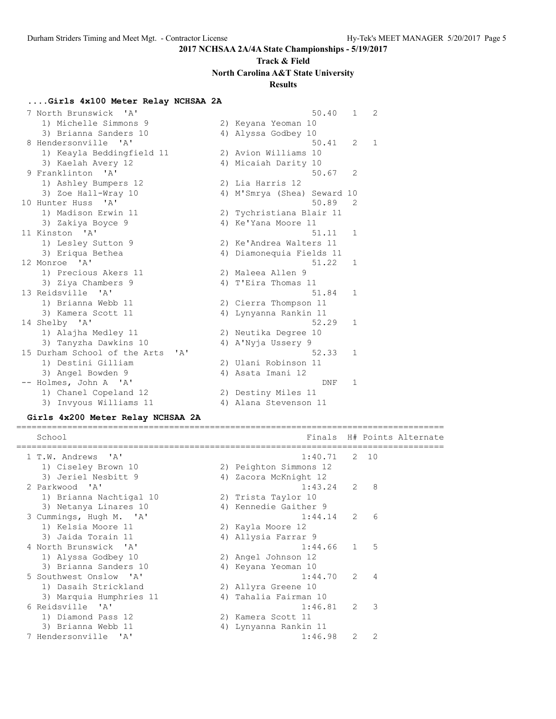# **Track & Field North Carolina A&T State University**

## **Results**

# **....Girls 4x100 Meter Relay NCHSAA 2A**

| 7 North Brunswick 'A'                         | 50.40                       | $\mathbf{1}$ | 2            |
|-----------------------------------------------|-----------------------------|--------------|--------------|
| 1) Michelle Simmons 9                         | 2) Keyana Yeoman 10         |              |              |
| 3) Brianna Sanders 10                         | 4) Alyssa Godbey 10         |              |              |
| 8 Hendersonville<br>$^{\prime}$ A $^{\prime}$ | 50.41                       | 2            | $\mathbf{1}$ |
| 1) Keayla Beddingfield 11                     | 2) Avion Williams 10        |              |              |
| 3) Kaelah Avery 12                            | 4) Micaiah Darity 10        |              |              |
| 9 Franklinton 'A'                             | 50.67                       | 2            |              |
| 1) Ashley Bumpers 12                          | 2) Lia Harris 12            |              |              |
| 3) Zoe Hall-Wray 10                           | 4) M'Smrya (Shea) Seward 10 |              |              |
| 10 Hunter Huss<br>$\mathsf{A}$                | 50.89                       | 2            |              |
| 1) Madison Erwin 11                           | 2) Tychristiana Blair 11    |              |              |
| 3) Zakiya Boyce 9                             | 4) Ke'Yana Moore 11         |              |              |
| 11 Kinston 'A'                                | 51.11                       | 1            |              |
| 1) Lesley Sutton 9                            | 2) Ke'Andrea Walters 11     |              |              |
| 3) Eriqua Bethea                              | 4) Diamonequia Fields 11    |              |              |
| 12 Monroe 'A'                                 | 51.22                       | 1            |              |
| 1) Precious Akers 11                          | 2) Maleea Allen 9           |              |              |
| 3) Ziya Chambers 9                            | 4) T'Eira Thomas 11         |              |              |
| 13 Reidsville 'A'                             | 51.84                       | 1            |              |
| 1) Brianna Webb 11                            | 2) Cierra Thompson 11       |              |              |
| 3) Kamera Scott 11                            | 4) Lynyanna Rankin 11       |              |              |
| 14 Shelby 'A'                                 | 52.29                       | 1            |              |
| 1) Alajha Medley 11                           | 2) Neutika Degree 10        |              |              |
| 3) Tanyzha Dawkins 10                         | 4) A'Nyja Ussery 9          |              |              |
| 15 Durham School of the Arts<br>' A'          | 52.33                       | 1            |              |
| 1) Destini Gilliam                            | 2) Ulani Robinson 11        |              |              |
| 3) Angel Bowden 9                             | 4) Asata Imani 12           |              |              |
| -- Holmes, John A 'A'                         | DNF                         | $\mathbf{1}$ |              |
| 1) Chanel Copeland 12                         | 2) Destiny Miles 11         |              |              |
| 3) Invyous Williams 11                        | 4) Alana Stevenson 11       |              |              |

### **Girls 4x200 Meter Relay NCHSAA 2A**

|  | School                                             |                        |                |                         | Finals H# Points Alternate |
|--|----------------------------------------------------|------------------------|----------------|-------------------------|----------------------------|
|  | 1 T.W. Andrews 'A'                                 | 1:40.71                |                | 2 10                    |                            |
|  | 1) Ciseley Brown 10                                | 2) Peighton Simmons 12 |                |                         |                            |
|  | 3) Jeriel Nesbitt 9                                | 4) Zacora McKnight 12  |                |                         |                            |
|  | 2 Parkwood 'A'                                     | 1:43.24                |                | $2 \quad 8$             |                            |
|  | 1) Brianna Nachtigal 10                            | 2) Trista Taylor 10    |                |                         |                            |
|  | 3) Netanya Linares 10                              | 4) Kennedie Gaither 9  |                |                         |                            |
|  | 3 Cummings, Hugh M. 'A'                            | 1:44.14                | 2              | - 6                     |                            |
|  | 1) Kelsia Moore 11                                 | 2) Kayla Moore 12      |                |                         |                            |
|  | 3) Jaida Torain 11                                 | 4) Allysia Farrar 9    |                |                         |                            |
|  | 4 North Brunswick 'A'                              | 1:44.66                | $\overline{1}$ | $-5$                    |                            |
|  | 1) Alyssa Godbey 10                                | 2) Angel Johnson 12    |                |                         |                            |
|  | 3) Brianna Sanders 10                              | 4) Keyana Yeoman 10    |                |                         |                            |
|  | 5 Southwest Onslow 'A'                             | 1:44.70                | 2              | $\overline{4}$          |                            |
|  | 1) Dasaih Strickland                               | 2) Allyra Greene 10    |                |                         |                            |
|  | 3) Marquia Humphries 11                            | 4) Tahalia Fairman 10  |                |                         |                            |
|  | 6 Reidsville 'A'                                   | 1:46.81                | $\mathcal{P}$  | $\overline{\mathbf{3}}$ |                            |
|  | 1) Diamond Pass 12                                 | 2) Kamera Scott 11     |                |                         |                            |
|  | 3) Brianna Webb 11                                 | 4) Lynyanna Rankin 11  |                |                         |                            |
|  | 7 Hendersonville<br>$\mathsf{I} \wedge \mathsf{I}$ | 1:46.98                |                |                         |                            |
|  |                                                    |                        |                |                         |                            |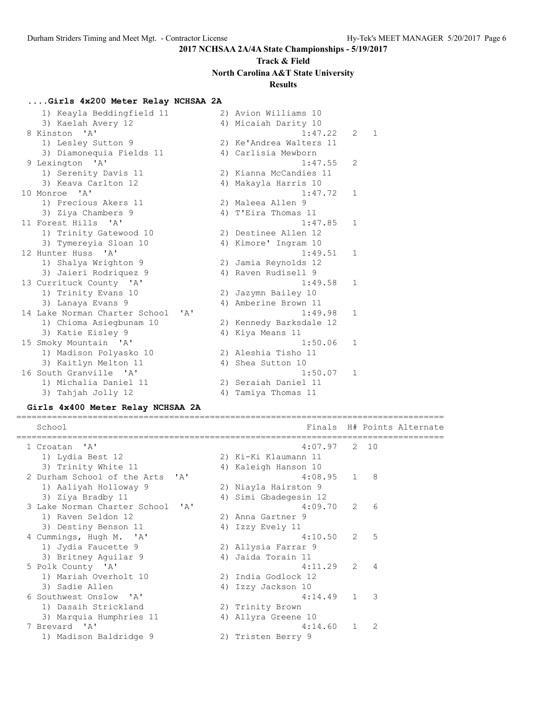# **Track & Field North Carolina A&T State University**

### **Results**

### **....Girls 4x200 Meter Relay NCHSAA 2A**

| 1) Keayla Beddingfield 11             |    | 2) Avion Williams 10    |                |   |
|---------------------------------------|----|-------------------------|----------------|---|
| 3) Kaelah Avery 12                    |    | 4) Micaiah Darity 10    |                |   |
| 8 Kinston 'A'                         |    | 1:47.22                 | $\overline{2}$ | 1 |
| 1) Lesley Sutton 9                    |    | 2) Ke'Andrea Walters 11 |                |   |
| 3) Diamonequia Fields 11              |    | 4) Carlisia Mewborn     |                |   |
| 9 Lexington 'A'                       |    | 1:47.55                 | 2              |   |
| 1) Serenity Davis 11                  |    | 2) Kianna McCandies 11  |                |   |
| 3) Keava Carlton 12                   |    | 4) Makayla Harris 10    |                |   |
| 10 Monroe 'A'                         |    | 1:47.72                 | $\mathbf{1}$   |   |
| 1) Precious Akers 11                  |    | 2) Maleea Allen 9       |                |   |
| 3) Ziya Chambers 9                    |    | 4) T'Eira Thomas 11     |                |   |
| 11 Forest Hills 'A'                   |    | 1:47.85                 | $\mathbf{1}$   |   |
| 1) Trinity Gatewood 10                |    | 2) Destinee Allen 12    |                |   |
| 3) Tymereyia Sloan 10                 |    | 4) Kimore' Ingram 10    |                |   |
| 12 Hunter Huss 'A'                    |    | 1:49.51                 | $\mathbf{1}$   |   |
| 1) Shalya Wrighton 9                  |    | 2) Jamia Reynolds 12    |                |   |
| 3) Jaieri Rodriquez 9                 |    | 4) Raven Rudisell 9     |                |   |
| 13 Currituck County 'A'               |    | 1:49.58                 | $\mathbf{1}$   |   |
| 1) Trinity Evans 10                   |    | 2) Jazymn Bailey 10     |                |   |
| 3) Lanaya Evans 9                     |    | 4) Amberine Brown 11    |                |   |
| 14 Lake Norman Charter School<br>' A' |    | 1:49.98                 | $\mathbf{1}$   |   |
| 1) Chioma Asiegbunam 10               |    | 2) Kennedy Barksdale 12 |                |   |
| 3) Katie Eisley 9                     |    | 4) Kiya Means 11        |                |   |
| 15 Smoky Mountain 'A'                 |    | 1:50.06                 | $\mathbf{1}$   |   |
| 1) Madison Polyasko 10                |    | 2) Aleshia Tisho 11     |                |   |
| 3) Kaitlyn Melton 11                  |    | 4) Shea Sutton 10       |                |   |
| 16 South Granville 'A'                |    | 1:50.07                 | $\mathbf{1}$   |   |
| 1) Michalia Daniel 11                 |    | 2) Seraiah Daniel 11    |                |   |
| 3) Tahjah Jolly 12                    | 4) | Tamiya Thomas 11        |                |   |

#### **Girls 4x400 Meter Relay NCHSAA 2A**

==================================================================================== School **Finals H# Points Alternate** ==================================================================================== 1 Croatan 'A' 4:07.97 2 10 1) Lydia Best 12 2) Ki-Ki Klaumann 11 3) Trinity White 11 1 4) Kaleigh Hanson 10 2 Durham School of the Arts 'A' 4:08.95 1 8 1) Aaliyah Holloway 9 2) Niayla Hairston 9 3) Ziya Bradby 11 4) Simi Gbadegesin 12 3 Lake Norman Charter School 'A' 4:09.70 2 6 1) Raven Seldon 12 2) Anna Gartner 9 3) Destiny Benson 11 (4) Izzy Evely 11 4 Cummings, Hugh M. 'A' 4:10.50 2 5 1) Jydia Faucette 9 2) Allysia Farrar 9 3) Britney Aguilar 9 1988 - 4 4 Jaida Torain 11 5 Polk County 'A' 4:11.29 2 4 1) Mariah Overholt 10 2) India Godlock 12 3) Sadie Allen 4) Izzy Jackson 10 6 Southwest Onslow 'A' 4:14.49 1 3 1) Dasaih Strickland 2) Trinity Brown 3) Marquia Humphries 11  $\hskip1cm$  4) Allyra Greene 10 7 Brevard 'A' 4:14.60 1 2 1) Madison Baldridge 9 2) Tristen Berry 9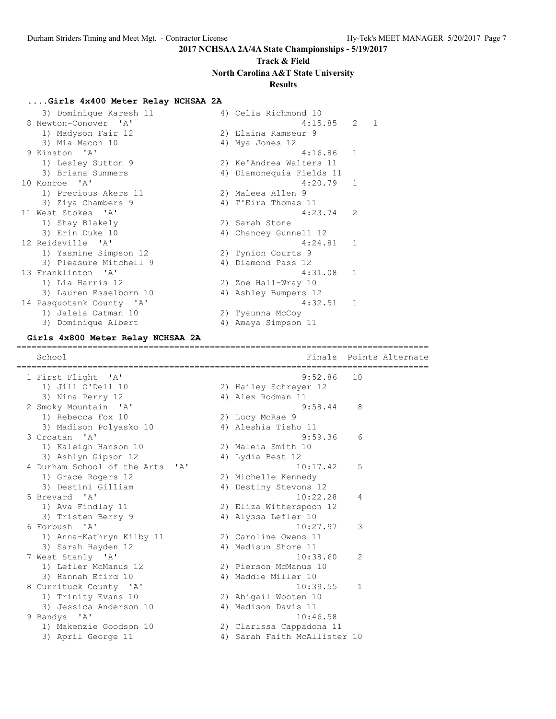# **Track & Field North Carolina A&T State University**

## **Results**

#### **....Girls 4x400 Meter Relay NCHSAA 2A**

|   | 3) Dominique Karesh 11   |    | 4) Celia Richmond 10     |                |                |
|---|--------------------------|----|--------------------------|----------------|----------------|
| 8 | Newton-Conover 'A'       |    | 4:15.85                  | $\overline{2}$ | $\overline{1}$ |
|   | 1) Madyson Fair 12       |    | 2) Elaina Ramseur 9      |                |                |
|   | 3) Mia Macon 10          |    | 4) Mya Jones 12          |                |                |
|   | 9 Kinston 'A'            |    | 4:16.86                  | $\mathbf{1}$   |                |
|   | 1) Lesley Sutton 9       |    | 2) Ke'Andrea Walters 11  |                |                |
|   | 3) Briana Summers        |    | 4) Diamonequia Fields 11 |                |                |
|   | 10 Monroe 'A'            |    | 4:20.79                  | 1              |                |
|   | 1) Precious Akers 11     |    | 2) Maleea Allen 9        |                |                |
|   | 3) Ziya Chambers 9       |    | 4) T'Eira Thomas 11      |                |                |
|   | 11 West Stokes 'A'       |    | 4:23.74                  | 2              |                |
|   | 1) Shay Blakely          |    | 2) Sarah Stone           |                |                |
|   | 3) Erin Duke 10          | 4) | Chancey Gunnell 12       |                |                |
|   | 12 Reidsville 'A'        |    | 4:24.81                  | 1              |                |
|   | 1) Yasmine Simpson 12    |    | 2) Tynion Courts 9       |                |                |
|   | 3) Pleasure Mitchell 9   | 4) | Diamond Pass 12          |                |                |
|   | 13 Franklinton 'A'       |    | 4:31.08                  | $\mathbf{1}$   |                |
|   | 1) Lia Harris 12         |    | 2) Zoe Hall-Wray 10      |                |                |
|   | 3) Lauren Esselborn 10   | 4) | Ashley Bumpers 12        |                |                |
|   | 14 Pasquotank County 'A' |    | 4:32.51                  | $\mathbf{1}$   |                |
|   | 1) Jaleia Oatman 10      |    | 2) Tyaunna McCoy         |                |                |
|   | 3) Dominique Albert      |    | 4) Amaya Simpson 11      |                |                |

#### **Girls 4x800 Meter Relay NCHSAA 2A**

================================================================================= School **Finals Points Alternate** ================================================================================= 1 First Flight 'A' 1) Jill O'Dell 10 2) Hailey Schreyer 12 3) Nina Perry 12 4) Alex Rodman 11 2 Smoky Mountain 'A' 9:58.44 8 1) Rebecca Fox 10 2) Lucy McRae 9 3) Madison Polyasko 10 4) Aleshia Tisho 11 3 Croatan 'A' 9:59.36 6 1) Kaleigh Hanson 10 2) Maleia Smith 10 3) Ashlyn Gipson 12 14) Lydia Best 12 4 Durham School of the Arts 'A' 10:17.42 5 1) Grace Rogers 12 2) Michelle Kennedy 3) Destini Gilliam 4) Destiny Stevons 12 5 Brevard 'A' 10:22.28 4 1) Ava Findlay 11 2) Eliza Witherspoon 12 3) Tristen Berry 9 1988 4) Alyssa Lefler 10 6 Forbush 'A' 10:27.97 3 1) Anna-Kathryn Kilby 11 2) Caroline Owens 11 3) Sarah Hayden 12 4) Madisun Shore 11 7 West Stanly 'A' 10:38.60 2 1) Lefler McManus 12 2) Pierson McManus 10 3) Hannah Efird 10  $\hskip1cm$  4) Maddie Miller 10 8 Currituck County 'A' 10:39.55 1 1) Trinity Evans 10 2) Abigail Wooten 10 3) Jessica Anderson 10 4) Madison Davis 11 9 Bandys 'A' 10:46.58 1) Makenzie Goodson 10 2) Clarissa Cappadona 11 3) April George 11 4) Sarah Faith McAllister 10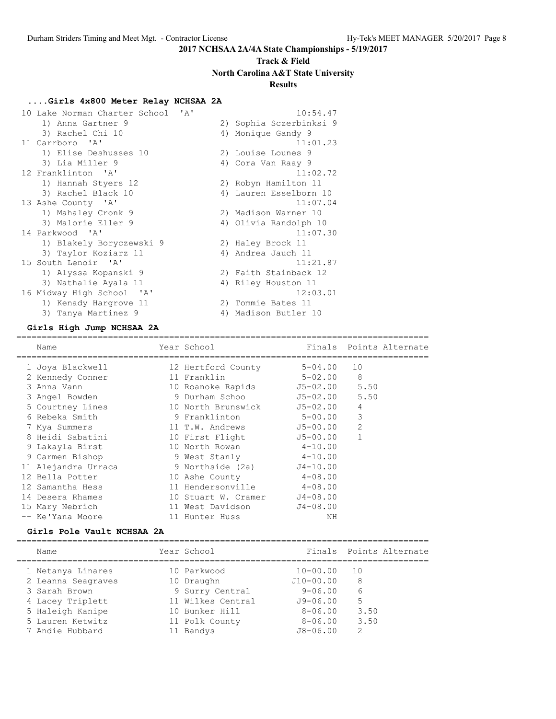# **Track & Field North Carolina A&T State University**

# **Results**

### **....Girls 4x800 Meter Relay NCHSAA 2A**

| 10 Lake Norman Charter School<br>$\mathsf{A}$ | 10:54.47                |
|-----------------------------------------------|-------------------------|
| 1) Anna Gartner 9                             | 2) Sophia Sczerbinksi 9 |
| 3) Rachel Chi 10                              | 4) Monique Gandy 9      |
| 11 Carrboro 'A'                               | 11:01.23                |
| 1) Elise Deshusses 10                         | 2) Louise Lounes 9      |
| 3) Lia Miller 9                               | 4) Cora Van Raay 9      |
| 12 Franklinton 'A'                            | 11:02.72                |
| 1) Hannah Styers 12                           | 2) Robyn Hamilton 11    |
| 3) Rachel Black 10                            | 4) Lauren Esselborn 10  |
| 13 Ashe County 'A'                            | 11:07.04                |
| 1) Mahaley Cronk 9                            | 2) Madison Warner 10    |
| 3) Malorie Eller 9                            | 4) Olivia Randolph 10   |
| 14 Parkwood 'A'                               | 11:07.30                |
| 1) Blakely Boryczewski 9                      | 2) Haley Brock 11       |
| 3) Taylor Koziarz 11                          | 4) Andrea Jauch 11      |
| 15 South Lenoir 'A'                           | 11:21.87                |
| 1) Alyssa Kopanski 9                          | 2) Faith Stainback 12   |
| 3) Nathalie Ayala 11                          | 4) Riley Houston 11     |
| 16 Midway High School 'A'                     | 12:03.01                |
| 1) Kenady Hargrove 11                         | 2) Tommie Bates 11      |
| 3) Tanya Martinez 9                           | 4) Madison Butler 10    |

### **Girls High Jump NCHSAA 2A**

================================================================================= Name The Year School Team Points Alternate ================================================================================= 1 Joya Blackwell 12 Hertford County 5-04.00 10 2 Kennedy Conner 11 Franklin 5-02.00 8 3 Anna Vann 10 Roanoke Rapids J5-02.00 5.50 3 Angel Bowden 9 Durham Schoo J5-02.00 5.50 5 Courtney Lines 10 North Brunswick J5-02.00 4 6 Rebeka Smith 9 Franklinton 5-00.00 3 7 Mya Summers 11 T.W. Andrews J5-00.00 2 8 Heidi Sabatini 10 First Flight J5-00.00 1 9 Lakayla Birst 10 North Rowan 4-10.00 9 Carmen Bishop 9 West Stanly 4-10.00 11 Alejandra Urraca 9 Northside (2a) J4-10.00 12 Bella Potter 10 Ashe County 4-08.00 12 Samantha Hess 11 Hendersonville 4-08.00 14 Desera Rhames 10 Stuart W. Cramer J4-08.00 15 Mary Nebrich 11 West Davidson J4-08.00 -- Ke'Yana Moore 11 Hunter Huss NH

#### **Girls Pole Vault NCHSAA 2A**

| Name               | Year School       |              | Finals Points Alternate |
|--------------------|-------------------|--------------|-------------------------|
| 1 Netanya Linares  | 10 Parkwood       | $10 - 00.00$ | 10                      |
| 2 Leanna Seagraves | 10 Draughn        | $J10-00.00$  | 8                       |
| 3 Sarah Brown      | 9 Surry Central   | $9 - 06.00$  | 6                       |
| 4 Lacey Triplett   | 11 Wilkes Central | $J9 - 06.00$ | 5                       |
| 5 Haleigh Kanipe   | 10 Bunker Hill    | $8 - 06.00$  | 3.50                    |
| 5 Lauren Ketwitz   | 11 Polk County    | $8 - 06.00$  | 3.50                    |
| 7 Andie Hubbard    | 11 Bandys         | $J8 - 06.00$ | 2                       |
|                    |                   |              |                         |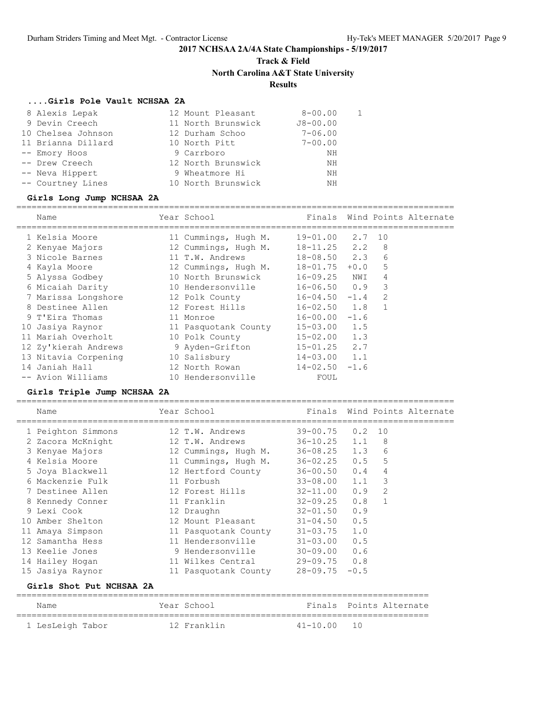# **Track & Field North Carolina A&T State University**

### **Results**

### **....Girls Pole Vault NCHSAA 2A**

| 8 Alexis Lepak     | 12 Mount Pleasant  | $8 - 00.00$  |  |
|--------------------|--------------------|--------------|--|
| 9 Devin Creech     | 11 North Brunswick | $J8 - 00.00$ |  |
| 10 Chelsea Johnson | 12 Durham Schoo    | $7 - 06.00$  |  |
| 11 Brianna Dillard | 10 North Pitt      | $7 - 00.00$  |  |
| -- Emory Hoos      | 9 Carrboro         | NΗ           |  |
| -- Drew Creech     | 12 North Brunswick | ΝH           |  |
| -- Neva Hippert    | 9 Wheatmore Hi     | ΝH           |  |
| -- Courtney Lines  | 10 North Brunswick | NΗ           |  |

#### **Girls Long Jump NCHSAA 2A**

| Name                 | Year School          |                    |        |               | Finals Wind Points Alternate |
|----------------------|----------------------|--------------------|--------|---------------|------------------------------|
| 1 Kelsia Moore       | 11 Cummings, Hugh M. | $19 - 01.00$       | 2.7    | 10            |                              |
| 2 Kenyae Majors      | 12 Cummings, Hugh M. | $18 - 11.25$ 2.2   |        | -8            |                              |
| 3 Nicole Barnes      | 11 T.W. Andrews      | $18 - 08.50$ 2.3   |        | 6             |                              |
| 4 Kayla Moore        | 12 Cummings, Hugh M. | $18 - 01.75$       | $+0.0$ | 5             |                              |
| 5 Alyssa Godbey      | 10 North Brunswick   | 16-09.25           | NWI    | 4             |                              |
| 6 Micaiah Darity     | 10 Hendersonville    | $16 - 06.50 0.9$   |        | 3             |                              |
| 7 Marissa Longshore  | 12 Polk County       | $16 - 04.50 - 1.4$ |        | $\mathcal{L}$ |                              |
| 8 Destinee Allen     | 12 Forest Hills      | $16 - 02.50$       | 1.8    |               |                              |
| 9 T'Eira Thomas      | 11 Monroe            | $16 - 00.00 - 1.6$ |        |               |                              |
| 10 Jasiya Raynor     | 11 Pasquotank County | $15 - 03.00$ 1.5   |        |               |                              |
| 11 Mariah Overholt   | 10 Polk County       | $15 - 02.00$ 1.3   |        |               |                              |
| 12 Zy'kierah Andrews | 9 Ayden-Grifton      | $15 - 01.25$ 2.7   |        |               |                              |
| 13 Nitavia Corpening | 10 Salisbury         | $14 - 03.00$ 1.1   |        |               |                              |
| 14 Janiah Hall       | 12 North Rowan       | $14 - 02.50 - 1.6$ |        |               |                              |
| -- Avion Williams    | 10 Hendersonville    | FOUL               |        |               |                              |

#### **Girls Triple Jump NCHSAA 2A**

| Name                     | Year School and the School and the School |                     |              | Finals Wind Points Alternate |
|--------------------------|-------------------------------------------|---------------------|--------------|------------------------------|
| 1 Peighton Simmons       | 12 T.W. Andrews                           | $39 - 00.75$ 0.2 10 |              |                              |
| 2 Zacora McKnight        | 12 T.W. Andrews                           | $36 - 10.25$ 1.1    | - 8          |                              |
| 3 Kenyae Majors          | 12 Cummings, Hugh M.                      | $36 - 08.25$ 1.3    | 6            |                              |
| 4 Kelsia Moore           | 11 Cummings, Hugh M. 36-02.25 0.5         |                     | 5            |                              |
| 5 Joya Blackwell         | 12 Hertford County                        | $36 - 00.50$ 0.4    | 4            |                              |
| 6 Mackenzie Fulk         | 11 Forbush                                | $33 - 08.00$ 1.1    | 3            |                              |
| 7 Destinee Allen         | 12 Forest Hills                           | $32 - 11.00$ 0.9    | 2            |                              |
| 8 Kennedy Conner         | 11 Franklin                               | $32 - 09.25$ 0.8    | $\mathbf{1}$ |                              |
| 9 Lexi Cook              | 12 Draughn                                | $32 - 01.50$ 0.9    |              |                              |
| 10 Amber Shelton         | 12 Mount Pleasant                         | $31 - 04.50$ 0.5    |              |                              |
| 11 Amaya Simpson         | 11 Pasquotank County                      | $31 - 03.75$ 1.0    |              |                              |
| 12 Samantha Hess         | 11 Hendersonville                         | $31 - 03.00$ 0.5    |              |                              |
| 13 Keelie Jones          | 9 Hendersonville                          | $30 - 09.00 0.6$    |              |                              |
| 14 Hailey Hogan          | 11 Wilkes Central                         | $29 - 09.75$ 0.8    |              |                              |
| 15 Jasiya Raynor         | 11 Pasquotank County                      | $28 - 09.75 - 0.5$  |              |                              |
| Girls Shot Put NCHSAA 2A |                                           |                     |              |                              |

| Name             | Year School |                 | Finals Points Alternate |
|------------------|-------------|-----------------|-------------------------|
| 1 LesLeigh Tabor | 12 Franklin | $41 - 10.00$ 10 |                         |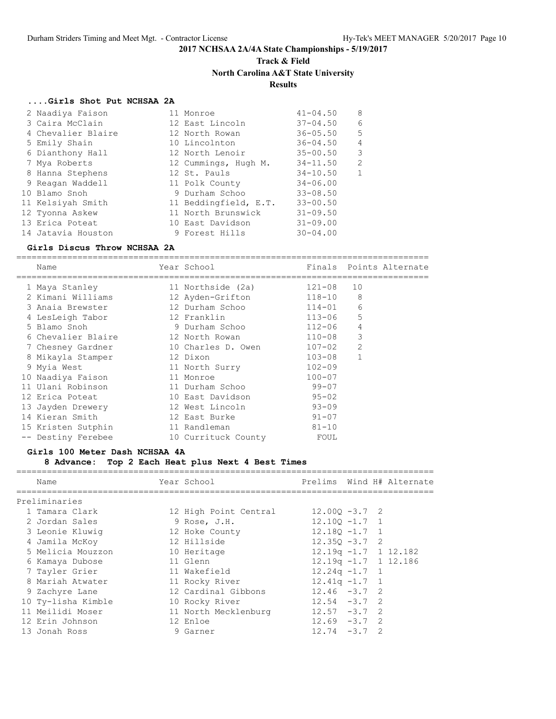### **Track & Field North Carolina A&T State University**

#### **Results**

#### **....Girls Shot Put NCHSAA 2A**

| 2 Naadiya Faison   | 11 Monroe             | $41 - 04.50$ | 8            |
|--------------------|-----------------------|--------------|--------------|
| 3 Caira McClain    | 12 East Lincoln       | $37 - 04.50$ | 6            |
| 4 Chevalier Blaire | 12 North Rowan        | $36 - 05.50$ | 5            |
| 5 Emily Shain      | 10 Lincolnton         | $36 - 04.50$ | 4            |
| 6 Dianthony Hall   | 12 North Lenoir       | $35 - 00.50$ | 3            |
| 7 Mya Roberts      | 12 Cummings, Hugh M.  | $34 - 11.50$ | 2            |
| 8 Hanna Stephens   | 12 St. Pauls          | $34 - 10.50$ | $\mathbf{1}$ |
| 9 Reagan Waddell   | 11 Polk County        | $34 - 06.00$ |              |
| 10 Blamo Snoh      | 9 Durham Schoo        | $33 - 08.50$ |              |
| 11 Kelsiyah Smith  | 11 Beddingfield, E.T. | $33 - 00.50$ |              |
| 12 Tyonna Askew    | 11 North Brunswick    | $31 - 09.50$ |              |
| 13 Erica Poteat    | 10 East Davidson      | $31 - 09.00$ |              |
| 14 Jatavia Houston | 9 Forest Hills        | $30 - 04.00$ |              |

#### **Girls Discus Throw NCHSAA 2A**

================================================================================= Name **Name** Year School **Finals Points Alternate** ================================================================================= 1 Maya Stanley 11 Northside (2a) 121-08 10 2 Kimani Williams 12 Ayden-Grifton 118-10 8 3 Anaia Brewster 12 Durham Schoo 114-01 6 4 LesLeigh Tabor 12 Franklin 113-06 5 5 Blamo Snoh 9 Durham Schoo 112-06 4 6 Chevalier Blaire 12 North Rowan 110-08 3 7 Chesney Gardner 10 Charles D. Owen 107-02 2 8 Mikayla Stamper 12 Dixon 103-08 1 9 Myia West 11 North Surry 102-09 10 Naadiya Faison 11 Monroe 100-07 11 Ulani Robinson 11 Durham Schoo 99-07 12 Erica Poteat 10 East Davidson 95-02 13 Jayden Drewery 12 West Lincoln 93-09 14 Kieran Smith 12 East Burke 91-07 15 Kristen Sutphin 11 Randleman 81-10 -- Destiny Ferebee 10 Currituck County FOUL

#### **Girls 100 Meter Dash NCHSAA 4A**

**8 Advance: Top 2 Each Heat plus Next 4 Best Times**

| Name               | Year School           |                         |  | Prelims Wind H# Alternate |
|--------------------|-----------------------|-------------------------|--|---------------------------|
| Preliminaries      |                       |                         |  |                           |
| 1 Tamara Clark     | 12 High Point Central | $12.000 - 3.7$ 2        |  |                           |
| 2 Jordan Sales     | 9 Rose, J.H.          | $12.100 - 1.7$ 1        |  |                           |
| 3 Leonie Kluwig    | 12 Hoke County        | $12.180 - 1.7$ 1        |  |                           |
| 4 Jamila McKoy     | 12 Hillside           | $12.350 - 3.7$ 2        |  |                           |
| 5 Melicia Mouzzon  | 10 Heritage           | $12.19q - 1.7$ 1 12.182 |  |                           |
| 6 Kamaya Dubose    | 11 Glenn              | $12.19q - 1.7$ 1 12.186 |  |                           |
| 7 Tayler Grier     | 11 Wakefield          | $12.24q - 1.7$ 1        |  |                           |
| 8 Mariah Atwater   | 11 Rocky River        | $12.41q - 1.7$ 1        |  |                           |
| 9 Zachyre Lane     | 12 Cardinal Gibbons   | $12.46 - 3.7$ 2         |  |                           |
| 10 Ty-lisha Kimble | 10 Rocky River        | $12.54 - 3.7$ 2         |  |                           |
| 11 Meilidi Moser   | 11 North Mecklenburg  | $12.57 - 3.7$ 2         |  |                           |
| 12 Erin Johnson    | 12 Enloe              | $12.69 - 3.7 2$         |  |                           |
| 13 Jonah Ross      | 9 Garner              | $12.74 - 3.7$ 2         |  |                           |
|                    |                       |                         |  |                           |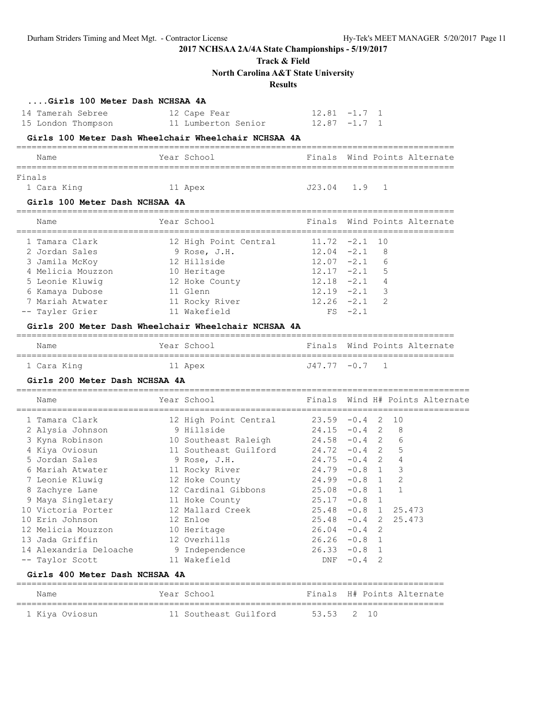## **Track & Field**

**North Carolina A&T State University**

### **Results**

| 14 Tamerah Sebree<br>15 London Thompson              | 12 Cape Fear<br>11 Lumberton Senior 12.87 -1.7 1 | $12.81 -1.7 1$  |                |                                 |  |
|------------------------------------------------------|--------------------------------------------------|-----------------|----------------|---------------------------------|--|
| Girls 100 Meter Dash Wheelchair Wheelchair NCHSAA 4A |                                                  |                 |                |                                 |  |
| Name                                                 | Year School                                      |                 |                | Finals Wind Points Alternate    |  |
| Finals                                               |                                                  |                 |                |                                 |  |
| 1 Cara King                                          | 11 Apex                                          | J23.04          | 1.9            | 1                               |  |
| Girls 100 Meter Dash NCHSAA 4A                       |                                                  |                 |                |                                 |  |
| Name                                                 | Year School                                      |                 |                | Finals Wind Points Alternate    |  |
| 1 Tamara Clark                                       | 12 High Point Central                            | 11.72           | $-2.1$         | 10                              |  |
| 2 Jordan Sales                                       | 9 Rose, J.H.                                     | $12.04 -2.1$    |                | 8                               |  |
| 3 Jamila McKoy                                       | 12 Hillside                                      | $12.07 - 2.1$   |                | 6                               |  |
| 4 Melicia Mouzzon                                    | 10 Heritage                                      | $12.17 - 2.1$   |                | 5                               |  |
| 5 Leonie Kluwig                                      | 12 Hoke County                                   | $12.18 - 2.1$ 4 |                |                                 |  |
| 6 Kamaya Dubose                                      | 11 Glenn                                         | $12.19 - 2.1$ 3 |                |                                 |  |
| 7 Mariah Atwater                                     | 11 Rocky River                                   | $12.26 -2.1$    |                | 2                               |  |
| -- Tayler Grier                                      | 11 Wakefield                                     |                 | $FS -2.1$      |                                 |  |
| Girls 200 Meter Dash Wheelchair Wheelchair NCHSAA 4A |                                                  |                 |                |                                 |  |
| Name                                                 | Year School                                      |                 |                | Finals Wind Points Alternate    |  |
| 1 Cara King                                          | 11 Apex                                          | J47.77 -0.7     |                | - 1                             |  |
| Girls 200 Meter Dash NCHSAA 4A                       |                                                  |                 |                |                                 |  |
| Name                                                 | Year School                                      |                 |                | Finals Wind H# Points Alternate |  |
| 1 Tamara Clark                                       | 12 High Point Central                            | $23.59 - 0.4$   |                | 2 10                            |  |
| 2 Alysia Johnson                                     | 9 Hillside                                       | $24.15 - 0.4$ 2 |                | 8                               |  |
| 3 Kyna Robinson                                      | 10 Southeast Raleigh                             | $24.58 - 0.4$ 2 |                | 6                               |  |
| 4 Kiya Oviosun                                       | 11 Southeast Guilford                            | $24.72 -0.4$ 2  |                | 5                               |  |
| 5 Jordan Sales                                       | 9 Rose, J.H.                                     | $24.75 - 0.4$ 2 |                | 4                               |  |
| 6 Mariah Atwater                                     | 11 Rocky River                                   | $24.79 - 0.8$ 1 |                | 3                               |  |
| 7 Leonie Kluwig                                      | 12 Hoke County                                   | $24.99 - 0.8 1$ |                | 2                               |  |
| 8 Zachyre Lane                                       | 12 Cardinal Gibbons                              | $25.08 - 0.8 1$ |                | $\mathbf{1}$                    |  |
|                                                      | 11 Hoke County                                   |                 | $25.17 -0.8$ 1 |                                 |  |
| 9 Maya Singletary                                    |                                                  |                 |                |                                 |  |
| 10 Victoria Porter                                   | 12 Mallard Creek                                 |                 |                | $25.48 -0.8$ 1 $25.473$         |  |
| 10 Erin Johnson                                      | 12 Enloe                                         |                 |                | $25.48 -0.4$ 2 $25.473$         |  |
| 12 Melicia Mouzzon                                   | 10 Heritage                                      | $26.04 - 0.4$ 2 |                |                                 |  |
| 13 Jada Griffin                                      | 12 Overhills                                     | $26.26 - 0.8$ 1 |                |                                 |  |
| 14 Alexandria Deloache                               | 9 Independence                                   | $26.33 -0.8$ 1  |                |                                 |  |
| -- Taylor Scott                                      | 11 Wakefield                                     | DNF             | $-0.4$ 2       |                                 |  |
| Girls 400 Meter Dash NCHSAA 4A                       |                                                  |                 |                |                                 |  |
| Name                                                 | Year School                                      |                 |                | Finals H# Points Alternate      |  |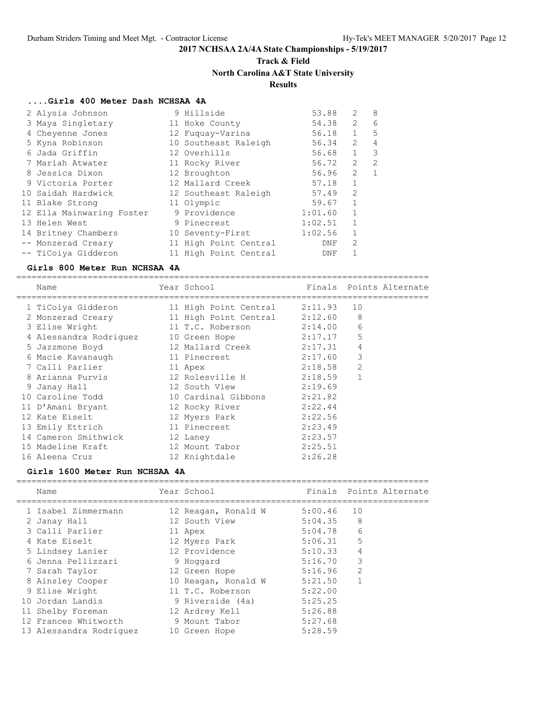# **Track & Field North Carolina A&T State University**

### **Results**

#### **....Girls 400 Meter Dash NCHSAA 4A**

| 2 Alysia Johnson          | 9 Hillside            | 53.88   | 2              | 8              |
|---------------------------|-----------------------|---------|----------------|----------------|
| 3 Maya Singletary         | 11 Hoke County        | 54.38   | 2              | 6              |
| 4 Cheyenne Jones          | 12 Fuquay-Varina      | 56.18   | $\mathbf{1}$   | 5              |
| 5 Kyna Robinson           | 10 Southeast Raleigh  | 56.34   | $\overline{2}$ | $\overline{4}$ |
| 6 Jada Griffin            | 12 Overhills          | 56.68   | $\mathbf{1}$   | 3              |
| 7 Mariah Atwater          | 11 Rocky River        | 56.72   | $\mathfrak{L}$ | $\mathcal{P}$  |
| 8 Jessica Dixon           | 12 Broughton          | 56.96   | $\mathfrak{L}$ | $\mathbf{1}$   |
| 9 Victoria Porter         | 12 Mallard Creek      | 57.18   | 1              |                |
| 10 Saidah Hardwick        | 12 Southeast Raleigh  | 57.49   | $\overline{2}$ |                |
| 11 Blake Strong           | 11 Olympic            | 59.67   |                |                |
| 12 Ella Mainwaring Foster | 9 Providence          | 1:01.60 | $\mathbf{1}$   |                |
| 13 Helen West             | 9 Pinecrest           | 1:02.51 |                |                |
| 14 Britney Chambers       | 10 Seventy-First      | 1:02.56 | 1              |                |
| -- Monzerad Creary        | 11 High Point Central | DNF     | $\overline{2}$ |                |
| -- TiCoiya Gidderon       | 11 High Point Central | DNF     |                |                |

#### **Girls 800 Meter Run NCHSAA 4A**

================================================================================= Name **The Year School Containst Points Alternate** ================================================================================= 1 TiCoiya Gidderon 11 High Point Central 2:11.93 10 2 Monzerad Creary 11 High Point Central 2:12.60 8 3 Elise Wright 11 T.C. Roberson 2:14.00 6 4 Alessandra Rodriguez 10 Green Hope 2:17.17 5 5 Jazzmone Boyd 12 Mallard Creek 2:17.31 4 6 Macie Kavanaugh 11 Pinecrest 2:17.60 3 7 Calli Parlier 11 Apex 2:18.58 2 8 Arianna Purvis 12 Rolesville H 2:18.59 1 9 Janay Hall 12 South View 2:19.69 10 Caroline Todd 10 Cardinal Gibbons 2:21.82 11 D'Amani Bryant 12 Rocky River 2:22.44 12 Kate Eiselt 12 Myers Park 2:22.56 13 Emily Ettrich 11 Pinecrest 2:23.49 14 Cameron Smithwick 12 Laney 2:23.57 15 Madeline Kraft 12 Mount Tabor 2:25.51 16 Aleena Cruz 12 Knightdale 2:26.28

#### **Girls 1600 Meter Run NCHSAA 4A**

| Name                    | Year School         |         | Finals Points Alternate |
|-------------------------|---------------------|---------|-------------------------|
| 1 Isabel Zimmermann     | 12 Reagan, Ronald W | 5:00.46 | 10                      |
| 2 Janay Hall            | 12 South View       | 5:04.35 | 8                       |
| 3 Calli Parlier         | 11 Apex             | 5:04.78 | 6                       |
| 4 Kate Eiselt           | 12 Myers Park       | 5:06.31 | 5                       |
| 5 Lindsey Lanier        | 12 Providence       | 5:10.33 | $\overline{4}$          |
| 6 Jenna Pellizzari      | 9 Hoqqard           | 5:16.70 | 3                       |
| 7 Sarah Taylor          | 12 Green Hope       | 5:16.96 | $\overline{2}$          |
| 8 Ainsley Cooper        | 10 Reagan, Ronald W | 5:21.50 |                         |
| 9 Elise Wright          | 11 T.C. Roberson    | 5:22.00 |                         |
| 10 Jordan Landis        | 9 Riverside (4a)    | 5:25.25 |                         |
| 11 Shelby Foreman       | 12 Ardrey Kell      | 5:26.88 |                         |
| 12 Frances Whitworth    | 9 Mount Tabor       | 5:27.68 |                         |
| 13 Alessandra Rodriquez | 10 Green Hope       | 5:28.59 |                         |
|                         |                     |         |                         |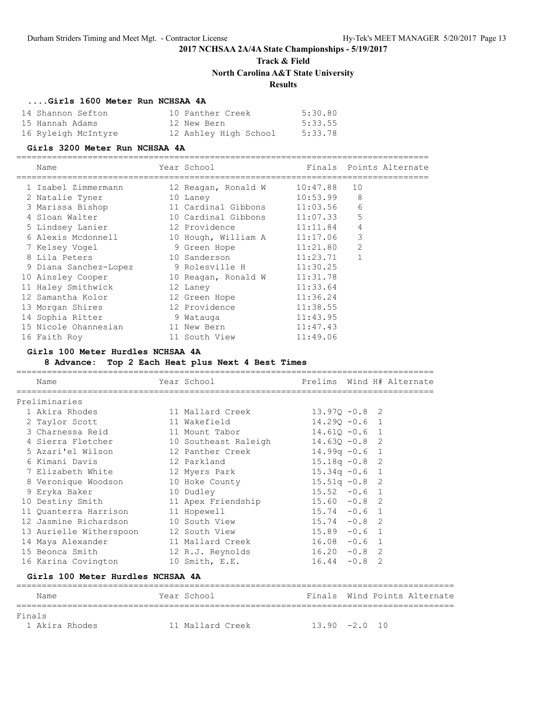# **Track & Field**

**North Carolina A&T State University**

### **Results**

### **....Girls 1600 Meter Run NCHSAA 4A**

| 14 Shannon Sefton   | 10 Panther Creek      | 5:30.80 |
|---------------------|-----------------------|---------|
| 15 Hannah Adams     | 12 New Bern           | 5:33.55 |
| 16 Ryleigh McIntyre | 12 Ashley High School | 5:33.78 |

#### **Girls 3200 Meter Run NCHSAA 4A**

# =================================================================================

| Name                  | Year School         |          | Finals Points Alternate |
|-----------------------|---------------------|----------|-------------------------|
| 1 Isabel Zimmermann   | 12 Reagan, Ronald W | 10:47.88 | 10                      |
| 2 Natalie Tyner       | 10 Laney            | 10:53.99 | 8                       |
| 3 Marissa Bishop      | 11 Cardinal Gibbons | 11:03.56 | 6                       |
| 4 Sloan Walter        | 10 Cardinal Gibbons | 11:07.33 | 5                       |
| 5 Lindsey Lanier      | 12 Providence       | 11:11.84 | $\overline{4}$          |
| 6 Alexis Mcdonnell    | 10 Hough, William A | 11:17.06 | 3                       |
| 7 Kelsey Vogel        | 9 Green Hope        | 11:21.80 | 2                       |
| 8 Lila Peters         | 10 Sanderson        | 11:23.71 | $\mathbf 1$             |
| 9 Diana Sanchez-Lopez | 9 Rolesville H      | 11:30.25 |                         |
| 10 Ainsley Cooper     | 10 Reagan, Ronald W | 11:31.78 |                         |
| 11 Haley Smithwick    | 12 Laney            | 11:33.64 |                         |
| 12 Samantha Kolor     | 12 Green Hope       | 11:36.24 |                         |
| 13 Morgan Shires      | 12 Providence       | 11:38.55 |                         |
| 14 Sophia Ritter      | 9 Watauga           | 11:43.95 |                         |
| 15 Nicole Ohannesian  | 11 New Bern         | 11:47.43 |                         |
| 16 Faith Roy          | 11 South View       | 11:49.06 |                         |

#### **Girls 100 Meter Hurdles NCHSAA 4A**

### **8 Advance: Top 2 Each Heat plus Next 4 Best Times**

| Name                                                 | Year School and the School and the School |                  |        | Prelims Wind H# Alternate |
|------------------------------------------------------|-------------------------------------------|------------------|--------|---------------------------|
| Preliminaries                                        |                                           |                  |        |                           |
| 1 Akira Rhodes                                       | 11 Mallard Creek                          | $13.970 - 0.8$ 2 |        |                           |
| 2 Taylor Scott                                       | 11 Wakefield                              | $14.290 - 0.6$ 1 |        |                           |
| 3 Charnessa Reid and 11 Mount Tabor                  |                                           | $14.610 - 0.6$ 1 |        |                           |
| 4 Sierra Fletcher 10 Southeast Raleigh               |                                           | $14.63Q - 0.8$ 2 |        |                           |
| 5 Azari'el Wilson                   12 Panther Creek |                                           | $14.99q - 0.6$ 1 |        |                           |
| 6 Kimani Davis<br>12 Parkland                        |                                           | $15.18q - 0.8$ 2 |        |                           |
| 7 Elizabeth White 12 Myers Park                      |                                           | $15.34q -0.6$ 1  |        |                           |
|                                                      |                                           | $15.51q - 0.8$ 2 |        |                           |
| 9 Eryka Baker<br>10 Dudley                           |                                           | $15.52 -0.6$ 1   |        |                           |
| 10 Destiny Smith 11 Apex Friendship                  |                                           | $15.60 -0.8$ 2   |        |                           |
| 11 Quanterra Harrison 11 Hopewell                    |                                           | $15.74 - 0.6$ 1  |        |                           |
| 12 Jasmine Richardson 10 South View                  |                                           | $15.74 -0.8$ 2   |        |                           |
| 13 Aurielle Witherspoon 12 South View                |                                           | $15.89 - 0.6$ 1  |        |                           |
| 14 Maya Alexander                                    | 11 Mallard Creek                          | $16.08 - 0.6$ 1  |        |                           |
| 15 Beonca Smith                                      | 12 R.J. Reynolds                          | $16.20 -0.8$ 2   |        |                           |
| 16 Karina Covington                                  | 10 Smith, E.E.                            | 16.44            | $-0.8$ | 2                         |

### **Girls 100 Meter Hurdles NCHSAA 4A**

| Name           | Year School      | Finals Wind Points Alternate |
|----------------|------------------|------------------------------|
| Finals         |                  |                              |
| 1 Akira Rhodes | 11 Mallard Creek | $13.90 - 2.0 10$             |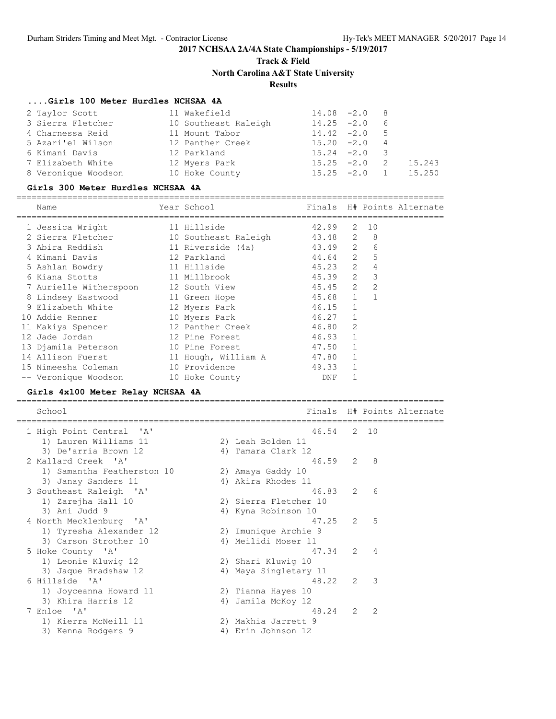## **Track & Field North Carolina A&T State University**

### **Results**

### **....Girls 100 Meter Hurdles NCHSAA 4A**

| 2 Taylor Scott      | 11 Wakefield         | $14.08 - 2.0$ 8 |  |                       |
|---------------------|----------------------|-----------------|--|-----------------------|
| 3 Sierra Fletcher   | 10 Southeast Raleigh | $14.25 -2.0$ 6  |  |                       |
| 4 Charnessa Reid    | 11 Mount Tabor       | $14.42 -2.0$ 5  |  |                       |
| 5 Azari'el Wilson   | 12 Panther Creek     | $15.20 -2.0 4$  |  |                       |
| 6 Kimani Davis      | 12 Parkland          | $15.24 -2.0$ 3  |  |                       |
| 7 Elizabeth White   | 12 Myers Park        | $15.25 -2.0$ 2  |  | 15.243                |
| 8 Veronique Woodson | 10 Hoke County       |                 |  | $15.25 -2.0 1 15.250$ |

#### **Girls 300 Meter Hurdles NCHSAA 4A**

====================================================================================

| Name |                                                                                                                                                                                                                                                                                           |                    | Finals                                                                                                                                                                                                                                                                                                                             |              |                                                                                                                 |                                                             |
|------|-------------------------------------------------------------------------------------------------------------------------------------------------------------------------------------------------------------------------------------------------------------------------------------------|--------------------|------------------------------------------------------------------------------------------------------------------------------------------------------------------------------------------------------------------------------------------------------------------------------------------------------------------------------------|--------------|-----------------------------------------------------------------------------------------------------------------|-------------------------------------------------------------|
|      |                                                                                                                                                                                                                                                                                           |                    | 42.99                                                                                                                                                                                                                                                                                                                              |              | 10                                                                                                              |                                                             |
|      |                                                                                                                                                                                                                                                                                           |                    |                                                                                                                                                                                                                                                                                                                                    |              | - 8                                                                                                             |                                                             |
|      |                                                                                                                                                                                                                                                                                           |                    |                                                                                                                                                                                                                                                                                                                                    |              | 6                                                                                                               |                                                             |
|      |                                                                                                                                                                                                                                                                                           |                    |                                                                                                                                                                                                                                                                                                                                    |              |                                                                                                                 |                                                             |
|      |                                                                                                                                                                                                                                                                                           |                    |                                                                                                                                                                                                                                                                                                                                    |              | 4                                                                                                               |                                                             |
|      |                                                                                                                                                                                                                                                                                           |                    |                                                                                                                                                                                                                                                                                                                                    |              | $\overline{\phantom{a}}$                                                                                        |                                                             |
|      |                                                                                                                                                                                                                                                                                           |                    |                                                                                                                                                                                                                                                                                                                                    |              | 2                                                                                                               |                                                             |
|      |                                                                                                                                                                                                                                                                                           |                    |                                                                                                                                                                                                                                                                                                                                    |              |                                                                                                                 |                                                             |
|      |                                                                                                                                                                                                                                                                                           |                    |                                                                                                                                                                                                                                                                                                                                    | $\mathbf{1}$ |                                                                                                                 |                                                             |
|      |                                                                                                                                                                                                                                                                                           |                    |                                                                                                                                                                                                                                                                                                                                    |              |                                                                                                                 |                                                             |
|      |                                                                                                                                                                                                                                                                                           |                    |                                                                                                                                                                                                                                                                                                                                    | 2            |                                                                                                                 |                                                             |
|      |                                                                                                                                                                                                                                                                                           |                    |                                                                                                                                                                                                                                                                                                                                    |              |                                                                                                                 |                                                             |
|      |                                                                                                                                                                                                                                                                                           |                    |                                                                                                                                                                                                                                                                                                                                    | $\mathbf{1}$ |                                                                                                                 |                                                             |
|      |                                                                                                                                                                                                                                                                                           |                    |                                                                                                                                                                                                                                                                                                                                    | $\mathbf{1}$ |                                                                                                                 |                                                             |
|      |                                                                                                                                                                                                                                                                                           |                    |                                                                                                                                                                                                                                                                                                                                    |              |                                                                                                                 |                                                             |
|      |                                                                                                                                                                                                                                                                                           |                    | DNF                                                                                                                                                                                                                                                                                                                                |              |                                                                                                                 |                                                             |
|      | 1 Jessica Wright<br>2 Sierra Fletcher<br>3 Abira Reddish<br>4 Kimani Davis<br>5 Ashlan Bowdry<br>6 Kiana Stotts<br>9 Elizabeth White<br>10 Addie Renner<br>11 Makiya Spencer<br>12 Jade Jordan<br>13 Djamila Peterson<br>14 Allison Fuerst<br>15 Nimeesha Coleman<br>-- Veronique Woodson | 8 Lindsey Eastwood | Year School<br>11 Hillside<br>10 Southeast Raleigh<br>11 Riverside (4a)<br>12 Parkland<br>11 Hillside<br>11 Millbrook<br>7 Aurielle Witherspoon 12 South View<br>11 Green Hope<br>12 Myers Park<br>10 Myers Park<br>12 Panther Creek<br>12 Pine Forest<br>10 Pine Forest<br>11 Hough, William A<br>10 Providence<br>10 Hoke County |              | 43.48 2<br>$45.23$ 2<br>45.45 2<br>45.68 1<br>46.15<br>$46.27$ 1<br>46.80<br>46.93 1<br>47.50<br>47.80<br>49.33 | H# Points Alternate<br>2<br>43.49 2<br>44.64 2 5<br>45.39 2 |

### **Girls 4x100 Meter Relay NCHSAA 4A**

| School                                        |    |                                         |                | Finals H# Points Alternate |
|-----------------------------------------------|----|-----------------------------------------|----------------|----------------------------|
| 1 High Point Central 'A'                      |    | 46.54                                   |                | 2 10                       |
| 1) Lauren Williams 11<br>3) De'arria Brown 12 |    | 2) Leah Bolden 11<br>4) Tamara Clark 12 |                |                            |
| 2 Mallard Creek 'A'                           |    | 46.59 2 8                               |                |                            |
| 1) Samantha Featherston 10                    |    | 2) Amaya Gaddy 10                       |                |                            |
| 3) Janay Sanders 11                           |    | 4) Akira Rhodes 11                      |                |                            |
| 3 Southeast Raleigh 'A'                       |    | 46.83                                   | 2              | 6                          |
| 1) Zarejha Hall 10                            |    | 2) Sierra Fletcher 10                   |                |                            |
| 3) Ani Judd 9                                 |    | 4) Kyna Robinson 10                     |                |                            |
| 4 North Mecklenburg 'A'                       |    | 47.25                                   | $\overline{2}$ | 5                          |
| 1) Tyresha Alexander 12                       |    | 2) Imunique Archie 9                    |                |                            |
| 3) Carson Strother 10                         |    | 4) Meilidi Moser 11                     |                |                            |
| 5 Hoke County 'A'                             |    | 47.34 2 4                               |                |                            |
| 1) Leonie Kluwig 12                           |    | 2) Shari Kluwig 10                      |                |                            |
| 3) Jaque Bradshaw 12                          |    | 4) Maya Singletary 11                   |                |                            |
| 6 Hillside 'A'                                |    | 48.22                                   | 2              | $\mathcal{E}$              |
| 1) Joyceanna Howard 11<br>3) Khira Harris 12  |    | 2) Tianna Hayes 10                      |                |                            |
| 7 Enloe 'A'                                   |    | 4) Jamila McKoy 12<br>48.24             | 2              | $\mathcal{L}$              |
| 1) Kierra McNeill 11                          |    | 2) Makhia Jarrett 9                     |                |                            |
| 3) Kenna Rodgers 9                            | 4) | Erin Johnson 12                         |                |                            |
|                                               |    |                                         |                |                            |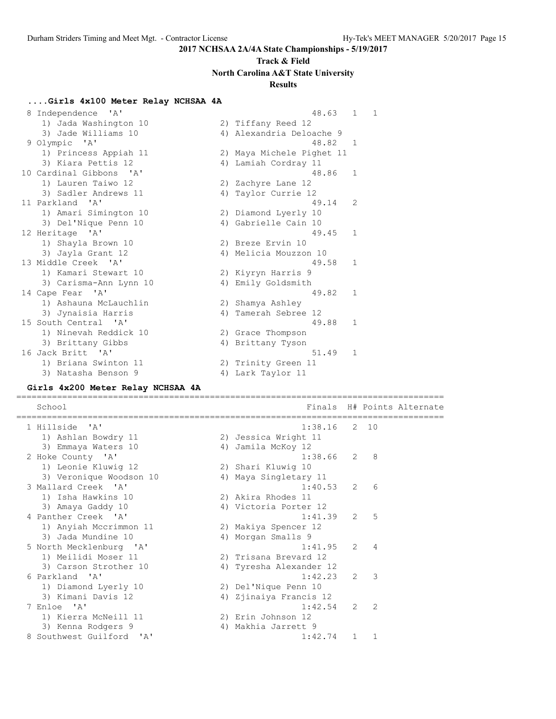# **Track & Field North Carolina A&T State University**

### **Results**

#### **....Girls 4x100 Meter Relay NCHSAA 4A**

| 8 | Independence 'A'        | 48.63                     | 1            | $\mathbf{1}$ |
|---|-------------------------|---------------------------|--------------|--------------|
|   | 1) Jada Washington 10   | 2) Tiffany Reed 12        |              |              |
|   | 3) Jade Williams 10     | 4) Alexandria Deloache 9  |              |              |
|   | 9 Olympic 'A'           | 48.82                     | -1           |              |
|   | 1) Princess Appiah 11   | 2) Maya Michele Pighet 11 |              |              |
|   | 3) Kiara Pettis 12      | 4) Lamiah Cordray 11      |              |              |
|   | 10 Cardinal Gibbons 'A' | 48.86                     | $\mathbf{1}$ |              |
|   | 1) Lauren Taiwo 12      | 2) Zachyre Lane 12        |              |              |
|   | 3) Sadler Andrews 11    | 4) Taylor Currie 12       |              |              |
|   | 11 Parkland 'A'         | 49.14                     | 2            |              |
|   | 1) Amari Simington 10   | 2) Diamond Lyerly 10      |              |              |
|   | 3) Del'Nique Penn 10    | 4) Gabrielle Cain 10      |              |              |
|   | 12 Heritage 'A'         | 49.45                     | $\mathbf{1}$ |              |
|   | 1) Shayla Brown 10      | 2) Breze Ervin 10         |              |              |
|   | 3) Jayla Grant 12       | 4) Melicia Mouzzon 10     |              |              |
|   | 13 Middle Creek 'A'     | 49.58                     | $\mathbf{1}$ |              |
|   | 1) Kamari Stewart 10    | 2) Kiyryn Harris 9        |              |              |
|   | 3) Carisma-Ann Lynn 10  | 4) Emily Goldsmith        |              |              |
|   | 14 Cape Fear 'A'        | 49.82                     | $\mathbf{1}$ |              |
|   | 1) Ashauna McLauchlin   | 2) Shamya Ashley          |              |              |
|   | 3) Jynaisia Harris      | 4) Tamerah Sebree 12      |              |              |
|   | 15 South Central 'A'    | 49.88                     | 1            |              |
|   | 1) Ninevah Reddick 10   | 2) Grace Thompson         |              |              |
|   | 3) Brittany Gibbs       | 4) Brittany Tyson         |              |              |
|   | 16 Jack Britt 'A'       | 51.49                     | $\mathbf{1}$ |              |
|   | 1) Briana Swinton 11    | 2) Trinity Green 11       |              |              |
|   | 3) Natasha Benson 9     | 4) Lark Taylor 11         |              |              |

### **Girls 4x200 Meter Relay NCHSAA 4A**

==================================================================================== School **Finals H# Points Alternate** ==================================================================================== 1 Hillside 'A' 1:38.16 2 10 1) Ashlan Bowdry 11 2) Jessica Wright 11 3) Emmaya Waters 10  $\hskip1cm$  4) Jamila McKoy 12 2 Hoke County 'A' 1:38.66 2 8 1) Leonie Kluwig 12 2) Shari Kluwig 10 3) Veronique Woodson 10 4) Maya Singletary 11 3 Mallard Creek 'A' 1:40.53 2 6 1) Isha Hawkins 10 2) Akira Rhodes 11 3) Amaya Gaddy 10 4) Victoria Porter 12 4 Panther Creek 'A' 1:41.39 2 5 1) Anyiah Mccrimmon 11 2) Makiya Spencer 12 3) Jada Mundine 10  $\hskip1cm \hskip1cm 4$ ) Morgan Smalls 9 5 North Mecklenburg 'A' 1:41.95 2 4 1) Meilidi Moser 11 2) Trisana Brevard 12 3) Carson Strother 10 4) Tyresha Alexander 12 6 Parkland 'A' 1:42.23 2 3 1) Diamond Lyerly 10 2) Del'Nique Penn 10 3) Kimani Davis 12 4) Zjinaiya Francis 12 7 Enloe 'A' 1:42.54 2 2 1) Kierra McNeill 11 2) Erin Johnson 12 3) Kenna Rodgers 9 4) Makhia Jarrett 9 8 Southwest Guilford 'A' 1:42.74 1 1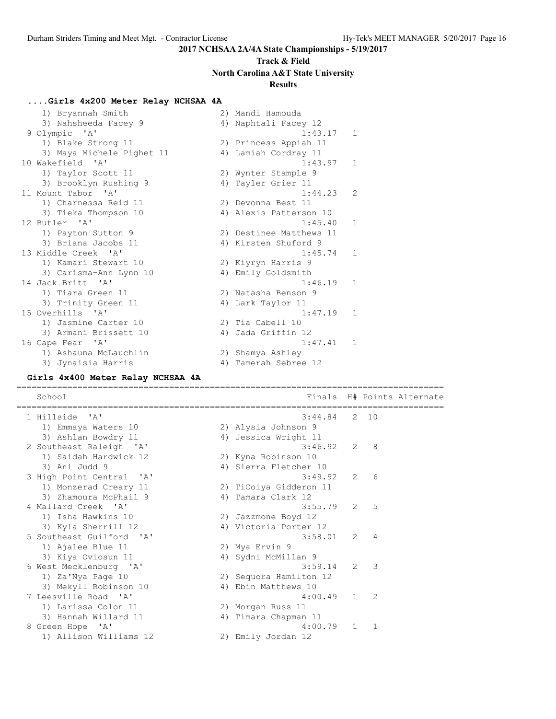# **Track & Field North Carolina A&T State University**

### **Results**

#### **....Girls 4x200 Meter Relay NCHSAA 4A**

| 1) Bryannah Smith         | 2) Mandi Hamouda         |
|---------------------------|--------------------------|
| 3) Nahsheeda Facey 9      | 4) Naphtali Facey 12     |
| 9 Olympic 'A'             | 1:43.17<br>$\mathbf{1}$  |
| 1) Blake Strong 11        | 2) Princess Appiah 11    |
| 3) Maya Michele Pighet 11 | 4) Lamiah Cordray 11     |
| 10 Wakefield 'A'          | 1:43.97<br>$\mathbf{1}$  |
| 1) Taylor Scott 11        | 2) Wynter Stample 9      |
| 3) Brooklyn Rushing 9     | 4) Tayler Grier 11       |
| 11 Mount Tabor 'A'        | 1:44.23<br>$\mathcal{L}$ |
| 1) Charnessa Reid 11      | 2) Devonna Best 11       |
| 3) Tieka Thompson 10      | 4) Alexis Patterson 10   |
| 12 Butler 'A'             | 1:45.40<br>$\mathbf{1}$  |
| 1) Payton Sutton 9        | 2) Destinee Matthews 11  |
| 3) Briana Jacobs 11       | 4) Kirsten Shuford 9     |
| 13 Middle Creek 'A'       | $\mathbf{1}$<br>1:45.74  |
| 1) Kamari Stewart 10      | 2) Kiyryn Harris 9       |
| 3) Carisma-Ann Lynn 10    | 4) Emily Goldsmith       |
| 14 Jack Britt 'A'         | 1:46.19<br>$\mathbf{1}$  |
| 1) Tiara Green 11         | 2) Natasha Benson 9      |
| 3) Trinity Green 11       | 4) Lark Taylor 11        |
| 15 Overhills 'A'          | 1:47.19<br>$\mathbf{1}$  |
| 1) Jasmine Carter 10      | 2) Tia Cabell 10         |
| 3) Armani Brissett 10     | 4) Jada Griffin 12       |
| 16 Cape Fear 'A'          | 1:47.41<br>1             |
| 1) Ashauna McLauchlin     | 2) Shamya Ashley         |
| 3) Jynaisia Harris        | 4) Tamerah Sebree 12     |

#### **Girls 4x400 Meter Relay NCHSAA 4A**

==================================================================================== School **Finals** H# Points Alternate ==================================================================================== 1 Hillside 'A' 3:44.84 2 10 1) Emmaya Waters 10 2) Alysia Johnson 9 3) Ashlan Bowdry 11 1 4) Jessica Wright 11 2 Southeast Raleigh 'A' 3:46.92 2 8 1) Saidah Hardwick 12 2) Kyna Robinson 10 3) Ani Judd 9 4) Sierra Fletcher 10 3 High Point Central 'A' 3:49.92 2 6 1) Monzerad Creary 11 2) TiCoiya Gidderon 11 3) Zhamoura McPhail 9  $\hskip1cm$  4) Tamara Clark 12 4 Mallard Creek 'A' 3:55.79 2 5 1) Isha Hawkins 10 2) Jazzmone Boyd 12 3) Kyla Sherrill 12 4) Victoria Porter 12 5 Southeast Guilford 'A' 3:58.01 2 4 1) Ajalee Blue 11 2) Mya Ervin 9 3) Kiya Oviosun 11 4) Sydni McMillan 9 6 West Mecklenburg 'A' 3:59.14 2 3 1) Za'Nya Page 10 2) Sequora Hamilton 12 3) Mekyll Robinson 10 <a>
4) Ebin Matthews 10 7 Leesville Road 'A' 4:00.49 1 2 1) Larissa Colon 11 2) Morgan Russ 11 3) Hannah Willard 11 4) Timara Chapman 11 8 Green Hope 'A' 4:00.79 1 1 1) Allison Williams 12 2) Emily Jordan 12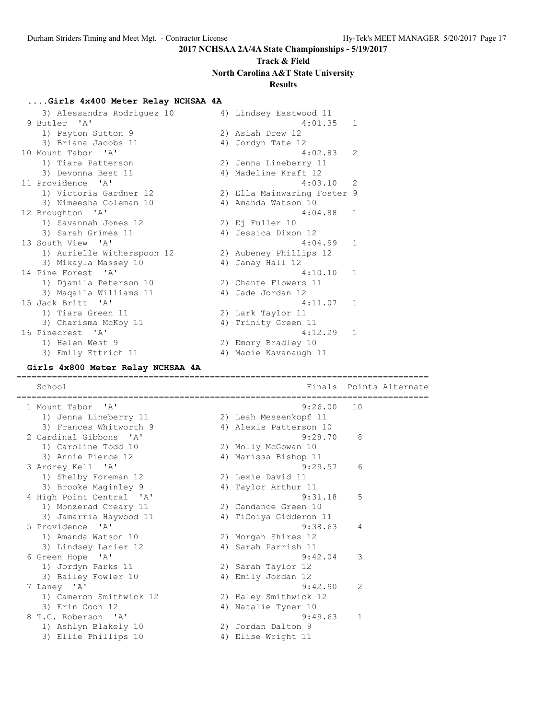# **Track & Field North Carolina A&T State University**

### **Results**

### **....Girls 4x400 Meter Relay NCHSAA 4A**

 3) Alessandra Rodriguez 10 4) Lindsey Eastwood 11 9 Butler 'A' 4:01.35 1 1) Payton Sutton 9 2) Asiah Drew 12 3) Briana Jacobs 11 <a>>4) Jordyn Tate 12 10 Mount Tabor 'A' 4:02.83 2 1) Tiara Patterson 2) Jenna Lineberry 11 3) Devonna Best 11 (4) Madeline Kraft 12 11 Providence 'A' 4:03.10 2 1) Victoria Gardner 12 2) Ella Mainwaring Foster 9 3) Nimeesha Coleman 10  $\hspace{1cm}$  4) Amanda Watson 10 12 Broughton 'A' 4:04.88 1 1) Savannah Jones 12 2) Ej Fuller 10 3) Sarah Grimes 11 (4) Jessica Dixon 12 13 South View 'A' 4:04.99 1 1) Aurielle Witherspoon 12 2) Aubeney Phillips 12 3) Mikayla Massey 10 4) Janay Hall 12 14 Pine Forest 'A' 4:10.10 1 1) Djamila Peterson 10 2) Chante Flowers 11 3) Maqaila Williams 11  $\qquad \qquad$  4) Jade Jordan 12 15 Jack Britt 'A' 4:11.07 1 1) Tiara Green 11 2) Lark Taylor 11 3) Charisma McKoy 11 (4) Trinity Green 11 16 Pinecrest 'A' 4:12.29 1 1) Helen West 9 2) Emory Bradley 10 3) Emily Ettrich 11 4) Macie Kavanaugh 11

#### **Girls 4x800 Meter Relay NCHSAA 4A**

================================================================================= School **Finals** Points Alternate ================================================================================= 1 Mount Tabor 'A' 9:26.00 10 1) Jenna Lineberry 11 2) Leah Messenkopf 11 3) Frances Whitworth 9 4) Alexis Patterson 10 2 Cardinal Gibbons 'A' 9:28.70 8 1) Caroline Todd 10 2) Molly McGowan 10 3) Annie Pierce 12 19 12 12 12 13 13 14 13 14 13 14 14 14 15 16 17 17 18 18 19 1 3 Ardrey Kell 'A' 9:29.57 6 1) Shelby Foreman 12 2) Lexie David 11 3) Brooke Maginley 9 1988 4) Taylor Arthur 11 4 High Point Central 'A' 9:31.18 5 1) Monzerad Creary 11 2) Candance Green 10 3) Jamarria Haywood 11 4) TiCoiya Gidderon 11 5 Providence 'A' 9:38.63 4 1) Amanda Watson 10 2) Morgan Shires 12 3) Lindsey Lanier 12 4) Sarah Parrish 11 6 Green Hope 'A' 9:42.04 3 1) Jordyn Parks 11 2) Sarah Taylor 12 3) Bailey Fowler 10 4) Emily Jordan 12 7 Laney 'A' 9:42.90 2 1) Cameron Smithwick 12 2) Haley Smithwick 12 3) Erin Coon 12 12 12 12 12 13 13 14 13 14 14 15 16 17 17 18 18 19 19 10 8 T.C. Roberson 'A' 9:49.63 1 1) Ashlyn Blakely 10 2) Jordan Dalton 9 3) Ellie Phillips 10 (4) Elise Wright 11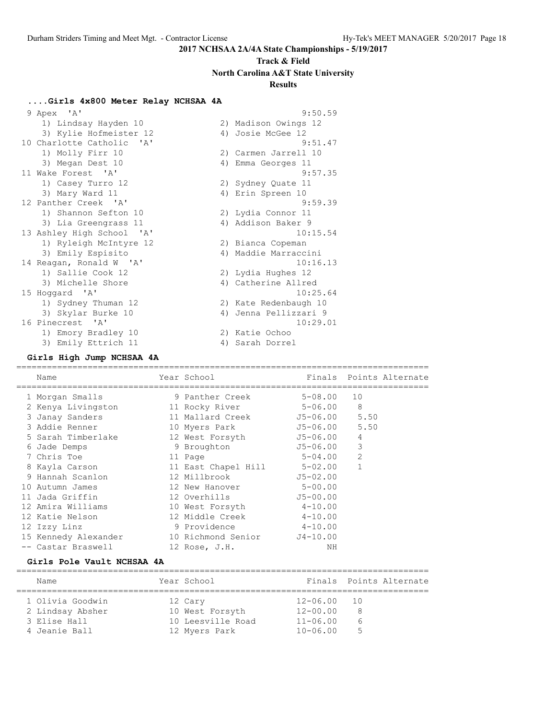# **Track & Field North Carolina A&T State University**

## **Results**

### **....Girls 4x800 Meter Relay NCHSAA 4A**

| 9 Apex 'A'                | 9:50.59               |
|---------------------------|-----------------------|
| 1) Lindsay Hayden 10      | 2) Madison Owings 12  |
| 3) Kylie Hofmeister 12    | 4) Josie McGee 12     |
| 10 Charlotte Catholic 'A' | 9:51.47               |
| 1) Molly Firr 10          | 2) Carmen Jarrell 10  |
| 3) Megan Dest 10          | 4) Emma Georges 11    |
| 11 Wake Forest 'A'        | 9:57.35               |
| 1) Casey Turro 12         | 2) Sydney Quate 11    |
| 3) Mary Ward 11           | 4) Erin Spreen 10     |
| 12 Panther Creek 'A'      | 9:59.39               |
| 1) Shannon Sefton 10      | 2) Lydia Connor 11    |
| 3) Lia Greengrass 11      | 4) Addison Baker 9    |
| 13 Ashley High School 'A' | 10:15.54              |
| 1) Ryleigh McIntyre 12    | 2) Bianca Copeman     |
| 3) Emily Espisito         | 4) Maddie Marraccini  |
| 14 Reagan, Ronald W 'A'   | 10:16.13              |
| 1) Sallie Cook 12         | 2) Lydia Hughes 12    |
| 3) Michelle Shore         | 4) Catherine Allred   |
| 15 Hoqqard 'A'            | 10:25.64              |
| 1) Sydney Thuman 12       | 2) Kate Redenbaugh 10 |
| 3) Skylar Burke 10        | 4) Jenna Pellizzari 9 |
| 16 Pinecrest 'A'          | 10:29.01              |
| 1) Emory Bradley 10       | 2) Katie Ochoo        |
| 3) Emily Ettrich 11       | 4) Sarah Dorrel       |

### **Girls High Jump NCHSAA 4A**

|  | Name                              | Year School                 |             |                | Finals Points Alternate |
|--|-----------------------------------|-----------------------------|-------------|----------------|-------------------------|
|  | 1 Morgan Smalls                   | 9 Panther Creek 5-08.00     |             | 10             |                         |
|  | 2 Kenya Livingston 11 Rocky River |                             | $5 - 06.00$ | 8              |                         |
|  | 3 Janay Sanders                   | 11 Mallard Creek 5.50       |             |                |                         |
|  | 3 Addie Renner                    | 10 Myers Park 55-06.00 5.50 |             |                |                         |
|  | 5 Sarah Timberlake                | 12 West Forsyth 55-06.00    |             | $\overline{4}$ |                         |
|  | 6 Jade Demps                      | $J5-06.00$<br>9 Broughton   |             | 3              |                         |
|  | 7 Chris Toe                       | 11 Page                     | 5-04.00     | $\overline{2}$ |                         |
|  | 8 Kayla Carson                    | 11 East Chapel Hill         | $5 - 02.00$ | $\mathbf{1}$   |                         |
|  | 9 Hannah Scanlon                  | 12 Millbrook                | $J5-02.00$  |                |                         |
|  | 10 Autumn James                   | 12 New Hanover              | $5 - 00.00$ |                |                         |
|  | 11 Jada Griffin                   | 12 Overhills                | J5-00.00    |                |                         |
|  | 12 Amira Williams                 | 10 West Forsyth             | $4 - 10.00$ |                |                         |
|  | 12 Katie Nelson                   | 12 Middle Creek 4-10.00     |             |                |                         |
|  | 12 Izzy Linz                      | 9 Providence                | $4 - 10.00$ |                |                         |
|  | 15 Kennedy Alexander              | 10 Richmond Senior          | $J4-10.00$  |                |                         |
|  | -- Castar Braswell                | 12 Rose, $J.H.$             | ΝH          |                |                         |
|  |                                   |                             |             |                |                         |

### **Girls Pole Vault NCHSAA 4A**

| Name                             | Year School                          |                          | Finals Points Alternate |
|----------------------------------|--------------------------------------|--------------------------|-------------------------|
| 1 Olivia Goodwin                 | 12 Cary                              | 12-06.00<br>$12 - 00.00$ | 10<br>8                 |
| 2 Lindsay Absher<br>3 Elise Hall | 10 West Forsyth<br>10 Leesville Road | $11 - 06.00$             | 6                       |
| 4 Jeanie Ball                    | 12 Myers Park                        | $10 - 06.00$             | 5                       |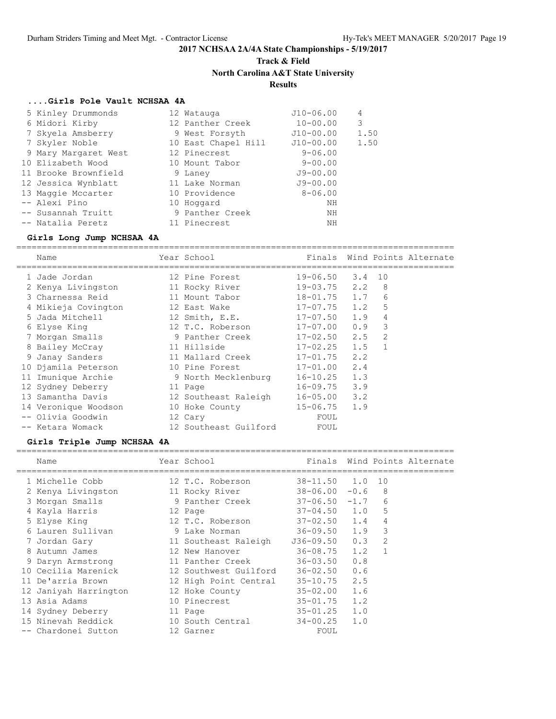## **Track & Field North Carolina A&T State University**

### **Results**

### **....Girls Pole Vault NCHSAA 4A**

| 5 Kinley Drummonds   | 12 Watauga          | $J10-06.00$  | 4    |
|----------------------|---------------------|--------------|------|
| 6 Midori Kirby       | 12 Panther Creek    | $10 - 00.00$ | 3    |
| 7 Skyela Amsberry    | 9 West Forsyth      | $J10-00.00$  | 1.50 |
| 7 Skyler Noble       | 10 East Chapel Hill | J10-00.00    | 1.50 |
| 9 Mary Margaret West | 12 Pinecrest        | $9 - 06.00$  |      |
| 10 Elizabeth Wood    | 10 Mount Tabor      | $9 - 00.00$  |      |
| 11 Brooke Brownfield | 9 Laney             | $J9 - 00.00$ |      |
| 12 Jessica Wynblatt  | 11 Lake Norman      | $J9 - 00.00$ |      |
| 13 Maggie Mccarter   | 10 Providence       | $8 - 06.00$  |      |
| -- Alexi Pino        | 10 Hoqqard          | ΝH           |      |
| -- Susannah Truitt   | 9 Panther Creek     | ΝH           |      |
| -- Natalia Peretz    | 11 Pinecrest        | ΝH           |      |

## **Girls Long Jump NCHSAA 4A**

| Name                 | Year School                   |                  |     |              | Finals Wind Points Alternate |
|----------------------|-------------------------------|------------------|-----|--------------|------------------------------|
| 1 Jade Jordan        | 12 Pine Forest                | $19 - 06.50$ 3.4 |     | 10           |                              |
| 2 Kenya Livingston   | 11 Rocky River                | $19 - 03.75$ 2.2 |     | 8            |                              |
| 3 Charnessa Reid     | 11 Mount Tabor                | $18 - 01.75$ 1.7 |     | 6            |                              |
| 4 Mikieja Covington  | 12 East Wake                  | $17 - 07.75$ 1.2 |     | 5            |                              |
| 5 Jada Mitchell      | 12 Smith, E.E.                | $17 - 07.50$ 1.9 |     | 4            |                              |
| 6 Elyse King         | 12 T.C. Roberson 17-07.00 0.9 |                  |     | 3            |                              |
| 7 Morgan Smalls      | 9 Panther Creek               | $17 - 02.50$ 2.5 |     | 2            |                              |
| 8 Bailey McCray      | 11 Hillside                   | $17 - 02.25$ 1.5 |     | $\mathbf{1}$ |                              |
| 9 Janay Sanders      | 11 Mallard Creek              | $17 - 01.75$ 2.2 |     |              |                              |
| 10 Djamila Peterson  | 10 Pine Forest                | $17 - 01.00$ 2.4 |     |              |                              |
| 11 Imunique Archie   | 9 North Mecklenburg           | $16 - 10.25$ 1.3 |     |              |                              |
| 12 Sydney Deberry    | 11 Page                       | $16 - 09.75$ 3.9 |     |              |                              |
| 13 Samantha Davis    | 12 Southeast Raleigh          | $16 - 05.00$ 3.2 |     |              |                              |
| 14 Veronique Woodson | 10 Hoke County                | $15 - 06.75$     | 1.9 |              |                              |
| -- Olivia Goodwin    | 12 Cary                       | FOUL             |     |              |                              |
| -- Ketara Womack     | 12 Southeast Guilford         | FOUL             |     |              |                              |

### **Girls Triple Jump NCHSAA 4A**

| Name |                                                                                                                                                                                                                                                                                                                                 |                                                                                                                                                                                                                                              |                                                                    |                                                                                                                                                                                                     |                                                                                                 |
|------|---------------------------------------------------------------------------------------------------------------------------------------------------------------------------------------------------------------------------------------------------------------------------------------------------------------------------------|----------------------------------------------------------------------------------------------------------------------------------------------------------------------------------------------------------------------------------------------|--------------------------------------------------------------------|-----------------------------------------------------------------------------------------------------------------------------------------------------------------------------------------------------|-------------------------------------------------------------------------------------------------|
|      |                                                                                                                                                                                                                                                                                                                                 |                                                                                                                                                                                                                                              |                                                                    |                                                                                                                                                                                                     |                                                                                                 |
|      |                                                                                                                                                                                                                                                                                                                                 |                                                                                                                                                                                                                                              |                                                                    | 8                                                                                                                                                                                                   |                                                                                                 |
|      |                                                                                                                                                                                                                                                                                                                                 |                                                                                                                                                                                                                                              |                                                                    | 6                                                                                                                                                                                                   |                                                                                                 |
|      |                                                                                                                                                                                                                                                                                                                                 |                                                                                                                                                                                                                                              |                                                                    | 5                                                                                                                                                                                                   |                                                                                                 |
|      |                                                                                                                                                                                                                                                                                                                                 |                                                                                                                                                                                                                                              |                                                                    | 4                                                                                                                                                                                                   |                                                                                                 |
|      |                                                                                                                                                                                                                                                                                                                                 |                                                                                                                                                                                                                                              |                                                                    | 3                                                                                                                                                                                                   |                                                                                                 |
|      |                                                                                                                                                                                                                                                                                                                                 |                                                                                                                                                                                                                                              |                                                                    | $\overline{2}$                                                                                                                                                                                      |                                                                                                 |
|      |                                                                                                                                                                                                                                                                                                                                 |                                                                                                                                                                                                                                              |                                                                    |                                                                                                                                                                                                     |                                                                                                 |
|      |                                                                                                                                                                                                                                                                                                                                 |                                                                                                                                                                                                                                              | 0.8                                                                |                                                                                                                                                                                                     |                                                                                                 |
|      |                                                                                                                                                                                                                                                                                                                                 |                                                                                                                                                                                                                                              | 0.6                                                                |                                                                                                                                                                                                     |                                                                                                 |
|      |                                                                                                                                                                                                                                                                                                                                 |                                                                                                                                                                                                                                              | 2.5                                                                |                                                                                                                                                                                                     |                                                                                                 |
|      |                                                                                                                                                                                                                                                                                                                                 |                                                                                                                                                                                                                                              |                                                                    |                                                                                                                                                                                                     |                                                                                                 |
|      |                                                                                                                                                                                                                                                                                                                                 |                                                                                                                                                                                                                                              |                                                                    |                                                                                                                                                                                                     |                                                                                                 |
|      |                                                                                                                                                                                                                                                                                                                                 |                                                                                                                                                                                                                                              |                                                                    |                                                                                                                                                                                                     |                                                                                                 |
|      |                                                                                                                                                                                                                                                                                                                                 | $34 - 00.25$                                                                                                                                                                                                                                 | 1.0                                                                |                                                                                                                                                                                                     |                                                                                                 |
|      |                                                                                                                                                                                                                                                                                                                                 | FOUL                                                                                                                                                                                                                                         |                                                                    |                                                                                                                                                                                                     |                                                                                                 |
|      | 1 Michelle Cobb<br>2 Kenya Livingston<br>3 Morgan Smalls<br>4 Kayla Harris<br>5 Elyse King<br>6 Lauren Sullivan<br>7 Jordan Gary<br>8 Autumn James<br>9 Daryn Armstrong<br>10 Cecilia Marenick<br>11 De'arria Brown<br>12 Janiyah Harrington<br>13 Asia Adams<br>14 Sydney Deberry<br>15 Ninevah Reddick<br>-- Chardonei Sutton | Year School<br>12 T.C. Roberson<br>11 Rocky River<br>9 Panther Creek<br>12 Page<br>12 T.C. Roberson<br>9 Lake Norman<br>11 Southeast Raleigh<br>12 New Hanover<br>12 Hoke County<br>10 Pinecrest<br>11 Page<br>10 South Central<br>12 Garner | 11 Panther Creek<br>12 Southwest Guilford<br>12 High Point Central | $37 - 04.50$ 1.0<br>$37 - 02.50$ 1.4<br>$36 - 09.50$ 1.9<br>$J36-09.50$ 0.3<br>$36 - 08.75$ 1.2<br>36-03.50<br>36-02.50<br>$35 - 10.75$<br>$35 - 02.00$ 1.6<br>$35 - 01.75$ 1.2<br>$35 - 01.25$ 1.0 | Finals Wind Points Alternate<br>$38 - 11.50$ 1.0 10<br>$38 - 06.00 - 0.6$<br>$37 - 06.50 - 1.7$ |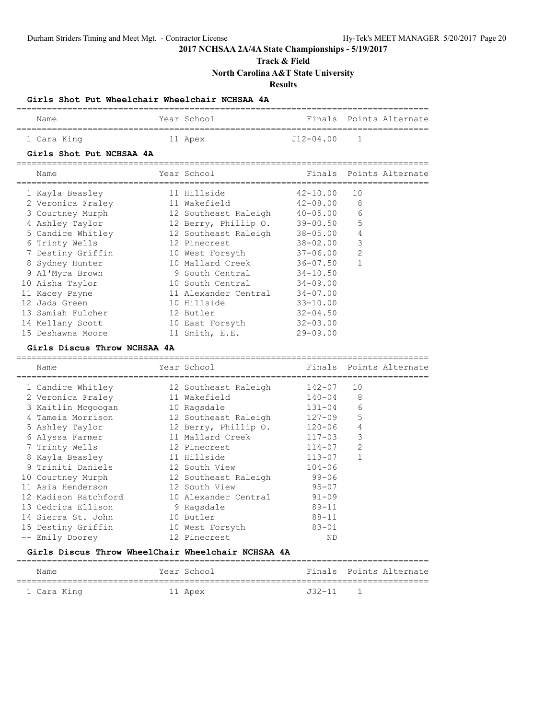**Track & Field**

**North Carolina A&T State University**

**Results**

### **Girls Shot Put Wheelchair Wheelchair NCHSAA 4A**

| Name        | Year School | Finals Points Alternate |
|-------------|-------------|-------------------------|
| 1 Cara King | 11 Apex     | J12-04.00               |

#### **Girls Shot Put NCHSAA 4A**

| Name              | Year School                   |              |                | Finals Points Alternate |
|-------------------|-------------------------------|--------------|----------------|-------------------------|
| 1 Kayla Beasley   | 11 Hillside                   | $42 - 10.00$ | 10             |                         |
| 2 Veronica Fraley | 11 Wakefield                  | $42 - 08.00$ | 8              |                         |
| 3 Courtney Murph  | 12 Southeast Raleigh 40-05.00 |              | 6              |                         |
| 4 Ashley Taylor   | 12 Berry, Phillip 0. 39-00.50 |              | 5              |                         |
| 5 Candice Whitley | 12 Southeast Raleigh          | 38-05.00     | $\overline{4}$ |                         |
| 6 Trinty Wells    | 12 Pinecrest                  | 38-02.00     | 3              |                         |
| 7 Destiny Griffin | 10 West Forsyth               | 37-06.00     | $\overline{2}$ |                         |
| 8 Sydney Hunter   | 10 Mallard Creek              | 36-07.50     |                |                         |
| 9 Al'Myra Brown   | 9 South Central               | 34-10.50     |                |                         |
| 10 Aisha Taylor   | 10 South Central              | $34 - 09.00$ |                |                         |
| 11 Kacey Payne    | 11 Alexander Central          | $34 - 07.00$ |                |                         |
| 12 Jada Green     | 10 Hillside                   | $33 - 10.00$ |                |                         |
| 13 Samiah Fulcher | 12 Butler                     | $32 - 04.50$ |                |                         |
| 14 Mellany Scott  | 10 East Forsyth               | $32 - 03.00$ |                |                         |
| 15 Deshawna Moore | 11 Smith, E.E.                | $29 - 09.00$ |                |                         |

#### **Girls Discus Throw NCHSAA 4A**

| Name                                   | Year School                 |            |                | Finals Points Alternate |
|----------------------------------------|-----------------------------|------------|----------------|-------------------------|
| 1 Candice Whitley                      | 12 Southeast Raleigh        | 142-07     | 10             |                         |
| 2 Veronica Fraley                      | 11 Wakefield                | $140 - 04$ | 8              |                         |
| 3 Kaitlin Mcgoogan                     | 10 Ragsdale                 | 131-04     | 6              |                         |
| 4 Tameia Morrison 12 Southeast Raleigh |                             | $127 - 09$ | 5              |                         |
| 5 Ashley Taylor                        | 12 Berry, Phillip 0. 120-06 |            | 4              |                         |
| 6 Alyssa Farmer                        | 11 Mallard Creek            | $117 - 03$ | 3              |                         |
| 7 Trinty Wells                         | 12 Pinecrest                | $114 - 07$ | $\overline{2}$ |                         |
| 8 Kayla Beasley                        | 11 Hillside                 | $113 - 07$ | $\mathbf{1}$   |                         |
| 9 Triniti Daniels                      | 12 South View               | $104 - 06$ |                |                         |
| 10 Courtney Murph                      | 12 Southeast Raleigh        | $99 - 06$  |                |                         |
| 11 Asia Henderson                      | 12 South View               | $95 - 07$  |                |                         |
| 12 Madison Ratchford                   | 10 Alexander Central        | $91 - 09$  |                |                         |
| 13 Cedrica Ellison                     | 9 Ragsdale                  | $89 - 11$  |                |                         |
| 14 Sierra St. John                     | 10 Butler                   | $88 - 11$  |                |                         |
| 15 Destiny Griffin                     | 10 West Forsyth             | $83 - 01$  |                |                         |
| Emily Doorey                           | 12 Pinecrest                | <b>ND</b>  |                |                         |
|                                        |                             |            |                |                         |

### **Girls Discus Throw WheelChair Wheelchair NCHSAA 4A**

| Name        | Year School |            | Finals Points Alternate |
|-------------|-------------|------------|-------------------------|
| 1 Cara King | 11 Apex     | $J32 - 11$ |                         |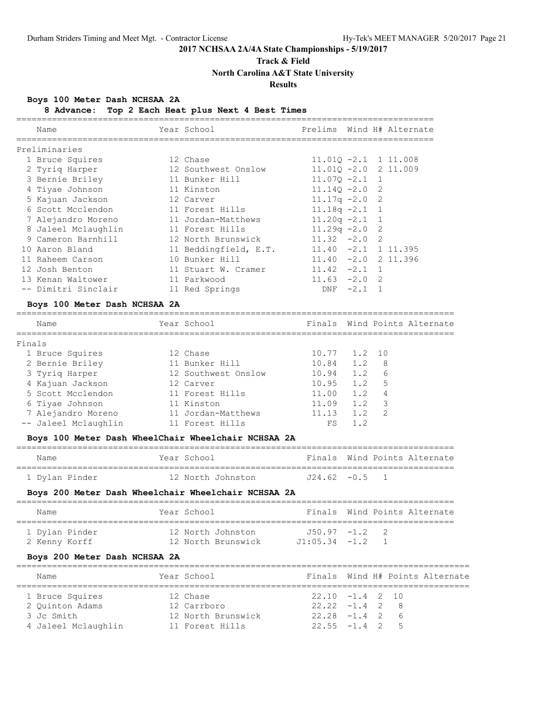### **Track & Field**

**North Carolina A&T State University**

### **Results**

### **Boys 100 Meter Dash NCHSAA 2A**

**8 Advance: Top 2 Each Heat plus Next 4 Best Times**

| Name                | Year School           |                         |        |                | Prelims Wind H# Alternate |
|---------------------|-----------------------|-------------------------|--------|----------------|---------------------------|
| Preliminaries       |                       |                         |        |                |                           |
| 1 Bruce Squires     | 12 Chase              | $11.010 - 2.1$ 1 11.008 |        |                |                           |
| 2 Tyrig Harper      | 12 Southwest Onslow   | $11.010 - 2.0$ 2 11.009 |        |                |                           |
| 3 Bernie Briley     | 11 Bunker Hill        | $11.070 - 2.1$ 1        |        |                |                           |
| 4 Tiyae Johnson     | 11 Kinston            | $11.140 - 2.0$ 2        |        |                |                           |
| 5 Kajuan Jackson    | 12 Carver             | $11.17q - 2.0$          |        | $\overline{2}$ |                           |
| 6 Scott Mcclendon   | 11 Forest Hills       | $11.18q - 2.1$ 1        |        |                |                           |
| 7 Alejandro Moreno  | 11 Jordan-Matthews    | $11.20q -2.1$ 1         |        |                |                           |
| 8 Jaleel Mclaughlin | 11 Forest Hills       | $11.29q - 2.0$ 2        |        |                |                           |
| 9 Cameron Barnhill  | 12 North Brunswick    | $11.32 -2.0$ 2          |        |                |                           |
| 10 Aaron Bland      | 11 Beddingfield, E.T. | $11.40 -2.1 1 11.395$   |        |                |                           |
| 11 Raheem Carson    | 10 Bunker Hill        | $11.40 -2.0 2 11.396$   |        |                |                           |
| 12 Josh Benton      | 11 Stuart W. Cramer   | $11.42 -2.1$ 1          |        |                |                           |
| 13 Kenan Waltower   | 11 Parkwood           | $11.63 -2.0$ 2          |        |                |                           |
| -- Dimitri Sinclair | 11 Red Springs        | DNF                     | $-2.1$ |                |                           |
|                     |                       |                         |        |                |                           |

#### **Boys 100 Meter Dash NCHSAA 2A**

| Name                 | Year School         |              |     |     | Finals Wind Points Alternate |
|----------------------|---------------------|--------------|-----|-----|------------------------------|
| Finals               |                     |              |     |     |                              |
| 1 Bruce Squires      | 12 Chase            | 10.77 1.2 10 |     |     |                              |
| 2 Bernie Briley      | 11 Bunker Hill      | 10.84        | 1.2 | - 8 |                              |
| 3 Tyriq Harper       | 12 Southwest Onslow | 10.94        | 1.2 | 6   |                              |
| 4 Kajuan Jackson     | 12 Carver           | 10.95        | 1.2 | 5   |                              |
| 5 Scott Mcclendon    | 11 Forest Hills     | 11.00        | 1.2 | 4   |                              |
| 6 Tiyae Johnson      | 11 Kinston          | 11.09        | 1.2 | - 3 |                              |
| 7 Alejandro Moreno   | 11 Jordan-Matthews  | 11.13        | 1.2 | -2  |                              |
| -- Jaleel Mclaughlin | 11 Forest Hills     | FS           | 1.2 |     |                              |
|                      |                     |              |     |     |                              |

### **Boys 100 Meter Dash WheelChair Wheelchair NCHSAA 2A**

| Name           | Year School       |                  |  | Finals Wind Points Alternate |
|----------------|-------------------|------------------|--|------------------------------|
| 1 Dylan Pinder | 12 North Johnston | $J24.62 - 0.5$ 1 |  |                              |

### **Boys 200 Meter Dash Wheelchair Wheelchair NCHSAA 2A**

| Name                            | Year School |                                         |                                      |  | Finals, Wind Points Alternate |
|---------------------------------|-------------|-----------------------------------------|--------------------------------------|--|-------------------------------|
| 1 Dylan Pinder<br>2 Kenny Korff |             | 12 North Johnston<br>12 North Brunswick | $-1.50.97 -1.2$ 2<br>$J1:05.34 -1.2$ |  |                               |

### **Boys 200 Meter Dash NCHSAA 2A**

| Name                | Year School        |                   |  |     | Finals Wind H# Points Alternate |
|---------------------|--------------------|-------------------|--|-----|---------------------------------|
| 1 Bruce Squires     | 12 Chase           | $22.10 -1.4$ 2 10 |  |     |                                 |
| 2 Ouinton Adams     | 12 Carrboro        | $22.22 - 1.4$ 2   |  | - 8 |                                 |
| 3 Jc Smith          | 12 North Brunswick | $22.28 - 1.4$ 2   |  | - 6 |                                 |
| 4 Jaleel Mclaughlin | 11 Forest Hills    | $22.55 - 1.4$ 2   |  | - 5 |                                 |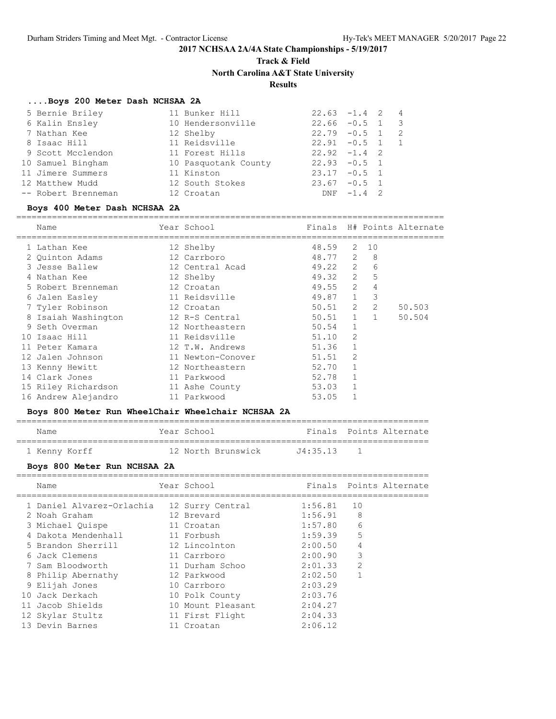**Track & Field**

**North Carolina A&T State University**

### **Results**

#### **....Boys 200 Meter Dash NCHSAA 2A**

| 5 Bernie Briley     | 11 Bunker Hill       | $22.63 -1.4$ 2 4 |            |                |                          |
|---------------------|----------------------|------------------|------------|----------------|--------------------------|
| 6 Kalin Ensley      | 10 Hendersonville    | $22.66 - 0.5$ 1  |            |                | $\overline{\phantom{a}}$ |
| 7 Nathan Kee        | 12 Shelby            | $22.79 - 0.5$ 1  |            |                | - 2                      |
| 8 Isaac Hill        | 11 Reidsville        | $22.91 - 0.5$ 1  |            |                |                          |
| 9 Scott Mcclendon   | 11 Forest Hills      | $22.92 -1.4$ 2   |            |                |                          |
| 10 Samuel Bingham   | 10 Pasquotank County | $22.93 - 0.5$ 1  |            |                |                          |
| 11 Jimere Summers   | 11 Kinston           | $23.17 - 0.5$ 1  |            |                |                          |
| 12 Matthew Mudd     | 12 South Stokes      | $23.67 - 0.5$ 1  |            |                |                          |
| -- Robert Brenneman | 12 Croatan           |                  | $DNF -1.4$ | $\overline{2}$ |                          |

#### **Boys 400 Meter Dash NCHSAA 2A**

====================================================================================

| Name                | Year School       | Finals    |              |     | H# Points Alternate |
|---------------------|-------------------|-----------|--------------|-----|---------------------|
| 1 Lathan Kee        | 12 Shelby         | 48.59     | 2            | 10  |                     |
| 2 Quinton Adams     | 12 Carrboro       | 48.77     | 2            | - 8 |                     |
| 3 Jesse Ballew      | 12 Central Acad   | 49.22 2   |              | 6   |                     |
| 4 Nathan Kee        | 12 Shelby         | 49.32 2   |              | 5   |                     |
| 5 Robert Brenneman  | 12 Croatan        | 49.55     | 2            | 4   |                     |
| 6 Jalen Easley      | 11 Reidsville     | 49.87 1   |              | 3   |                     |
| 7 Tyler Robinson    | 12 Croatan        | 50.51     | 2            | 2   | 50.503              |
| 8 Isaiah Washington | 12 R-S Central    | $50.51$ 1 |              |     | 50.504              |
| 9 Seth Overman      | 12 Northeastern   | 50.54     | $\mathbf{1}$ |     |                     |
| 10 Isaac Hill       | 11 Reidsville     | 51.10     | 2            |     |                     |
| 11 Peter Kamara     | 12 T.W. Andrews   | 51.36     |              |     |                     |
| 12 Jalen Johnson    | 11 Newton-Conover | 51.51     | 2            |     |                     |
| 13 Kenny Hewitt     | 12 Northeastern   | 52.70     |              |     |                     |
| 14 Clark Jones      | 11 Parkwood       | 52.78     |              |     |                     |
| 15 Riley Richardson | 11 Ashe County    | 53.03     |              |     |                     |
| 16 Andrew Alejandro | 11 Parkwood       | 53.05     |              |     |                     |

#### **Boys 800 Meter Run WheelChair Wheelchair NCHSAA 2A**

================================================================================= Name Year School Finals Points Alternate

=================================================================================

1 Kenny Korff 12 North Brunswick J4:35.13 1

#### **Boys 800 Meter Run NCHSAA 2A**

|  | Name                      | Year School       |         | Finals Points Alternate |
|--|---------------------------|-------------------|---------|-------------------------|
|  | 1 Daniel Alvarez-Orlachia | 12 Surry Central  | 1:56.81 | 10                      |
|  | 2 Noah Graham             | 12 Brevard        | 1:56.91 | 8                       |
|  | 3 Michael Quispe          | 11 Croatan        | 1:57.80 | 6                       |
|  | 4 Dakota Mendenhall       | 11 Forbush        | 1:59.39 | 5                       |
|  | 5 Brandon Sherrill        | 12 Lincolnton     | 2:00.50 | 4                       |
|  | 6 Jack Clemens            | 11 Carrboro       | 2:00.90 | 3                       |
|  | 7 Sam Bloodworth          | 11 Durham Schoo   | 2:01.33 | $\mathfrak{D}$          |
|  | 8 Philip Abernathy        | 12 Parkwood       | 2:02.50 | 1                       |
|  | 9 Elijah Jones            | 10 Carrboro       | 2:03.29 |                         |
|  | 10 Jack Derkach           | 10 Polk County    | 2:03.76 |                         |
|  | 11 Jacob Shields          | 10 Mount Pleasant | 2:04.27 |                         |
|  | 12 Skylar Stultz          | 11 First Flight   | 2:04.33 |                         |
|  | 13 Devin Barnes           | 11 Croatan        | 2:06.12 |                         |
|  |                           |                   |         |                         |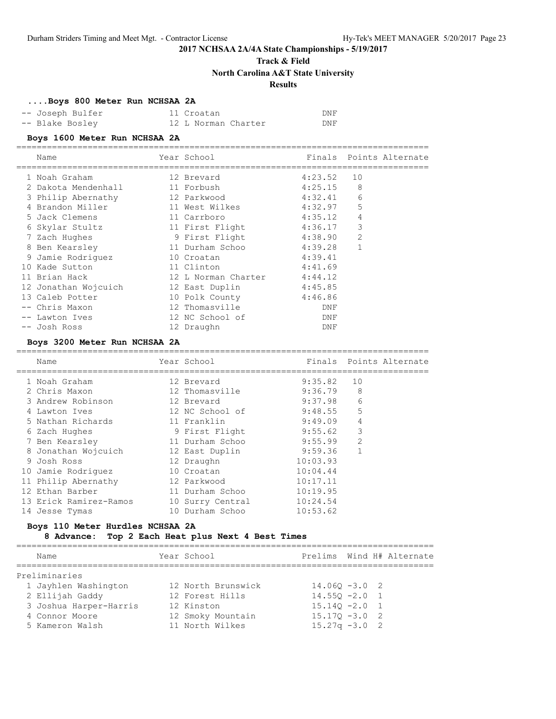## **Track & Field**

**North Carolina A&T State University**

### **Results**

#### **....Boys 800 Meter Run NCHSAA 2A**

| -- Joseph Bulfer | 11 Croatan          | DNF |
|------------------|---------------------|-----|
| -- Blake Bosley  | 12 L Norman Charter | DNF |

#### **Boys 1600 Meter Run NCHSAA 2A**

|   | Name                 | Year School         |         |                | Finals Points Alternate |
|---|----------------------|---------------------|---------|----------------|-------------------------|
|   | 1 Noah Graham        | 12 Brevard          | 4:23.52 | 10             |                         |
|   | 2 Dakota Mendenhall  | 11 Forbush          | 4:25.15 | 8              |                         |
|   | 3 Philip Abernathy   | 12 Parkwood         | 4:32.41 | 6              |                         |
|   | Brandon Miller       | 11 West Wilkes      | 4:32.97 | 5              |                         |
|   | 5 Jack Clemens       | 11 Carrboro         | 4:35.12 | 4              |                         |
|   | 6 Skylar Stultz      | 11 First Flight     | 4:36.17 | 3              |                         |
|   | Zach Hughes          | 9 First Flight      | 4:38.90 | $\overline{2}$ |                         |
|   | 8 Ben Kearsley       | 11 Durham Schoo     | 4:39.28 |                |                         |
| 9 | Jamie Rodriquez      | 10 Croatan          | 4:39.41 |                |                         |
|   | 10 Kade Sutton       | 11 Clinton          | 4:41.69 |                |                         |
|   | 11 Brian Hack        | 12 L Norman Charter | 4:44.12 |                |                         |
|   | 12 Jonathan Wojcuich | 12 East Duplin      | 4:45.85 |                |                         |
|   | 13 Caleb Potter      | 10 Polk County      | 4:46.86 |                |                         |
|   | -- Chris Maxon       | 12 Thomasville      | DNF     |                |                         |
|   | -- Lawton Ives       | 12 NC School of     | DNF     |                |                         |
|   | -- Josh Ross         | 12 Draughn          | DNF     |                |                         |

### **Boys 3200 Meter Run NCHSAA 2A**

| Name                   | Year School      |          |                | Finals Points Alternate |
|------------------------|------------------|----------|----------------|-------------------------|
| 1 Noah Graham          | 12 Brevard       | 9:35.82  | 10             |                         |
| 2 Chris Maxon          | 12 Thomasville   | 9:36.79  | 8              |                         |
| 3 Andrew Robinson      | 12 Brevard       | 9:37.98  | 6              |                         |
| 4 Lawton Ives          | 12 NC School of  | 9:48.55  | 5              |                         |
| 5 Nathan Richards      | 11 Franklin      | 9:49.09  | 4              |                         |
| 6 Zach Hughes          | 9 First Flight   | 9:55.62  | 3              |                         |
| 7 Ben Kearsley         | 11 Durham Schoo  | 9:55.99  | $\mathfrak{D}$ |                         |
| 8 Jonathan Wojcuich    | 12 East Duplin   | 9:59.36  | 1              |                         |
| 9 Josh Ross            | 12 Draughn       | 10:03.93 |                |                         |
| 10 Jamie Rodriguez     | 10 Croatan       | 10:04.44 |                |                         |
| 11 Philip Abernathy    | 12 Parkwood      | 10:17.11 |                |                         |
| 12 Ethan Barber        | 11 Durham Schoo  | 10:19.95 |                |                         |
| 13 Erick Ramirez-Ramos | 10 Surry Central | 10:24.54 |                |                         |
| 14 Jesse Tymas         | 10 Durham Schoo  | 10:53.62 |                |                         |
|                        |                  |          |                |                         |

#### **Boys 110 Meter Hurdles NCHSAA 2A**

#### **8 Advance: Top 2 Each Heat plus Next 4 Best Times**

==================================================================================

| Name                   | Year School        |                  |  | Prelims Wind H# Alternate |
|------------------------|--------------------|------------------|--|---------------------------|
|                        |                    |                  |  |                           |
| Preliminaries          |                    |                  |  |                           |
| 1 Jayhlen Washington   | 12 North Brunswick | $14.060 - 3.0$ 2 |  |                           |
| 2 Ellijah Gaddy        | 12 Forest Hills    | $14.550 - 2.0$ 1 |  |                           |
| 3 Joshua Harper-Harris | 12 Kinston         | $15.140 - 2.0$ 1 |  |                           |
| 4 Connor Moore         | 12 Smoky Mountain  | $15.170 - 3.0$ 2 |  |                           |
| 5 Kameron Walsh        | 11 North Wilkes    | $15.27q - 3.0$ 2 |  |                           |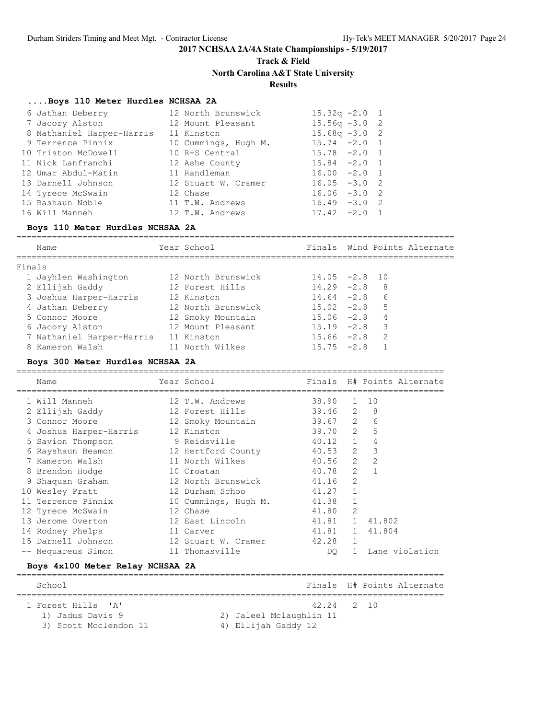# **Track & Field North Carolina A&T State University**

### **Results**

#### **....Boys 110 Meter Hurdles NCHSAA 2A**

| 6 Jathan Deberry          | 12 North Brunswick   | $15.32q -2.0$    | $\frac{1}{2}$  |
|---------------------------|----------------------|------------------|----------------|
| 7 Jacory Alston           | 12 Mount Pleasant    | $15.56q -3.0$ 2  |                |
| 8 Nathaniel Harper-Harris | 11 Kinston           | $15.68q - 3.0$ 2 |                |
| 9 Terrence Pinnix         | 10 Cummings, Hugh M. | $15.74 -2.0 1$   |                |
| 10 Triston McDowell       | 10 R-S Central       | $15.78 - 2.0 1$  |                |
| 11 Nick Lanfranchi        | 12 Ashe County       | $15.84 -2.0 1$   |                |
| 12 Umar Abdul-Matin       | 11 Randleman         | $16.00 -2.0 1$   |                |
| 13 Darnell Johnson        | 12 Stuart W. Cramer  | $16.05 - 3.0$    | $\overline{2}$ |
| 14 Tyrece McSwain         | 12 Chase             | $16.06 - 3.0$    | $\overline{2}$ |
| 15 Rashaun Noble          | 11 T.W. Andrews      | $16.49 - 3.0$    | $\overline{2}$ |
| 16 Will Manneh            | 12 T.W. Andrews      | $17.42 - 2.0$    | $\overline{1}$ |

#### **Boys 110 Meter Hurdles NCHSAA 2A**

====================================================================================== Name Year School Finals Wind Points Alternate ====================================================================================== Finals 1 Jayhlen Washington 12 North Brunswick 14.05 -2.8 10 2 Ellijah Gaddy 12 Forest Hills 14.29 -2.8 8 3 Joshua Harper-Harris 12 Kinston 14.64 -2.8 6 4 Jathan Deberry 12 North Brunswick 15.02 -2.8 5 5 Connor Moore 12 Smoky Mountain 15.06 -2.8 4 6 Jacory Alston 12 Mount Pleasant 15.19 -2.8 3 7 Nathaniel Harper-Harris 11 Kinston 15.66 -2.8 2 8 Kameron Walsh 11 North Wilkes 15.75 -2.8 1

#### **Boys 300 Meter Hurdles NCHSAA 2A**

==================================================================================== Name Year School Finals H# Points Alternate ==================================================================================== 1 Will Manneh 12 T.W. Andrews 38.90 1 10 2 Ellijah Gaddy 12 Forest Hills 39.46 2 8 3 Connor Moore 12 Smoky Mountain 39.67 2 6 4 Joshua Harper-Harris 12 Kinston 39.70 2 5 5 Savion Thompson 9 Reidsville 40.12 1 4 6 Rayshaun Beamon 12 Hertford County 40.53 2 3 7 Kameron Walsh 11 North Wilkes 40.56 2 2 8 Brendon Hodge 10 Croatan 10 Croatan 40.78 2 1 9 Shaquan Graham 12 North Brunswick 41.16 2 10 Wesley Pratt 12 Durham Schoo 41.27 1 11 Terrence Pinnix 10 Cummings, Hugh M. 41.38 1 12 Tyrece McSwain 12 Chase 12 Chase 41.80 2 13 Jerome Overton 12 East Lincoln 41.81 1 41.802 14 Rodney Phelps 11 Carver 41.81 1 41.804 15 Darnell Johnson 12 Stuart W. Cramer 42.28 1 -- Nequareus Simon 11 Thomasville DQ 1 Lane violation

#### **Boys 4x100 Meter Relay NCHSAA 2A**

| School                                                          |                                                              | Finals H# Points Alternate |
|-----------------------------------------------------------------|--------------------------------------------------------------|----------------------------|
| 1 Forest Hills 'A'<br>1) Jadus Davis 9<br>3) Scott Mcclendon 11 | 42.24 2 10<br>2) Jaleel Mclaughlin 11<br>4) Ellijah Gaddy 12 |                            |

====================================================================================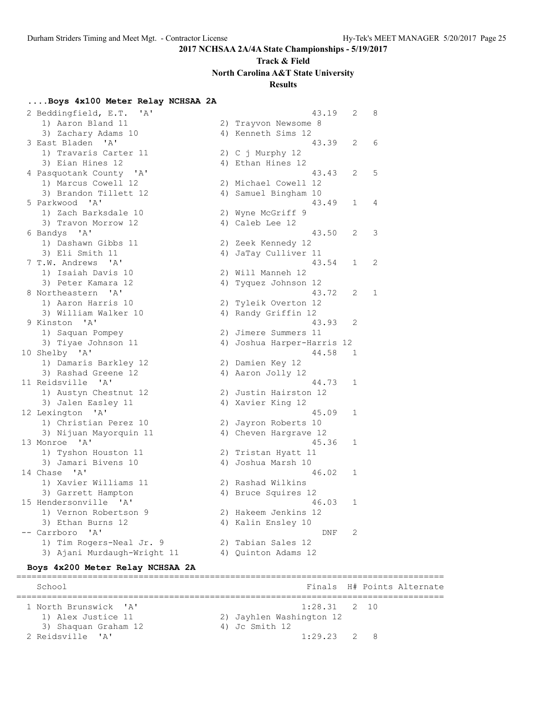## **Track & Field North Carolina A&T State University**

### **Results**

### **....Boys 4x100 Meter Relay NCHSAA 2A**

 2 Beddingfield, E.T. 'A' 43.19 2 8 1) Aaron Bland 11 2) Trayvon Newsome 8 3) Zachary Adams 10 4) Kenneth Sims 12 3 East Bladen 'A' 43.39 2 6 1) Travaris Carter 11 (2) C j Murphy 12 3) Eian Hines 12 4) Ethan Hines 12 4 Pasquotank County 'A' 43.43 2 5 1) Marcus Cowell 12 2) Michael Cowell 12 3) Brandon Tillett 12 (4) Samuel Bingham 10 5 Parkwood 'A' 43.49 1 4 1) Zach Barksdale 10 2) Wyne McGriff 9 3) Travon Morrow 12 (4) Caleb Lee 12 6 Bandys 'A' 43.50 2 3 1) Dashawn Gibbs 11 2) Zeek Kennedy 12 3) Eli Smith 11 12 12 12 13 14 4) JaTay Culliver 11 7 T.W. Andrews 'A' 43.54 1 2 1) Isaiah Davis 10 2) Will Manneh 12 3) Peter Kamara 12 4) Tyquez Johnson 12 8 Northeastern 'A' 43.72 2 1 1) Aaron Harris 10 2) Tyleik Overton 12 3) William Walker 10  $\hspace{1cm}$  4) Randy Griffin 12 9 Kinston 'A' 43.93 2 1) Saquan Pompey 2) Jimere Summers 11 3) Tiyae Johnson 11 4) Joshua Harper-Harris 12 10 Shelby 'A' 44.58 1 1) Damaris Barkley 12 2) Damien Key 12 3) Rashad Greene 12 4) Aaron Jolly 12 11 Reidsville 'A' 44.73 1 1) Austyn Chestnut 12 2) Justin Hairston 12 3) Jalen Easley 11 4) Xavier King 12 12 Lexington 'A' 45.09 1 1) Christian Perez 10 2) Jayron Roberts 10 3) Nijuan Mayorquin 11 4) Cheven Hargrave 12 13 Monroe 'A' 45.36 1 1) Tyshon Houston 11 2) Tristan Hyatt 11 3) Jamari Bivens 10  $\hskip1cm$  4) Joshua Marsh 10 14 Chase 'A' 46.02 1 1) Xavier Williams 11 2) Rashad Wilkins 3) Garrett Hampton 4) Bruce Squires 12 15 Hendersonville 'A' 46.03 1 1) Vernon Robertson 9 2) Hakeem Jenkins 12 3) Ethan Burns 12 4) Kalin Ensley 10 -- Carrboro 'A' DNF 2 1) Tim Rogers-Neal Jr. 9 2) Tabian Sales 12 3) Ajani Murdaugh-Wright 11 4) Quinton Adams 12

#### **Boys 4x200 Meter Relay NCHSAA 2A**

==================================================================================== School **Finals H# Points Alternate** ==================================================================================== 1 North Brunswick 'A' 1:28.31 2 10 1) Alex Justice 11 2) Jayhlen Washington 12 3) Shaquan Graham 12 4) Jc Smith 12 2 Reidsville 'A' 1:29.23 2 8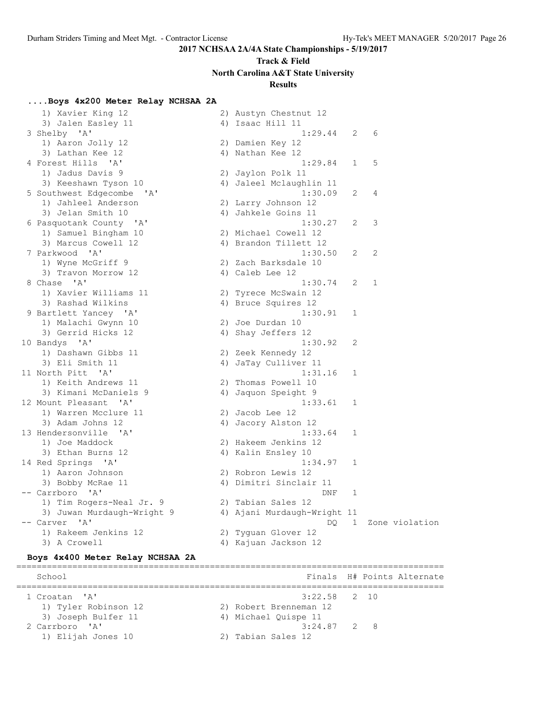# **Track & Field North Carolina A&T State University**

### **Results**

### **....Boys 4x200 Meter Relay NCHSAA 2A**

| 1) Xavier King 12                   | 2) Austyn Chestnut 12       |              |   |                |
|-------------------------------------|-----------------------------|--------------|---|----------------|
| 3) Jalen Easley 11                  | 4) Isaac Hill 11            |              |   |                |
| 3 Shelby 'A'                        | 1:29.44                     | 2            | 6 |                |
| 1) Aaron Jolly 12                   | 2) Damien Key 12            |              |   |                |
| 3) Lathan Kee 12                    | 4) Nathan Kee 12            |              |   |                |
| 4 Forest Hills 'A'                  | 1:29.84                     | $\mathbf{1}$ | 5 |                |
| 1) Jadus Davis 9                    | 2) Jaylon Polk 11           |              |   |                |
| 3) Keeshawn Tyson 10                | 4) Jaleel Mclaughlin 11     |              |   |                |
| 5 Southwest Edgecombe<br>' A '      | 1:30.09                     | 2            | 4 |                |
| 1) Jahleel Anderson                 | 2) Larry Johnson 12         |              |   |                |
| 3) Jelan Smith 10                   | 4) Jahkele Goins 11         |              |   |                |
| 6 Pasquotank County 'A'             | 1:30.27                     | 2            | 3 |                |
| 1) Samuel Bingham 10                | 2) Michael Cowell 12        |              |   |                |
| 3) Marcus Cowell 12                 | 4) Brandon Tillett 12       |              |   |                |
| 7 Parkwood 'A'                      | 1:30.50                     | 2            | 2 |                |
| 1) Wyne McGriff 9                   | 2) Zach Barksdale 10        |              |   |                |
| 3) Travon Morrow 12                 | 4) Caleb Lee 12             |              |   |                |
| 8 Chase 'A'                         | 1:30.74                     | 2            | 1 |                |
|                                     |                             |              |   |                |
| 1) Xavier Williams 11               | 2) Tyrece McSwain 12        |              |   |                |
| 3) Rashad Wilkins                   | 4) Bruce Squires 12         |              |   |                |
| 9 Bartlett Yancey 'A'               | 1:30.91                     | 1            |   |                |
| 1) Malachi Gwynn 10                 | 2) Joe Durdan 10            |              |   |                |
| 3) Gerrid Hicks 12                  | 4) Shay Jeffers 12          |              |   |                |
| 10 Bandys 'A'                       | 1:30.92                     | 2            |   |                |
| 1) Dashawn Gibbs 11                 | 2) Zeek Kennedy 12          |              |   |                |
| 3) Eli Smith 11                     | 4) JaTay Culliver 11        |              |   |                |
| 11 North Pitt 'A'                   | 1:31.16                     | $\mathbf{1}$ |   |                |
| 1) Keith Andrews 11                 | 2) Thomas Powell 10         |              |   |                |
| 3) Kimani McDaniels 9               | 4) Jaquon Speight 9         |              |   |                |
| 12 Mount Pleasant<br>$\overline{A}$ | 1:33.61                     | 1            |   |                |
| 1) Warren Mcclure 11                | 2) Jacob Lee 12             |              |   |                |
| 3) Adam Johns 12                    | 4) Jacory Alston 12         |              |   |                |
| 13 Hendersonville 'A'               | 1:33.64                     | 1            |   |                |
| 1) Joe Maddock                      | 2) Hakeem Jenkins 12        |              |   |                |
| 3) Ethan Burns 12                   | 4) Kalin Ensley 10          |              |   |                |
| 14 Red Springs 'A'                  | 1:34.97                     | 1            |   |                |
| 1) Aaron Johnson                    | 2) Robron Lewis 12          |              |   |                |
| 3) Bobby McRae 11                   | 4) Dimitri Sinclair 11      |              |   |                |
| -- Carrboro 'A'                     | DNF                         | 1            |   |                |
| 1) Tim Rogers-Neal Jr. 9            | 2) Tabian Sales 12          |              |   |                |
| 3) Juwan Murdaugh-Wright 9          | 4) Ajani Murdaugh-Wright 11 |              |   |                |
| -- Carver 'A'                       | DQ.                         | $\mathbf{1}$ |   | Zone violation |
| 1) Rakeem Jenkins 12                | 2) Tyguan Glover 12         |              |   |                |
| 3) A Crowell                        | 4) Kajuan Jackson 12        |              |   |                |
|                                     |                             |              |   |                |

### **Boys 4x400 Meter Relay NCHSAA 2A**

| School               |                        |  | Finals H# Points Alternate |
|----------------------|------------------------|--|----------------------------|
| 1 Croatan 'A'        | $3:22.58$ 2 10         |  |                            |
| 1) Tyler Robinson 12 | 2) Robert Brenneman 12 |  |                            |
| 3) Joseph Bulfer 11  | 4) Michael Quispe 11   |  |                            |
| 2 Carrboro 'A'       | $3:24.87$ 2 8          |  |                            |
| 1) Elijah Jones 10   | 2) Tabian Sales 12     |  |                            |
|                      |                        |  |                            |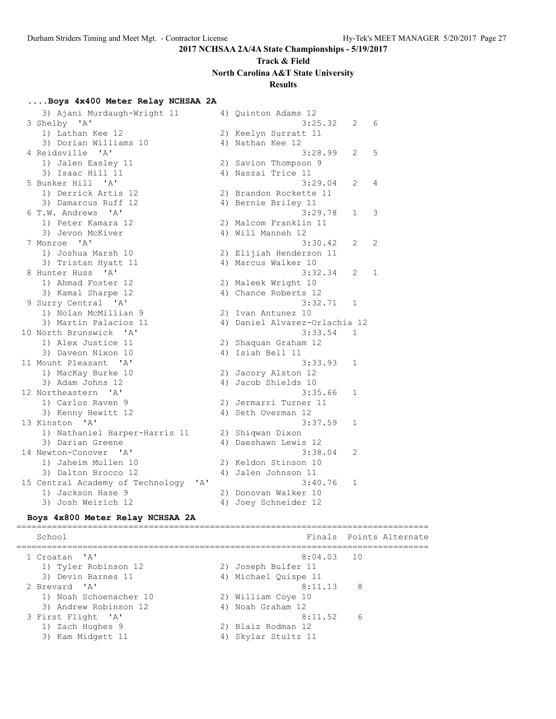# **Track & Field North Carolina A&T State University**

### **Results**

### **....Boys 4x400 Meter Relay NCHSAA 2A**

| 3) Ajani Murdaugh-Wright 11                    | 4) Quinton Adams 12           |              |   |
|------------------------------------------------|-------------------------------|--------------|---|
| 3 Shelby 'A'                                   | 3:25.32                       | 2            | 6 |
| 1) Lathan Kee 12                               | 2) Keelyn Surratt 11          |              |   |
| 3) Dorian Williams 10                          | 4) Nathan Kee 12              |              |   |
| 4 Reidsville 'A'                               | 3:28.99                       | 2            | 5 |
| 1) Jalen Easley 11                             | 2) Savion Thompson 9          |              |   |
| 3) Isaac Hill 11                               | 4) Naszai Trice 11            |              |   |
| 5 Bunker Hill 'A'                              | 3:29.04                       | 2            | 4 |
| 1) Derrick Artis 12                            | 2) Brandon Rockette 11        |              |   |
| 3) Damarcus Ruff 12                            | 4) Bernie Briley 11           |              |   |
| $\mathsf{A}$<br>6 T.W. Andrews                 | 3:29.78                       | 1            | 3 |
| 1) Peter Kamara 12                             | 2) Malcom Franklin 11         |              |   |
| 3) Jevon McKiver                               | 4) Will Manneh 12             |              |   |
| 7 Monroe 'A'                                   | 3:30.42                       | 2            | 2 |
| 1) Joshua Marsh 10                             | 2) Elijiah Henderson 11       |              |   |
| 3) Tristan Hyatt 11                            | 4) Marcus Walker 10           |              |   |
| 8 Hunter Huss 'A'                              | 3:32.34                       | 2            | 1 |
| 1) Ahmad Foster 12                             | 2) Maleek Wright 10           |              |   |
| 3) Kamal Sharpe 12                             | 4) Chance Roberts 12          |              |   |
| 9 Surry Central 'A'                            | 3:32.71                       | $\mathbf{1}$ |   |
| 1) Nolan McMillian 9                           | 2) Ivan Antunez 10            |              |   |
| 3) Martin Palacios 11                          | 4) Daniel Alvarez-Orlachia 12 |              |   |
| 10 North Brunswick 'A'                         | 3:33.54                       | $\mathbf{1}$ |   |
| 1) Alex Justice 11                             | 2) Shaquan Graham 12          |              |   |
| 3) Daveon Nixon 10                             | 4) Isiah Bell 11              |              |   |
| 11 Mount Pleasant<br>$^{\prime}$ A $^{\prime}$ | 3:33.93                       | 1            |   |
| 1) MacKay Burke 10                             | 2) Jacory Alston 12           |              |   |
| 3) Adam Johns 12                               | 4) Jacob Shields 10           |              |   |
| 12 Northeastern 'A'                            | 3:35.66                       | 1            |   |
| 1) Carlos Raven 9                              | 2) Jermarri Turner 11         |              |   |
| 3) Kenny Hewitt 12                             | 4) Seth Overman 12            |              |   |
| 13 Kinston 'A'                                 | 3:37.59                       | 1            |   |
| 1) Nathaniel Harper-Harris 11                  | 2) Shiqwan Dixon              |              |   |
| 3) Darian Greene                               | 4) Daeshawn Lewis 12          |              |   |
| 14 Newton-Conover<br>$\mathsf{A}$              | 3:38.04                       | 2            |   |
| 1) Jaheim Mullen 10                            | 2) Keldon Stinson 10          |              |   |
| 3) Dalton Brocco 12                            | 4) Jalen Johnson 11           |              |   |
| 15 Central Academy of Technology<br>' A'       | 3:40.76                       | $\mathbf{1}$ |   |
| 1) Jackson Hase 9                              | 2) Donovan Walker 10          |              |   |
| 3) Josh Weirich 12                             | 4) Joey Schneider 12          |              |   |

#### **Boys 4x800 Meter Relay NCHSAA 2A**

================================================================================= School Finals Points Alternate ================================================================================= 1 Croatan 'A' 8:04.03 10 1) Tyler Robinson 12 2) Joseph Bulfer 11 3) Devin Barnes 11 (4) Michael Quispe 11 2 Brevard 'A' 8:11.13 8 1) Noah Schoenacher 10 2) William Coye 10 3) Andrew Robinson 12 4) Noah Graham 12 3 First Flight 'A' 8:11.52 6 1) Zach Hughes 9 2) Blaiz Rodman 12 3) Kam Midgett 11 4) Skylar Stultz 11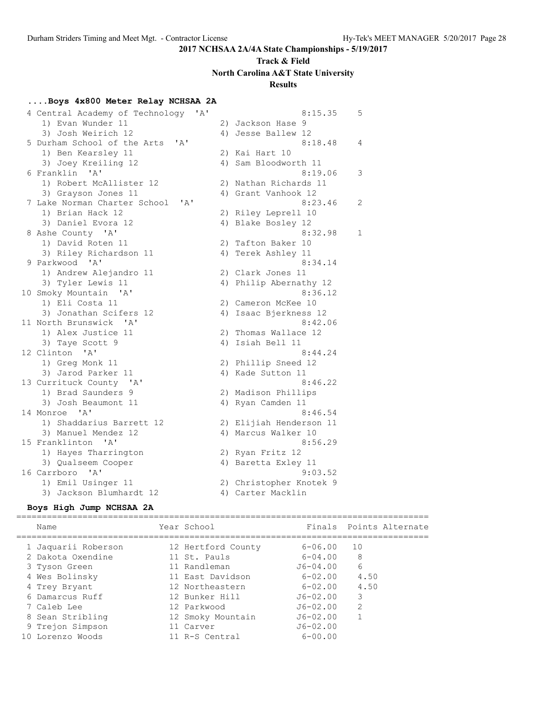# **Track & Field North Carolina A&T State University**

# **Results**

### **....Boys 4x800 Meter Relay NCHSAA 2A**

| 4 Central Academy of Technology<br>'A' | 8:15.35                 | 5 |
|----------------------------------------|-------------------------|---|
| 1) Evan Wunder 11                      | 2) Jackson Hase 9       |   |
| 3) Josh Weirich 12                     | 4) Jesse Ballew 12      |   |
| 5 Durham School of the Arts<br>' A'    | 8:18.48                 | 4 |
| 1) Ben Kearsley 11                     | 2) Kai Hart 10          |   |
| 3) Joey Kreiling 12                    | 4) Sam Bloodworth 11    |   |
| 6 Franklin 'A'                         | 8:19.06                 | 3 |
| 1) Robert McAllister 12                | 2) Nathan Richards 11   |   |
| 3) Grayson Jones 11                    | 4) Grant Vanhook 12     |   |
| 7 Lake Norman Charter School<br>' A'   | 8:23.46                 | 2 |
| 1) Brian Hack 12                       | 2) Riley Leprell 10     |   |
| 3) Daniel Evora 12                     | 4) Blake Bosley 12      |   |
| 8 Ashe County 'A'                      | 8:32.98                 | 1 |
| 1) David Roten 11                      | 2) Tafton Baker 10      |   |
| 3) Riley Richardson 11                 | 4) Terek Ashley 11      |   |
| 9 Parkwood 'A'                         | 8:34.14                 |   |
| 1) Andrew Alejandro 11                 | 2) Clark Jones 11       |   |
| 3) Tyler Lewis 11                      | 4) Philip Abernathy 12  |   |
| 10 Smoky Mountain 'A'                  | 8:36.12                 |   |
| 1) Eli Costa 11                        | 2) Cameron McKee 10     |   |
| 3) Jonathan Scifers 12                 | 4) Isaac Bjerkness 12   |   |
| 11 North Brunswick 'A'                 | 8:42.06                 |   |
| 1) Alex Justice 11                     | 2) Thomas Wallace 12    |   |
| 3) Taye Scott 9                        | 4) Isiah Bell 11        |   |
| 12 Clinton 'A'                         | 8:44.24                 |   |
| 1) Greg Monk 11                        | 2) Phillip Sneed 12     |   |
| 3) Jarod Parker 11                     | 4) Kade Sutton 11       |   |
| 13 Currituck County 'A'                | 8:46.22                 |   |
| 1) Brad Saunders 9                     | 2) Madison Phillips     |   |
| 3) Josh Beaumont 11                    | 4) Ryan Camden 11       |   |
| 14 Monroe<br>$\mathsf{A}$              | 8:46.54                 |   |
| 1) Shaddarius Barrett 12               | 2) Elijiah Henderson 11 |   |
| 3) Manuel Mendez 12                    | 4) Marcus Walker 10     |   |
| 15 Franklinton 'A'                     | 8:56.29                 |   |
| 1) Hayes Tharrington                   | 2) Ryan Fritz 12        |   |
| 3) Qualseem Cooper                     | 4) Baretta Exley 11     |   |
| 16 Carrboro 'A'                        | 9:03.52                 |   |
| 1) Emil Usinger 11                     | 2) Christopher Knotek 9 |   |
| 3) Jackson Blumhardt 12                | 4) Carter Macklin       |   |

#### **Boys High Jump NCHSAA 2A**

# =================================================================================

| Name                | Year School        |              |      | Finals Points Alternate |
|---------------------|--------------------|--------------|------|-------------------------|
| 1 Jaquarii Roberson | 12 Hertford County | $6 - 06.00$  | 10   |                         |
| 2 Dakota Oxendine   | 11 St. Pauls       | $6 - 04.00$  | 8    |                         |
| 3 Tyson Green       | 11 Randleman       | $J6 - 04.00$ | 6    |                         |
| 4 Wes Bolinsky      | 11 East Davidson   | $6 - 02.00$  | 4.50 |                         |
| 4 Trey Bryant       | 12 Northeastern    | $6 - 02.00$  | 4.50 |                         |
| 6 Damarcus Ruff     | 12 Bunker Hill     | J6-02.00     | 3    |                         |
| 7 Caleb Lee         | 12 Parkwood        | $J6 - 02.00$ | 2    |                         |
| 8 Sean Stribling    | 12 Smoky Mountain  | $J6 - 02.00$ |      |                         |
| 9 Trejon Simpson    | 11 Carver          | $J6 - 02.00$ |      |                         |
| 10 Lorenzo Woods    | 11 R-S Central     | $6 - 00.00$  |      |                         |
|                     |                    |              |      |                         |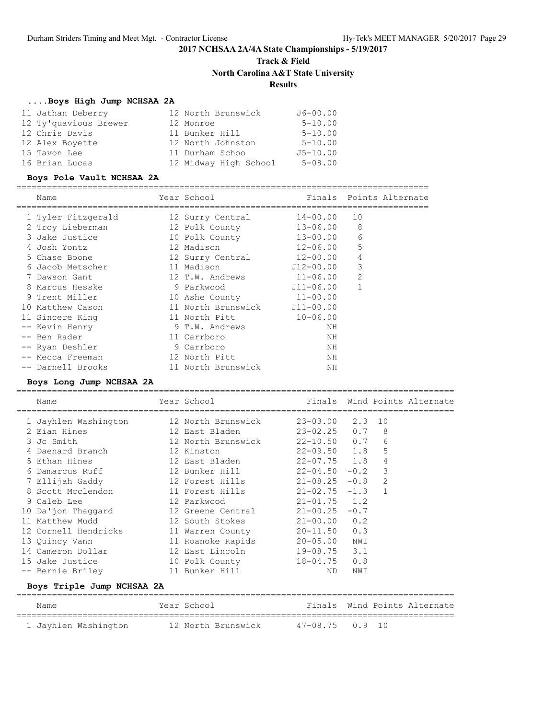# **Track & Field North Carolina A&T State University Results**

### **....Boys High Jump NCHSAA 2A**

| 11 Jathan Deberry     | 12 North Brunswick    | $J6 - 00.00$ |
|-----------------------|-----------------------|--------------|
| 12 Ty'quavious Brewer | 12 Monroe             | $5 - 10.00$  |
| 12 Chris Davis        | 11 Bunker Hill        | $5 - 10.00$  |
| 12 Alex Boyette       | 12 North Johnston     | $5 - 10.00$  |
| 15 Tavon Lee          | 11 Durham Schoo       | $J5 - 10.00$ |
| 16 Brian Lucas        | 12 Midway High School | $5 - 08.00$  |

### **Boys Pole Vault NCHSAA 2A**

=================================================================================

| Name               | Year School                  |              |                | Finals Points Alternate |
|--------------------|------------------------------|--------------|----------------|-------------------------|
| 1 Tyler Fitzgerald | 12 Surry Central             | 14-00.00     | 10             |                         |
| 2 Troy Lieberman   | 12 Polk County               | 13-06.00     | 8              |                         |
| 3 Jake Justice     | 10 Polk County               | 13-00.00     | 6              |                         |
| 4 Josh Yontz       | 12 Madison                   | $12 - 06.00$ | 5              |                         |
| 5 Chase Boone      | 12 Surry Central             | $12 - 00.00$ | $\overline{4}$ |                         |
| 6 Jacob Metscher   | 11 Madison                   | J12-00.00    | 3              |                         |
| 7 Dawson Gant      | 12 T.W. Andrews              | $11 - 06.00$ | $\overline{2}$ |                         |
| 8 Marcus Hesske    | 9 Parkwood                   | J11-06.00    | $\mathbf{1}$   |                         |
| 9 Trent Miller     | 10 Ashe County 11-00.00      |              |                |                         |
| 10 Matthew Cason   | 11 North Brunswick J11-00.00 |              |                |                         |
| 11 Sincere King    | 11 North Pitt                | $10 - 06.00$ |                |                         |
| -- Kevin Henry     | 9 T.W. Andrews               | ΝH           |                |                         |
| -- Ben Rader       | 11 Carrboro                  | ΝH           |                |                         |
| -- Ryan Deshler    | 9 Carrboro                   | ΝH           |                |                         |
| -- Mecca Freeman   | 12 North Pitt                | ΝH           |                |                         |
| -- Darnell Brooks  | 11 North Brunswick           | ΝH           |                |                         |

### **Boys Long Jump NCHSAA 2A**

| Name                       | Year School and the School and the School and the School and the School and the School and the School          |                       |     |                | Finals Wind Points Alternate |
|----------------------------|----------------------------------------------------------------------------------------------------------------|-----------------------|-----|----------------|------------------------------|
| 1 Jayhlen Washington       | 12 North Brunswick                                                                                             | $23 - 03.00$ $2.3$ 10 |     |                |                              |
| 2 Eian Hines               | 12 East Bladen 23-02.25 0.7 8                                                                                  |                       |     |                |                              |
| 3 Jc Smith                 | 12 North Brunswick 22-10.50 0.7                                                                                |                       |     | 6              |                              |
| 4 Daenard Branch           | 12 Kinston                                                                                                     | $22-09.50$ 1.8        |     | 5              |                              |
| 5 Ethan Hines              | 12 East Bladen 22-07.75 1.8                                                                                    |                       |     | $\overline{4}$ |                              |
| 6 Damarcus Ruff            | 12 Bunker Hill 22-04.50 -0.2 3                                                                                 |                       |     |                |                              |
| 7 Ellijah Gaddy            | 12 Forest Hills 21-08.25 -0.8 2                                                                                |                       |     |                |                              |
| 8 Scott Mcclendon          | 11 Forest Hills                                                                                                | $21 - 02.75 - 1.3$ 1  |     |                |                              |
| 9 Caleb Lee                | 12 Parkwood and the state of the state of the state of the state of the state of the state of the state of the | $21 - 01.75$ 1.2      |     |                |                              |
| 10 Da'jon Thaggard         | 12 Greene Central $21-00.25 -0.7$                                                                              |                       |     |                |                              |
| 11 Matthew Mudd            | 12 South Stokes 21-00.00 0.2                                                                                   |                       |     |                |                              |
| 12 Cornell Hendricks       | 11 Warren County 20-11.50 0.3                                                                                  |                       |     |                |                              |
| 13 Quincy Vann             | 11 Roanoke Rapids 20-05.00 NWI                                                                                 |                       |     |                |                              |
| 14 Cameron Dollar          | 12 East Lincoln                                                                                                | $19 - 08.75$ 3.1      |     |                |                              |
| 15 Jake Justice            | 10 Polk County                                                                                                 | $18 - 04.75$ 0.8      |     |                |                              |
| -- Bernie Briley           | 11 Bunker Hill                                                                                                 | ND.                   | NWI |                |                              |
| Boys Triple Jump NCHSAA 2A |                                                                                                                |                       |     |                |                              |

| Name                 | Year School        | Finals Wind Points Alternate |
|----------------------|--------------------|------------------------------|
| 1 Jayhlen Washington | 12 North Brunswick | $47 - 08.75$ 0.9 10          |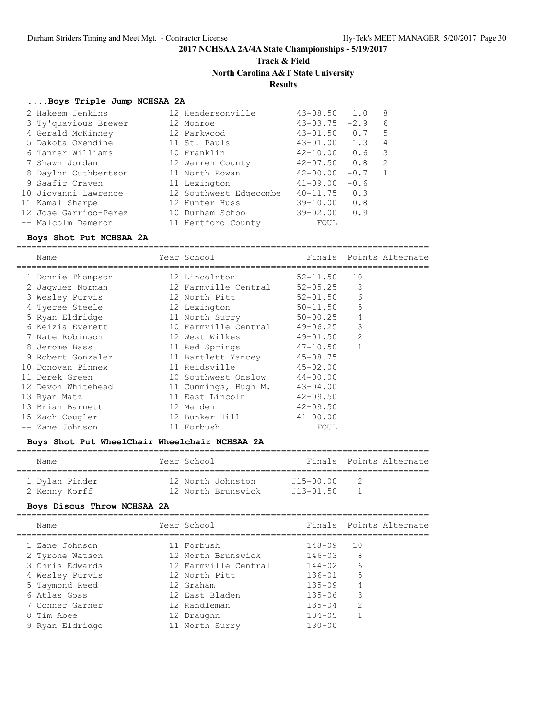# **Track & Field**

**North Carolina A&T State University**

### **Results**

#### **....Boys Triple Jump NCHSAA 2A**

| 2 Hakeem Jenkins      | 12 Hendersonville      | $43 - 08.50$ | 1.0    | 8              |
|-----------------------|------------------------|--------------|--------|----------------|
| 3 Ty'quavious Brewer  | 12 Monroe              | $43 - 03.75$ | $-2.9$ | 6              |
| 4 Gerald McKinney     | 12 Parkwood            | $43 - 01.50$ | 0.7    | .5             |
| 5 Dakota Oxendine     | 11 St. Pauls           | 43-01.00     | 1.3    | $\overline{4}$ |
| 6 Tanner Williams     | 10 Franklin            | $42 - 10.00$ | 0.6    | 3              |
| 7 Shawn Jordan        | 12 Warren County       | $42 - 07.50$ | 0.8    | 2              |
| 8 Daylnn Cuthbertson  | 11 North Rowan         | $42 - 00.00$ | $-0.7$ | 1              |
| 9 Saafir Craven       | 11 Lexington           | $41 - 09.00$ | $-0.6$ |                |
| 10 Jiovanni Lawrence  | 12 Southwest Edgecombe | $40 - 11.75$ | 0.3    |                |
| 11 Kamal Sharpe       | 12 Hunter Huss         | $39 - 10.00$ | 0.8    |                |
| 12 Jose Garrido-Perez | 10 Durham Schoo        | $39 - 02.00$ | 0.9    |                |
| -- Malcolm Dameron    | 11 Hertford County     | FOUL         |        |                |

#### **Boys Shot Put NCHSAA 2A**

================================================================================= Name The Year School The Finals Points Alternate ================================================================================= 1 Donnie Thompson 12 Lincolnton 52-11.50 10 2 Jaqwuez Norman 12 Farmville Central 52-05.25 8 3 Wesley Purvis 12 North Pitt 52-01.50 6 4 Tyeree Steele **12 Lexington** 50-11.50 5 5 Ryan Eldridge 11 North Surry 50-00.25 4 6 Keizia Everett 10 Farmville Central 49-06.25 3 7 Nate Robinson 12 West Wilkes 49-01.50 2 8 Jerome Bass 11 Red Springs 47-10.50 1 9 Robert Gonzalez 11 Bartlett Yancey 45-08.75 10 Donovan Pinnex 11 Reidsville 45-02.00 11 Derek Green 10 Southwest Onslow 44-00.00 12 Devon Whitehead 11 Cummings, Hugh M. 43-04.00 13 Ryan Matz 11 East Lincoln 42-09.50 13 Brian Barnett 12 Maiden 42-09.50 15 Zach Cougler 12 Bunker Hill 41-00.00 -- Zane Johnson 11 Forbush FOUL

### **Boys Shot Put WheelChair Wheelchair NCHSAA 2A**

| Name           | Year School        |               | Finals Points Alternate |
|----------------|--------------------|---------------|-------------------------|
| 1 Dylan Pinder | 12 North Johnston  | $J15 - 00.00$ |                         |
| 2 Kenny Korff  | 12 North Brunswick | $J13 - 01.50$ |                         |

#### **Boys Discus Throw NCHSAA 2A**

| Name            | Year School          |            | Finals Points Alternate |
|-----------------|----------------------|------------|-------------------------|
| 1 Zane Johnson  | 11 Forbush           | $148 - 09$ | 10                      |
| 2 Tyrone Watson | 12 North Brunswick   | $146 - 03$ | 8                       |
| 3 Chris Edwards | 12 Farmville Central | $144 - 02$ | 6                       |
| 4 Wesley Purvis | 12 North Pitt        | $136 - 01$ | 5                       |
| 5 Taymond Reed  | 12 Graham            | $135 - 09$ | 4                       |
| 6 Atlas Goss    | 12 East Bladen       | $135 - 06$ | 3                       |
| 7 Conner Garner | 12 Randleman         | $135 - 04$ | 2                       |
| 8 Tim Abee      | 12 Draughn           | $134 - 05$ |                         |
| 9 Ryan Eldridge | 11 North Surry       | $130 - 00$ |                         |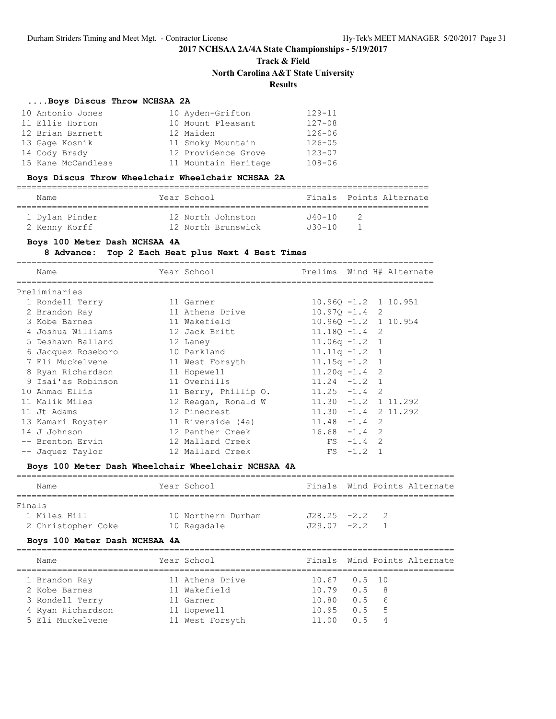# **Track & Field North Carolina A&T State University Results**

### **....Boys Discus Throw NCHSAA 2A**

| 10 Antonio Jones   | 10 Ayden-Grifton     | $129 - 11$ |
|--------------------|----------------------|------------|
| 11 Ellis Horton    | 10 Mount Pleasant    | $127 - 08$ |
| 12 Brian Barnett   | 12 Maiden            | $126 - 06$ |
| 13 Gage Kosnik     | 11 Smoky Mountain    | $126 - 05$ |
| 14 Cody Brady      | 12 Providence Grove  | $123 - 07$ |
| 15 Kane McCandless | 11 Mountain Heritage | $108 - 06$ |

### **Boys Discus Throw Wheelchair Wheelchair NCHSAA 2A**

| Name           | Year School        |           | Finals Points Alternate |
|----------------|--------------------|-----------|-------------------------|
| 1 Dylan Pinder | 12 North Johnston  | .140 – 10 |                         |
| 2 Kenny Korff  | 12 North Brunswick | .130-10   |                         |

### **Boys 100 Meter Dash NCHSAA 4A**

### **8 Advance: Top 2 Each Heat plus Next 4 Best Times**

| Name                          | Year School          |                         |             | Prelims Wind H# Alternate |
|-------------------------------|----------------------|-------------------------|-------------|---------------------------|
| Preliminaries                 |                      |                         |             |                           |
| 1 Rondell Terry               | 11 Garner            | $10.960 - 1.2$ 1 10.951 |             |                           |
| 2 Brandon Ray                 | 11 Athens Drive      | $10.970 - 1.4$ 2        |             |                           |
| 3 Kobe Barnes                 | 11 Wakefield         | $10.96Q - 1.2$ 1 10.954 |             |                           |
| 4 Joshua Williams             | 12 Jack Britt        | $11.18Q - 1.4$ 2        |             |                           |
| 5 Deshawn Ballard             | 12 Laney             | $11.06q - 1.2$ 1        |             |                           |
| 6 Jacquez Roseboro            | 10 Parkland          | $11.11q - 1.2$ 1        |             |                           |
| 7 Eli Muckelvene              | 11 West Forsyth      | $11.15q - 1.2$ 1        |             |                           |
| 8 Ryan Richardson 11 Hopewell |                      | $11.20q - 1.4$ 2        |             |                           |
| 9 Isai'as Robinson            | 11 Overhills         | $11.24 -1.2$ 1          |             |                           |
| 10 Ahmad Ellis                | 11 Berry, Phillip O. | $11.25 - 1.4$ 2         |             |                           |
| 11 Malik Miles                | 12 Reagan, Ronald W  | $11.30 -1.2 111.292$    |             |                           |
| 11 Jt Adams                   | 12 Pinecrest         | $11.30 -1.4$ 2 11.292   |             |                           |
| 13 Kamari Royster             | 11 Riverside (4a)    | $11.48 - 1.4$ 2         |             |                           |
| 14 J Johnson                  | 12 Panther Creek     | $16.68 - 1.4$ 2         |             |                           |
| -- Brenton Ervin              | 12 Mallard Creek     |                         | $FS -1.4 2$ |                           |
| -- Jaquez Taylor              | 12 Mallard Creek     | FS                      | $-1.2$ 1    |                           |
|                               |                      |                         |             |                           |

#### **Boys 100 Meter Dash Wheelchair Wheelchair NCHSAA 4A**

| Name               | Year School        |                 |  | Finals Wind Points Alternate |
|--------------------|--------------------|-----------------|--|------------------------------|
|                    |                    |                 |  |                              |
| Finals             |                    |                 |  |                              |
| 1 Miles Hill       | 10 Northern Durham | $J28.25 - 2.2$  |  |                              |
| 2 Christopher Coke | 10 Ragsdale        | $-729.07 - 2.2$ |  |                              |

#### **Boys 100 Meter Dash NCHSAA 4A**

| Name              | Year School     |                     | Finals Wind Points Alternate |
|-------------------|-----------------|---------------------|------------------------------|
| 1 Brandon Ray     | 11 Athens Drive | $10.67$ $0.5$ 10    |                              |
| 2 Kobe Barnes     | 11 Wakefield    | $10.79$ $0.5$ 8     |                              |
| 3 Rondell Terry   | 11 Garner       | $10.80 \t 0.5 6$    |                              |
| 4 Ryan Richardson | 11 Hopewell     | $10.95$ $0.5$ 5     |                              |
| 5 Eli Muckelvene  | 11 West Forsyth | $11.00 \t 0.5 \t 4$ |                              |
|                   |                 |                     |                              |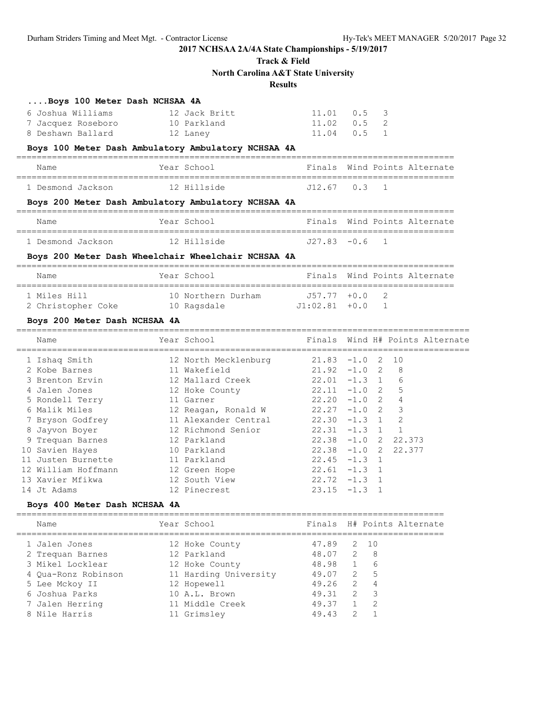## **Track & Field North Carolina A&T State University**

### **Results**

| Boys 100 Meter Dash NCHSAA 4A                       |                      |                 |               |                                |                                 |
|-----------------------------------------------------|----------------------|-----------------|---------------|--------------------------------|---------------------------------|
| 6 Joshua Williams                                   | 12 Jack Britt        | 11.01           | $0.5 \quad 3$ |                                |                                 |
| 7 Jacquez Roseboro                                  | 10 Parkland          | 11.02           | 0.5           | 2                              |                                 |
| 8 Deshawn Ballard                                   | 12 Laney             | 11.04           | 0.5           | $\mathbf{1}$                   |                                 |
| Boys 100 Meter Dash Ambulatory Ambulatory NCHSAA 4A |                      |                 |               |                                |                                 |
| Name                                                | Year School          |                 |               |                                | Finals Wind Points Alternate    |
| 1 Desmond Jackson                                   | 12 Hillside          | J12.67 0.3      |               | $\mathbf{1}$                   |                                 |
| Boys 200 Meter Dash Ambulatory Ambulatory NCHSAA 4A |                      |                 |               |                                |                                 |
| Name                                                | Year School          |                 |               |                                | Finals Wind Points Alternate    |
| 1 Desmond Jackson                                   | 12 Hillside          | $J27.83 - 0.6$  |               | $\mathbf{1}$                   |                                 |
| Boys 200 Meter Dash Wheelchair Wheelchair NCHSAA 4A |                      |                 |               |                                |                                 |
| Name                                                | Year School          |                 |               |                                | Finals Wind Points Alternate    |
| 1 Miles Hill                                        | 10 Northern Durham   | $J57.77$ $+0.0$ |               | 2                              |                                 |
| 2 Christopher Coke                                  | 10 Ragsdale          | $J1:02.81$ +0.0 |               | $\mathbf{1}$                   |                                 |
| Boys 200 Meter Dash NCHSAA 4A                       |                      |                 |               |                                |                                 |
| Name                                                | Year School          |                 |               |                                | Finals Wind H# Points Alternate |
| 1 Ishaq Smith                                       | 12 North Mecklenburg | $21.83 - 1.0$   |               | 2<br>10                        |                                 |
| 2 Kobe Barnes                                       | 11 Wakefield         | $21.92 -1.0 2$  |               | 8                              |                                 |
| 3 Brenton Ervin                                     | 12 Mallard Creek     | $22.01 -1.3$ 1  |               | 6                              |                                 |
| 4 Jalen Jones                                       | 12 Hoke County       | $22.11 -1.0$ 2  |               | 5                              |                                 |
| 5 Rondell Terry                                     | 11 Garner            | $22.20 -1.0 2$  |               | $\overline{4}$                 |                                 |
| 6 Malik Miles                                       | 12 Reagan, Ronald W  | $22.27 -1.0$ 2  |               | 3                              |                                 |
| 7 Bryson Godfrey                                    | 11 Alexander Central | $22.30 -1.3$ 1  |               | $\overline{2}$                 |                                 |
| 8 Jayvon Boyer                                      | 12 Richmond Senior   | 22.31           | $-1.3$        | $\mathbf{1}$<br>$\overline{1}$ |                                 |
| 9 Trequan Barnes                                    | 12 Parkland          | $22.38 -1.0$ 2  |               |                                | 22.373                          |
| 10 Savien Hayes                                     | 10 Parkland          | $22.38 -1.0$ 2  |               |                                | 22.377                          |
| 11 Justen Burnette                                  | 11 Parkland          | $22.45 - 1.3$ 1 |               |                                |                                 |
| 12 William Hoffmann                                 | 12 Green Hope        | $22.61 -1.3$    |               | $\mathbf{1}$                   |                                 |
| 13 Xavier Mfikwa                                    | 12 South View        | $22.72 -1.3 1$  |               |                                |                                 |
| 14 Jt Adams                                         | 12 Pinecrest         | $23.15 - 1.3$   |               | $\overline{1}$                 |                                 |
| Boys 400 Meter Dash NCHSAA 4A                       |                      |                 |               |                                |                                 |

| Name |                                                                                                                                                      | Year School |                                                                                                                                            |       |                          | Finals H# Points Alternate                     |
|------|------------------------------------------------------------------------------------------------------------------------------------------------------|-------------|--------------------------------------------------------------------------------------------------------------------------------------------|-------|--------------------------|------------------------------------------------|
|      |                                                                                                                                                      |             |                                                                                                                                            |       |                          |                                                |
|      |                                                                                                                                                      |             |                                                                                                                                            |       |                          |                                                |
|      |                                                                                                                                                      |             | 48.98                                                                                                                                      |       | - 6                      |                                                |
|      |                                                                                                                                                      |             |                                                                                                                                            |       | $-5$                     |                                                |
|      |                                                                                                                                                      |             | 49.26                                                                                                                                      |       | $\overline{4}$           |                                                |
|      |                                                                                                                                                      |             |                                                                                                                                            | 2     | $\overline{\phantom{a}}$ |                                                |
|      |                                                                                                                                                      |             | 49.37                                                                                                                                      |       | $\overline{2}$           |                                                |
|      |                                                                                                                                                      |             | 49.43                                                                                                                                      |       |                          |                                                |
|      | 1 Jalen Jones<br>2 Trequan Barnes<br>3 Mikel Locklear<br>4 Oua-Ronz Robinson<br>5 Lee Mckoy II<br>6 Joshua Parks<br>7 Jalen Herring<br>8 Nile Harris |             | 12 Hoke County<br>12 Parkland<br>12 Hoke County<br>11 Harding University<br>12 Hopewell<br>10 A.L. Brown<br>11 Middle Creek<br>11 Grimsley | 47.89 | 49.31                    | 2 10<br>48.07 2 8<br>49.07 2<br>$\overline{2}$ |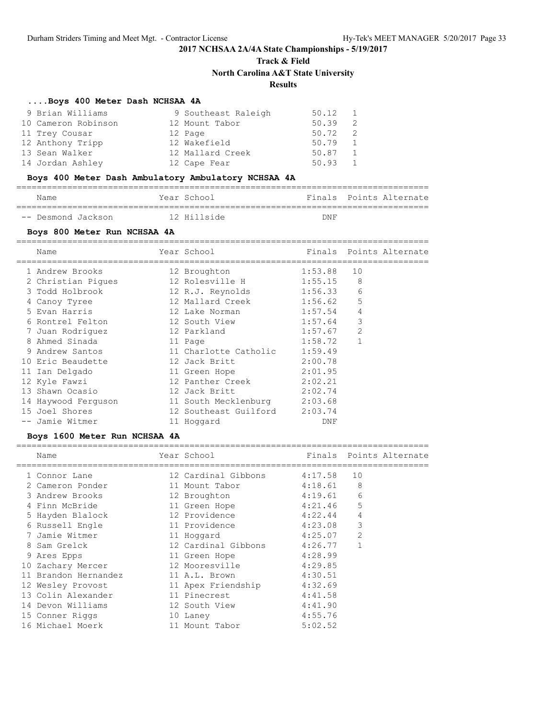**Track & Field**

**North Carolina A&T State University**

**Results**

#### **....Boys 400 Meter Dash NCHSAA 4A**

| 9 Brian Williams    | 9 Southeast Raleigh | 50.12 |      |
|---------------------|---------------------|-------|------|
| 10 Cameron Robinson | 12 Mount Tabor      | 50.39 | - 2. |
| 11 Trey Cousar      | 12 Page             | 50.72 | 2    |
| 12 Anthony Tripp    | 12 Wakefield        | 50.79 |      |
| 13 Sean Walker      | 12 Mallard Creek    | 50.87 |      |
| 14 Jordan Ashley    | 12 Cape Fear        | 50.93 |      |

#### **Boys 400 Meter Dash Ambulatory Ambulatory NCHSAA 4A**

| Name               | Year School | Finals Points Alternate |
|--------------------|-------------|-------------------------|
|                    |             |                         |
| -- Desmond Jackson | 12 Hillside | את F                    |

#### **Boys 800 Meter Run NCHSAA 4A**

================================================================================= Name The Year School The School Finals Points Alternate ================================================================================= 1 Andrew Brooks 12 Broughton 1:53.88 10 2 Christian Pigues 12 Rolesville H 1:55.15 8 3 Todd Holbrook 12 R.J. Reynolds 1:56.33 6 4 Canoy Tyree 12 Mallard Creek 1:56.62 5 5 Evan Harris 12 Lake Norman 1:57.54 4 6 Rontrel Felton 12 South View 1:57.64 3 7 Juan Rodriguez 12 Parkland 1:57.67 2 8 Ahmed Sinada 11 Page 1:58.72 1 9 Andrew Santos 11 Charlotte Catholic 1:59.49 10 Eric Beaudette 12 Jack Britt 2:00.78 11 Ian Delgado 11 Green Hope 2:01.95 12 Kyle Fawzi 12 Panther Creek 2:02.21 13 Shawn Ocasio 12 Jack Britt 2:02.74 14 Haywood Ferguson 11 South Mecklenburg 2:03.68 15 Joel Shores 12 Southeast Guilford 2:03.74 -- Jamie Witmer 11 Hoggard DNF

#### **Boys 1600 Meter Run NCHSAA 4A**

|    | Name               | Year School         | Finals  | Points Alternate |
|----|--------------------|---------------------|---------|------------------|
|    | 1 Connor Lane      | 12 Cardinal Gibbons | 4:17.58 | 10               |
|    | 2 Cameron Ponder   | 11 Mount Tabor      | 4:18.61 | 8                |
|    | 3 Andrew Brooks    | 12 Broughton        | 4:19.61 | 6                |
|    | 4 Finn McBride     | 11 Green Hope       | 4:21.46 | 5                |
|    | 5 Hayden Blalock   | 12 Providence       | 4:22.44 | 4                |
|    | 6 Russell Engle    | 11 Providence       | 4:23.08 | 3                |
|    | Jamie Witmer       | 11 Hoqqard          | 4:25.07 | $\overline{2}$   |
|    | 8 Sam Grelck       | 12 Cardinal Gibbons | 4:26.77 |                  |
|    | 9 Ares Epps        | 11 Green Hope       | 4:28.99 |                  |
|    | 10 Zachary Mercer  | 12 Mooresville      | 4:29.85 |                  |
| 11 | Brandon Hernandez  | 11 A.L. Brown       | 4:30.51 |                  |
|    | 12 Wesley Provost  | 11 Apex Friendship  | 4:32.69 |                  |
|    | 13 Colin Alexander | 11 Pinecrest        | 4:41.58 |                  |
|    | 14 Devon Williams  | 12 South View       | 4:41.90 |                  |
|    | 15 Conner Riggs    | 10 Laney            | 4:55.76 |                  |
|    | 16 Michael Moerk   | 11 Mount Tabor      | 5:02.52 |                  |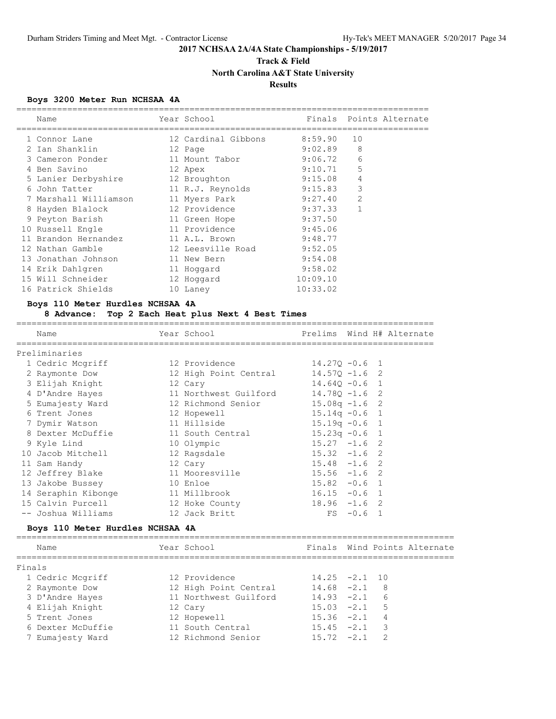## **Track & Field North Carolina A&T State University Results**

#### **Boys 3200 Meter Run NCHSAA 4A**

| Name                  | Year School         | Finals   |                | Points Alternate |
|-----------------------|---------------------|----------|----------------|------------------|
| 1 Connor Lane         | 12 Cardinal Gibbons | 8:59.90  | 10             |                  |
| 2 Ian Shanklin        | 12 Page             | 9:02.89  | 8              |                  |
| 3 Cameron Ponder      | 11 Mount Tabor      | 9:06.72  | 6              |                  |
| 4 Ben Savino          | 12 Apex             | 9:10.71  | 5              |                  |
| 5 Lanier Derbyshire   | 12 Broughton        | 9:15.08  | 4              |                  |
| 6 John Tatter         | 11 R.J. Reynolds    | 9:15.83  | 3              |                  |
| 7 Marshall Williamson | 11 Myers Park       | 9:27.40  | $\overline{2}$ |                  |
| 8 Hayden Blalock      | 12 Providence       | 9:37.33  |                |                  |
| 9 Peyton Barish       | 11 Green Hope       | 9:37.50  |                |                  |
| 10 Russell Engle      | 11 Providence       | 9:45.06  |                |                  |
| 11 Brandon Hernandez  | 11 A.L. Brown       | 9:48.77  |                |                  |
| 12 Nathan Gamble      | 12 Leesville Road   | 9:52.05  |                |                  |
| 13 Jonathan Johnson   | 11 New Bern         | 9:54.08  |                |                  |
| 14 Erik Dahlgren      | 11 Hoqqard          | 9:58.02  |                |                  |
| 15 Will Schneider     | 12 Hoqqard          | 10:09.10 |                |                  |
| 16 Patrick Shields    | 10 Laney            | 10:33.02 |                |                  |

#### **Boys 110 Meter Hurdles NCHSAA 4A**

#### **8 Advance: Top 2 Each Heat plus Next 4 Best Times**

================================================================================== Name Year School Prelims Wind H# Alternate ================================================================================== Preliminaries 1 Cedric Mcgriff 12 Providence 14.27Q -0.6 1 2 Raymonte Dow 12 High Point Central 14.57Q -1.6 2 3 Elijah Knight 12 Cary 14.64Q -0.6 1 4 D'Andre Hayes 11 Northwest Guilford 14.78Q -1.6 2 5 Eumajesty Ward 12 Richmond Senior 15.08q -1.6 2 6 Trent Jones 12 Hopewell 15.14q -0.6 1 7 Dymir Watson 11 Hillside 15.19q -0.6 1 8 Dexter McDuffie 11 South Central 15.23q -0.6 1 9 Kyle Lind 10 Olympic 15.27 -1.6 2 10 Jacob Mitchell 12 Ragsdale 15.32 -1.6 2 11 Sam Handy 12 Cary 15.48 -1.6 2 12 Jeffrey Blake 11 Mooresville 15.56 -1.6 2 13 Jakobe Bussey 10 Enloe 15.82 -0.6 1 14 Seraphin Kibonge 11 Millbrook 16.15 -0.6 1 15 Calvin Purcell 12 Hoke County 18.96 -1.6 2 -- Joshua Williams 12 Jack Britt FS -0.6 1

#### **Boys 110 Meter Hurdles NCHSAA 4A**

====================================================================================== Name Year School Finals Wind Points Alternate ====================================================================================== Finals 1 Cedric Mcgriff 12 Providence 14.25 -2.1 10 2 Raymonte Dow 12 High Point Central 14.68 -2.1 8 3 D'Andre Hayes 11 Northwest Guilford 14.93 -2.1 6 4 Elijah Knight 12 Cary 15.03 -2.1 5 5 Trent Jones 12 Hopewell 15.36 -2.1 4 6 Dexter McDuffie 11 South Central 15.45 -2.1 3 7 Eumajesty Ward 12 Richmond Senior 15.72 -2.1 2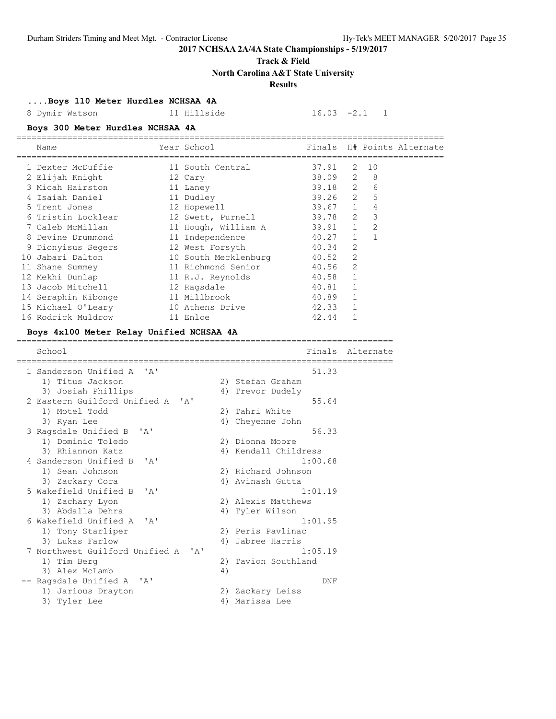**Track & Field**

**North Carolina A&T State University**

### **Results**

### **....Boys 110 Meter Hurdles NCHSAA 4A**

8 Dymir Watson 11 Hillside 16.03 -2.1 1

### **Boys 300 Meter Hurdles NCHSAA 4A**

|    | Name                | Year School          |           |                |               | Finals H# Points Alternate |
|----|---------------------|----------------------|-----------|----------------|---------------|----------------------------|
|    | 1 Dexter McDuffie   | 11 South Central     | 37.91     | 2              | 10            |                            |
|    | 2 Elijah Knight     | 12 Cary              | 38.09     | 2              | 8             |                            |
|    | 3 Micah Hairston    | 11 Laney             | $39.18$ 2 |                | 6             |                            |
|    | 4 Isaiah Daniel     | 11 Dudley            | 39.26     | 2              | 5             |                            |
|    | 5 Trent Jones       | 12 Hopewell          | $39.67$ 1 |                | 4             |                            |
|    | 6 Tristin Locklear  | 12 Swett, Purnell    | 39.78     | $\mathcal{L}$  | 3             |                            |
|    | 7 Caleb McMillan    | 11 Hough, William A  | 39.91     | $\overline{1}$ | $\mathcal{L}$ |                            |
|    | 8 Devine Drummond   | 11 Independence      | 40.27     | $\mathbf{1}$   |               |                            |
|    | 9 Dionyisus Segers  | 12 West Forsyth      | 40.34     | $\overline{2}$ |               |                            |
| 10 | Jabari Dalton       | 10 South Mecklenburg | 40.52     | 2              |               |                            |
|    | 11 Shane Summey     | 11 Richmond Senior   | 40.56     | $\mathfrak{D}$ |               |                            |
|    | 12 Mekhi Dunlap     | 11 R.J. Reynolds     | 40.58     |                |               |                            |
|    | 13 Jacob Mitchell   | 12 Ragsdale          | 40.81     |                |               |                            |
|    | 14 Seraphin Kibonge | 11 Millbrook         | 40.89     | 1              |               |                            |
|    | 15 Michael O'Leary  | 10 Athens Drive      | 42.33     |                |               |                            |
|    | 16 Rodrick Muldrow  | 11 Enloe             | 42.44     |                |               |                            |

#### **Boys 4x100 Meter Relay Unified NCHSAA 4A**

| School                                                                   |    | Finals               | Alternate |
|--------------------------------------------------------------------------|----|----------------------|-----------|
|                                                                          |    |                      |           |
| 1 Sanderson Unified A 'A'                                                |    | 51.33                |           |
| 1) Titus Jackson                                                         |    | 2) Stefan Graham     |           |
| 3) Josiah Phillips                                                       |    | 4) Trevor Dudely     |           |
| 2 Eastern Guilford Unified A 'A'                                         |    | 55.64                |           |
| 1) Motel Todd                                                            |    | 2) Tahri White       |           |
| 3) Ryan Lee                                                              |    | 4) Cheyenne John     |           |
| 3 Ragsdale Unified B<br>$\mathsf{A}$                                     |    | 56.33                |           |
| 1) Dominic Toledo                                                        |    | 2) Dionna Moore      |           |
| 3) Rhiannon Katz                                                         |    | 4) Kendall Childress |           |
| 4 Sanderson Unified B 'A'                                                |    | 1:00.68              |           |
| 1) Sean Johnson                                                          |    | 2) Richard Johnson   |           |
| 3) Zackary Cora                                                          |    | 4) Avinash Gutta     |           |
| 5 Wakefield Unified B 'A'                                                |    | 1:01.19              |           |
| 1) Zachary Lyon                                                          |    | 2) Alexis Matthews   |           |
| 3) Abdalla Dehra                                                         |    | 4) Tyler Wilson      |           |
| 6 Wakefield Unified A 'A'                                                |    | 1:01.95              |           |
| 1) Tony Starliper                                                        |    | 2) Peris Pavlinac    |           |
| 3) Lukas Farlow                                                          |    | 4) Jabree Harris     |           |
| 7 Northwest Guilford Unified A<br>$\mathsf{I}$ $\mathsf{A}$ $\mathsf{I}$ |    | 1:05.19              |           |
| 1) Tim Berg                                                              |    | 2) Tavion Southland  |           |
| 3) Alex McLamb                                                           | 4) |                      |           |
| Ragsdale Unified A 'A'                                                   |    | DNF                  |           |
| 1) Jarious Drayton                                                       |    | 2) Zackary Leiss     |           |
| 3) Tyler Lee                                                             |    | 4) Marissa Lee       |           |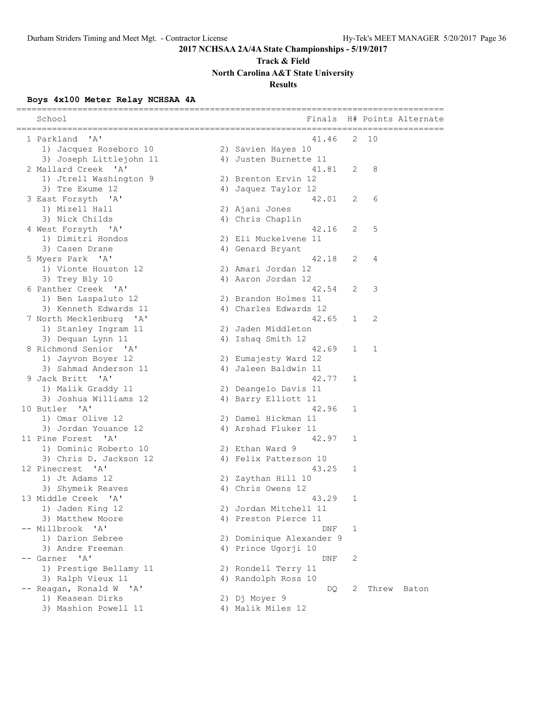# **Track & Field**

**North Carolina A&T State University**

### **Results**

### **Boys 4x100 Meter Relay NCHSAA 4A**

| School<br>=================================== | Finals<br>=============================== |   |       | H# Points Alternate |
|-----------------------------------------------|-------------------------------------------|---|-------|---------------------|
| $^{\prime}$ A $^{\prime}$<br>1 Parkland       | 41.46                                     | 2 | 10    |                     |
| 1) Jacquez Roseboro 10                        | 2) Savien Hayes 10                        |   |       |                     |
| 3) Joseph Littlejohn 11                       | 4) Justen Burnette 11                     |   |       |                     |
| 2 Mallard Creek 'A'                           | 41.81                                     | 2 | 8     |                     |
| 1) Jtrell Washington 9                        | 2) Brenton Ervin 12                       |   |       |                     |
| 3) Tre Exume 12                               | 4) Jaquez Taylor 12                       |   |       |                     |
| 3 East Forsyth 'A'                            | 42.01                                     | 2 | 6     |                     |
| 1) Mizell Hall                                | 2) Ajani Jones                            |   |       |                     |
| 3) Nick Childs                                | 4) Chris Chaplin                          |   |       |                     |
| 4 West Forsyth 'A'                            | 42.16                                     | 2 | 5     |                     |
| 1) Dimitri Hondos                             | 2) Eli Muckelvene 11                      |   |       |                     |
| 3) Casen Drane                                | 4) Genard Bryant                          |   |       |                     |
| 5 Myers Park 'A'                              | 42.18                                     | 2 | 4     |                     |
| 1) Vionte Houston 12                          | 2) Amari Jordan 12                        |   |       |                     |
| 3) Trey Bly 10                                | 4) Aaron Jordan 12                        |   |       |                     |
| 6 Panther Creek 'A'                           | 42.54                                     | 2 | 3     |                     |
| 1) Ben Laspaluto 12                           | 2) Brandon Holmes 11                      |   |       |                     |
| 3) Kenneth Edwards 11                         | 4) Charles Edwards 12                     |   |       |                     |
| 7 North Mecklenburg 'A'                       | 42.65                                     | 1 | 2     |                     |
| 1) Stanley Ingram 11                          | 2) Jaden Middleton                        |   |       |                     |
| 3) Dequan Lynn 11                             | 4) Ishaq Smith 12                         |   |       |                     |
| 8 Richmond Senior 'A'                         | 42.69                                     | 1 | 1     |                     |
| 1) Jayvon Boyer 12                            | 2) Eumajesty Ward 12                      |   |       |                     |
| 3) Sahmad Anderson 11                         | 4) Jaleen Baldwin 11                      |   |       |                     |
| 9 Jack Britt 'A'                              | 42.77                                     | 1 |       |                     |
| 1) Malik Graddy 11                            | 2) Deangelo Davis 11                      |   |       |                     |
| 3) Joshua Williams 12                         | 4) Barry Elliott 11                       |   |       |                     |
| 10 Butler 'A'                                 | 42.96                                     | 1 |       |                     |
| 1) Omar Olive 12                              | 2) Damel Hickman 11                       |   |       |                     |
| 3) Jordan Youance 12                          | 4) Arshad Fluker 11                       |   |       |                     |
| 11 Pine Forest 'A'                            | 42.97                                     | 1 |       |                     |
| 1) Dominic Roberto 10                         | 2) Ethan Ward 9                           |   |       |                     |
| 3) Chris D. Jackson 12                        | 4) Felix Patterson 10                     |   |       |                     |
| 12 Pinecrest 'A'                              | 43.25                                     | 1 |       |                     |
| 1) Jt Adams 12                                | 2) Zaythan Hill 10                        |   |       |                     |
| 3) Shymeik Reaves                             | 4) Chris Owens 12                         |   |       |                     |
| 13 Middle Creek 'A'                           | 43.29                                     | 1 |       |                     |
| 1) Jaden King 12                              | 2) Jordan Mitchell 11                     |   |       |                     |
| 3) Matthew Moore                              | 4) Preston Pierce 11                      |   |       |                     |
| -- Millbrook<br>'A'                           | DNF                                       | 1 |       |                     |
| 1) Darion Sebree                              | 2) Dominique Alexander 9                  |   |       |                     |
| 3) Andre Freeman                              | 4) Prince Ugorji 10                       |   |       |                     |
| -- Garner 'A'                                 | DNF                                       | 2 |       |                     |
| 1) Prestige Bellamy 11                        | 2) Rondell Terry 11                       |   |       |                     |
| 3) Ralph Vieux 11                             | 4) Randolph Ross 10                       |   |       |                     |
| Reagan, Ronald W 'A'                          | DQ                                        | 2 | Threw | Baton               |
| 1) Keasean Dirks                              | 2) Dj Moyer 9                             |   |       |                     |
| 3) Mashion Powell 11                          | 4) Malik Miles 12                         |   |       |                     |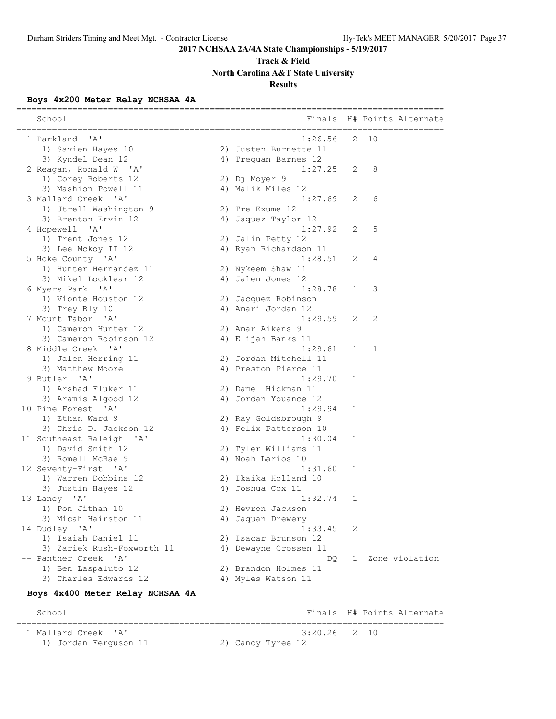# **Track & Field**

**North Carolina A&T State University**

### **Results**

### **Boys 4x200 Meter Relay NCHSAA 4A**

| School                                        | Finals                |              | H# Points Alternate                |
|-----------------------------------------------|-----------------------|--------------|------------------------------------|
| 1 Parkland<br>'' A '                          | 1:26.56               | 2.           | _____________________<br>10        |
| 1) Savien Hayes 10                            | 2) Justen Burnette 11 |              |                                    |
| 3) Kyndel Dean 12                             | 4) Trequan Barnes 12  |              |                                    |
| 2 Reagan, Ronald W 'A'                        | 1:27.25               | 2            | 8                                  |
| 1) Corey Roberts 12                           | 2) Dj Moyer 9         |              |                                    |
| 3) Mashion Powell 11                          | 4) Malik Miles 12     |              |                                    |
| 3 Mallard Creek 'A'                           | 1:27.69               | 2            | 6                                  |
| 1) Jtrell Washington 9                        | 2) Tre Exume 12       |              |                                    |
| 3) Brenton Ervin 12                           | 4) Jaquez Taylor 12   |              |                                    |
| 4 Hopewell 'A'                                | 1:27.92               | 2            | 5                                  |
| 1) Trent Jones 12                             | 2) Jalin Petty 12     |              |                                    |
| 3) Lee Mckoy II 12                            | 4) Ryan Richardson 11 |              |                                    |
| 5 Hoke County 'A'                             | 1:28.51               | 2            | 4                                  |
| 1) Hunter Hernandez 11                        | 2) Nykeem Shaw 11     |              |                                    |
| 3) Mikel Locklear 12                          | 4) Jalen Jones 12     |              |                                    |
| 6 Myers Park 'A'                              | 1:28.78               | $\mathbf 1$  | 3                                  |
| 1) Vionte Houston 12                          | 2) Jacquez Robinson   |              |                                    |
| 3) Trey Bly 10                                | 4) Amari Jordan 12    |              |                                    |
| 7 Mount Tabor 'A'                             | 1:29.59               | 2            | 2                                  |
| 1) Cameron Hunter 12                          | 2) Amar Aikens 9      |              |                                    |
| 3) Cameron Robinson 12                        | 4) Elijah Banks 11    |              |                                    |
| 8 Middle Creek 'A'                            | 1:29.61               | $\mathbf{1}$ | 1                                  |
| 1) Jalen Herring 11                           | 2) Jordan Mitchell 11 |              |                                    |
| 3) Matthew Moore                              | 4) Preston Pierce 11  |              |                                    |
| 9 Butler 'A'                                  | 1:29.70               | 1            |                                    |
| 1) Arshad Fluker 11                           | 2) Damel Hickman 11   |              |                                    |
| 3) Aramis Algood 12                           | 4) Jordan Youance 12  |              |                                    |
| 10 Pine Forest 'A'                            | 1:29.94               | 1            |                                    |
| 1) Ethan Ward 9                               | 2) Ray Goldsbrough 9  |              |                                    |
| 3) Chris D. Jackson 12                        | 4) Felix Patterson 10 |              |                                    |
| 11 Southeast Raleigh<br>$\mathsf{A}$          | 1:30.04               | 1            |                                    |
| 1) David Smith 12                             | 2) Tyler Williams 11  |              |                                    |
| 3) Romell McRae 9                             | 4) Noah Larios 10     |              |                                    |
| 12 Seventy-First 'A'                          | 1:31.60               | 1            |                                    |
| 1) Warren Dobbins 12                          | 2) Ikaika Holland 10  |              |                                    |
| 3) Justin Hayes 12                            | 4) Joshua Cox 11      |              |                                    |
| 13 Laney 'A'                                  | 1:32.74               | 1            |                                    |
| 1) Pon Jithan 10                              | 2) Hevron Jackson     |              |                                    |
| 3) Micah Hairston 11                          | 4) Jaquan Drewery     |              |                                    |
| 14 Dudley 'A'                                 | 1:33.45               | 2            |                                    |
| 1) Isaiah Daniel 11                           | 2) Isacar Brunson 12  |              |                                    |
| 3) Zariek Rush-Foxworth 11                    | 4) Dewayne Crossen 11 |              |                                    |
| -- Panther Creek<br>$^{\prime}$ A $^{\prime}$ | DO.                   | 1            | Zone violation                     |
| 1) Ben Laspaluto 12                           | 2) Brandon Holmes 11  |              |                                    |
| 3) Charles Edwards 12                         | 4) Myles Watson 11    |              |                                    |
| Boys 4x400 Meter Relay NCHSAA 4A              |                       |              | ================================== |
| School                                        | Finals                |              | H# Points Alternate                |
| $^{\prime}$ A $^{\prime}$<br>1 Mallard Creek  | 3:20.26               | 2            | 10                                 |
| 1) Jordan Ferguson 11                         | 2) Canoy Tyree 12     |              |                                    |
|                                               |                       |              |                                    |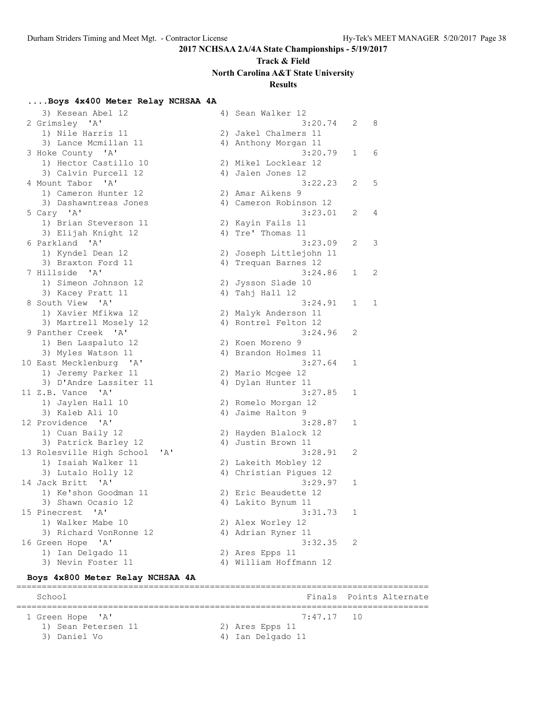# **Track & Field North Carolina A&T State University**

### **Results**

### **....Boys 4x400 Meter Relay NCHSAA 4A**

| 3) Kesean Abel 12                                | 4) Sean Walker 12       |   |   |
|--------------------------------------------------|-------------------------|---|---|
| 2 Grimsley 'A'                                   | 3:20.74                 | 2 | 8 |
| 1) Nile Harris 11                                | 2) Jakel Chalmers 11    |   |   |
| 3) Lance Mcmillan 11                             | 4) Anthony Morgan 11    |   |   |
| 3 Hoke County 'A'                                | 3:20.79                 | 1 | 6 |
| 1) Hector Castillo 10                            | 2) Mikel Locklear 12    |   |   |
| 3) Calvin Purcell 12                             | 4) Jalen Jones 12       |   |   |
| 4 Mount Tabor 'A'                                | 3:22.23                 | 2 | 5 |
| 1) Cameron Hunter 12                             |                         |   |   |
|                                                  | 2) Amar Aikens 9        |   |   |
| 3) Dashawntreas Jones                            | 4) Cameron Robinson 12  |   |   |
| 5 Cary 'A'                                       | 3:23.01                 | 2 | 4 |
| 1) Brian Steverson 11                            | 2) Kayin Fails 11       |   |   |
| 3) Elijah Knight 12                              | 4) Tre' Thomas 11       |   |   |
| 6 Parkland 'A'                                   | 3:23.09                 | 2 | 3 |
| 1) Kyndel Dean 12                                | 2) Joseph Littlejohn 11 |   |   |
| 3) Braxton Ford 11                               | 4) Trequan Barnes 12    |   |   |
| 7 Hillside 'A'                                   | 3:24.86                 | 1 | 2 |
| 1) Simeon Johnson 12                             | 2) Jysson Slade 10      |   |   |
| 3) Kacey Pratt 11                                | 4) Tahj Hall 12         |   |   |
| 8 South View 'A'                                 | 3:24.91                 | 1 | 1 |
| 1) Xavier Mfikwa 12                              | 2) Malyk Anderson 11    |   |   |
| 3) Martrell Mosely 12                            | 4) Rontrel Felton 12    |   |   |
| 9 Panther Creek 'A'                              | 3:24.96                 | 2 |   |
| 1) Ben Laspaluto 12                              | 2) Koen Moreno 9        |   |   |
| 3) Myles Watson 11                               | 4) Brandon Holmes 11    |   |   |
| 10 East Mecklenburg<br>$^{\prime}$ A $^{\prime}$ | 3:27.64                 | 1 |   |
| 1) Jeremy Parker 11                              | 2) Mario Mcgee 12       |   |   |
| 3) D'Andre Lassiter 11                           | 4) Dylan Hunter 11      |   |   |
| 11 Z.B. Vance 'A'                                | 3:27.85                 | 1 |   |
| 1) Jaylen Hall 10                                | 2) Romelo Morgan 12     |   |   |
| 3) Kaleb Ali 10                                  | 4) Jaime Halton 9       |   |   |
| 12 Providence 'A'                                | 3:28.87                 | 1 |   |
| 1) Cuan Baily 12                                 | 2) Hayden Blalock 12    |   |   |
| 3) Patrick Barley 12                             | 4) Justin Brown 11      |   |   |
| 13 Rolesville High School<br>'A'                 | 3:28.91                 | 2 |   |
| 1) Isaiah Walker 11                              | 2) Lakeith Mobley 12    |   |   |
| 3) Lutalo Holly 12                               | 4) Christian Pigues 12  |   |   |
| 14 Jack Britt<br>$\mathsf{A}$                    | 3:29.97                 | 1 |   |
|                                                  |                         |   |   |
| 1) Ke'shon Goodman 11                            | 2) Eric Beaudette 12    |   |   |
| 3) Shawn Ocasio 12                               | 4) Lakito Bynum 11      |   |   |
| 15 Pinecrest<br>'A'                              | 3:31.73                 | 1 |   |
| 1) Walker Mabe 10                                | 2) Alex Worley 12       |   |   |
| 3) Richard VonRonne 12                           | 4) Adrian Ryner 11      |   |   |
| 16 Green Hope<br>$\mathsf{A}$                    | 3:32.35                 | 2 |   |
| 1) Ian Delgado 11                                | 2) Ares Epps 11         |   |   |
| 3) Nevin Foster 11                               | 4) William Hoffmann 12  |   |   |
| Boys 4x800 Meter Relay NCHSAA 4A                 |                         |   |   |
|                                                  |                         |   |   |
|                                                  |                         |   |   |

### School **Finals Points Alternate** ================================================================================= 1 Green Hope 'A' 7:47.17 10 1) Sean Petersen 11 2) Ares Epps 11 3) Daniel Vo 4) Ian Delgado 11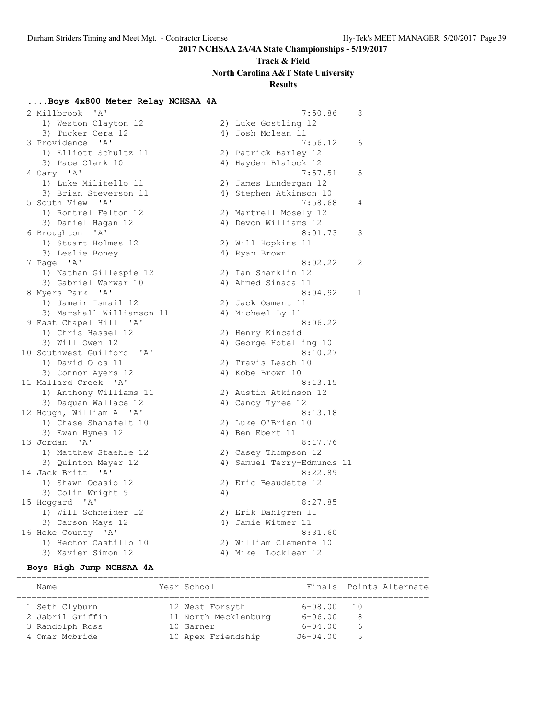# **Track & Field North Carolina A&T State University**

## **Results**

### **....Boys 4x800 Meter Relay NCHSAA 4A**

| $\mathsf{A}$<br>2 Millbrook |    | 7:50.86                    | 8              |
|-----------------------------|----|----------------------------|----------------|
| 1) Weston Clayton 12        |    | 2) Luke Gostling 12        |                |
| 3) Tucker Cera 12           |    | 4) Josh Mclean 11          |                |
| 3 Providence 'A'            |    | 7:56.12                    | 6              |
| 1) Elliott Schultz 11       |    | 2) Patrick Barley 12       |                |
| 3) Pace Clark 10            |    | 4) Hayden Blalock 12       |                |
| 4 Cary 'A'                  |    | 7:57.51                    | 5              |
| 1) Luke Militello 11        |    | 2) James Lundergan 12      |                |
| 3) Brian Steverson 11       |    | 4) Stephen Atkinson 10     |                |
| 5 South View 'A'            |    | 7:58.68                    | 4              |
| 1) Rontrel Felton 12        |    | 2) Martrell Mosely 12      |                |
| 3) Daniel Hagan 12          |    | 4) Devon Williams 12       |                |
| 6 Broughton 'A'             |    | 8:01.73                    | 3              |
| 1) Stuart Holmes 12         |    | 2) Will Hopkins 11         |                |
| 3) Leslie Boney             |    | 4) Ryan Brown              |                |
| 7 Page 'A'                  |    | 8:02.22                    | $\overline{c}$ |
| 1) Nathan Gillespie 12      |    | 2) Ian Shanklin 12         |                |
| 3) Gabriel Warwar 10        |    | 4) Ahmed Sinada 11         |                |
| 8 Myers Park 'A'            |    | 8:04.92                    | 1              |
| 1) Jameir Ismail 12         |    | 2) Jack Osment 11          |                |
| 3) Marshall Williamson 11   |    | 4) Michael Ly 11           |                |
| 9 East Chapel Hill 'A'      |    | 8:06.22                    |                |
| 1) Chris Hassel 12          |    | 2) Henry Kincaid           |                |
| 3) Will Owen 12             |    | 4) George Hotelling 10     |                |
| 10 Southwest Guilford 'A'   |    | 8:10.27                    |                |
| 1) David Olds 11            |    | 2) Travis Leach 10         |                |
| 3) Connor Ayers 12          |    | 4) Kobe Brown 10           |                |
| 11 Mallard Creek 'A'        |    | 8:13.15                    |                |
| 1) Anthony Williams 11      |    | 2) Austin Atkinson 12      |                |
| 3) Daquan Wallace 12        |    | 4) Canoy Tyree 12          |                |
| 12 Hough, William A 'A'     |    | 8:13.18                    |                |
| 1) Chase Shanafelt 10       |    | 2) Luke O'Brien 10         |                |
| 3) Ewan Hynes 12            |    | 4) Ben Ebert 11            |                |
| 13 Jordan 'A'               |    | 8:17.76                    |                |
| 1) Matthew Staehle 12       |    | 2) Casey Thompson 12       |                |
| 3) Quinton Meyer 12         |    | 4) Samuel Terry-Edmunds 11 |                |
| 14 Jack Britt 'A'           |    | 8:22.89                    |                |
| 1) Shawn Ocasio 12          |    | 2) Eric Beaudette 12       |                |
| 3) Colin Wright 9           | 4) |                            |                |
| 15 Hoggard 'A'              |    | 8:27.85                    |                |
| 1) Will Schneider 12        |    | 2) Erik Dahlgren 11        |                |
| 3) Carson Mays 12           |    | 4) Jamie Witmer 11         |                |
| 16 Hoke County 'A'          |    | 8:31.60                    |                |
| 1) Hector Castillo 10       |    | 2) William Clemente 10     |                |
| 3) Xavier Simon 12          |    | 4) Mikel Locklear 12       |                |

#### **Boys High Jump NCHSAA 4A**

================================================================================= Finals Points Alternate

| name.            | rear scnool          |             | Finals Points Alternate |
|------------------|----------------------|-------------|-------------------------|
| 1 Seth Clyburn   | 12 West Forsyth      | 6-08.00     | 10                      |
| 2 Jabril Griffin | 11 North Mecklenburg | $6 - 06.00$ | 8                       |
| 3 Randolph Ross  | 10 Garner            | $6 - 04.00$ | $\sigma$                |
| 4 Omar Mcbride   | 10 Apex Friendship   | J6-04.00    | 5                       |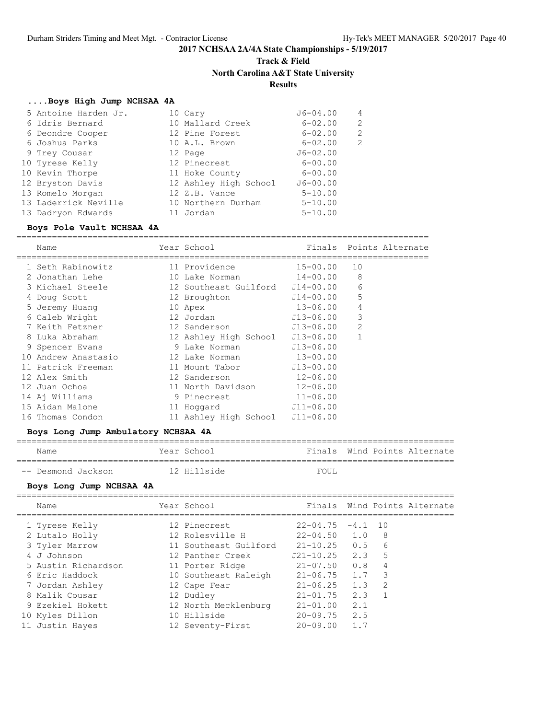# **Track & Field North Carolina A&T State University Results**

# **....Boys High Jump NCHSAA 4A**

| 5 Antoine Harden Jr. | 10 Cary               | $J6 - 04.00$ | 4 |
|----------------------|-----------------------|--------------|---|
| 6 Idris Bernard      | 10 Mallard Creek      | $6 - 02.00$  | 2 |
| 6 Deondre Cooper     | 12 Pine Forest        | $6 - 02.00$  | 2 |
| 6 Joshua Parks       | 10 A.L. Brown         | $6 - 02.00$  | 2 |
| 9 Trey Cousar        | 12 Page               | $J6 - 02.00$ |   |
| 10 Tyrese Kelly      | 12 Pinecrest          | $6 - 00.00$  |   |
| 10 Kevin Thorpe      | 11 Hoke County        | $6 - 00.00$  |   |
| 12 Bryston Davis     | 12 Ashley High School | $J6 - 00.00$ |   |
| 13 Romelo Morgan     | 12 Z.B. Vance         | $5 - 10.00$  |   |
| 13 Laderrick Neville | 10 Northern Durham    | $5 - 10.00$  |   |
| 13 Dadryon Edwards   | 11 Jordan             | $5 - 10.00$  |   |

### **Boys Pole Vault NCHSAA 4A**

| Name                | Year School                     | Finals        | Points Alternate |
|---------------------|---------------------------------|---------------|------------------|
|                     |                                 |               |                  |
| 1 Seth Rabinowitz   | 11 Providence                   | $15 - 00.00$  | 10               |
| 2 Jonathan Lehe     | 10 Lake Norman                  | 14-00.00      | 8                |
| 3 Michael Steele    | 12 Southeast Guilford J14-00.00 |               | 6                |
| 4 Doug Scott        | 12 Broughton                    | J14-00.00     | 5                |
| 5 Jeremy Huang      | 10 Apex                         | 13-06.00      | 4                |
| 6 Caleb Wright      | 12 Jordan                       | $J13 - 06.00$ | 3                |
| 7 Keith Fetzner     | 12 Sanderson                    | $J13-06.00$   | 2                |
| 8 Luka Abraham      | 12 Ashley High School J13-06.00 |               |                  |
| 9 Spencer Evans     | 9 Lake Norman                   | $J13 - 06.00$ |                  |
| 10 Andrew Anastasio | 12 Lake Norman                  | $13 - 00.00$  |                  |
| 11 Patrick Freeman  | 11 Mount Tabor                  | $J13-00.00$   |                  |
| 12 Alex Smith       | 12 Sanderson                    | $12 - 06.00$  |                  |
| 12 Juan Ochoa       | 11 North Davidson               | $12 - 06.00$  |                  |
| 14 Aj Williams      | 9 Pinecrest                     | $11 - 06.00$  |                  |
| 15 Aidan Malone     | 11 Hoqqard                      | $J11 - 06.00$ |                  |
| 16 Thomas Condon    | 11 Ashley High School           | $J11 - 06.00$ |                  |

### **Boys Long Jump Ambulatory NCHSAA 4A**

| Name               | Year School | Finals Wind Points Alternate |  |
|--------------------|-------------|------------------------------|--|
| -- Desmond Jackson | 12 Hillside | FOUL                         |  |

### **Boys Long Jump NCHSAA 4A**

| Name                | Year School           |                   |           |                | Finals Wind Points Alternate |
|---------------------|-----------------------|-------------------|-----------|----------------|------------------------------|
| 1 Tyrese Kelly      | 12 Pinecrest          | $22 - 04.75$      | $-4.1$ 10 |                |                              |
| 2 Lutalo Holly      | 12 Rolesville H       | $22 - 04.50$ 1.0  |           | 8              |                              |
| 3 Tyler Marrow      | 11 Southeast Guilford | $21 - 10.25$ 0.5  |           | 6              |                              |
| 4 J Johnson         | 12 Panther Creek      | $J21 - 10.25$ 2.3 |           | 5              |                              |
| 5 Austin Richardson | 11 Porter Ridge       | $21 - 07.50$ 0.8  |           | $\overline{4}$ |                              |
| 6 Eric Haddock      | 10 Southeast Raleigh  | $21 - 06.75$ 1.7  |           | -3             |                              |
| 7 Jordan Ashley     | 12 Cape Fear          | $21 - 06.25$      | 1.3       | 2              |                              |
| 8 Malik Cousar      | 12 Dudley             | $21 - 01.75$      | 2.3       |                |                              |
| 9 Ezekiel Hokett    | 12 North Mecklenburg  | $21 - 01.00$      | 2.1       |                |                              |
| 10 Myles Dillon     | 10 Hillside           | $20 - 09.75$      | 2.5       |                |                              |
| 11 Justin Hayes     | 12 Seventy-First      | $20 - 09.00$      | 1.7       |                |                              |
|                     |                       |                   |           |                |                              |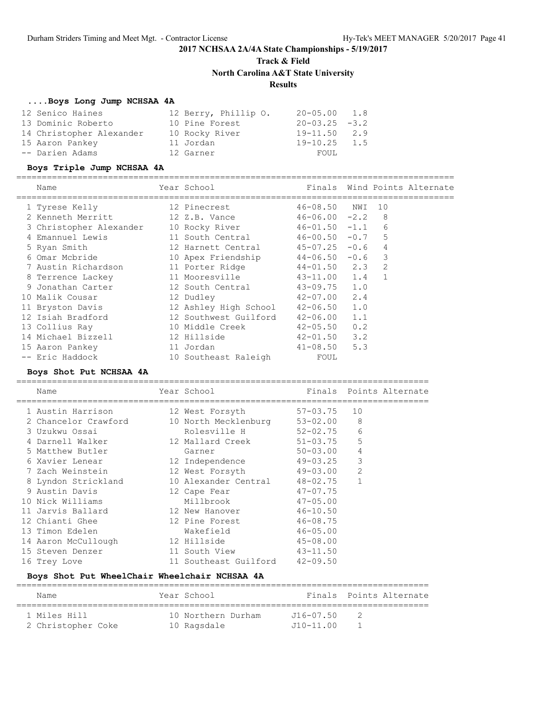**Track & Field**

**North Carolina A&T State University**

### **Results**

#### **....Boys Long Jump NCHSAA 4A**

| 12 Senico Haines         | 12 Berry, Phillip O. | $20 - 05.00$ 1.8    |
|--------------------------|----------------------|---------------------|
| 13 Dominic Roberto       | 10 Pine Forest       | $20 - 03.25 - 3.2$  |
| 14 Christopher Alexander | 10 Rocky River       | $19 - 11.50$<br>2.9 |
| 15 Aaron Pankey          | 11 Jordan            | $19 - 10.25$<br>1.5 |
| -- Darien Adams          | 12 Garner            | FOUL                |

### **Boys Triple Jump NCHSAA 4A**

======================================================================================

| Name                    | Year School                        |                     |                | Finals Wind Points Alternate |
|-------------------------|------------------------------------|---------------------|----------------|------------------------------|
| 1 Tyrese Kelly          | 12 Pinecrest                       | 46-08.50 NWI        | 10             |                              |
| 2 Kenneth Merritt       | 12 Z.B. Vance                      | $46 - 06.00 -2.2$ 8 |                |                              |
| 3 Christopher Alexander | 10 Rocky River                     | $46 - 01.50 - 1.1$  | 6              |                              |
| 4 Emannuel Lewis        | 11 South Central 46-00.50 -0.7     |                     | 5              |                              |
| 5 Ryan Smith            | 12 Harnett Central 45-07.25 -0.6   |                     | $\overline{4}$ |                              |
| 6 Omar Mcbride          | 10 Apex Friendship 44-06.50 -0.6 3 |                     |                |                              |
| 7 Austin Richardson     | 11 Porter Ridge                    | $44 - 01.50$ 2.3    | 2              |                              |
| 8 Terrence Lackey       | 11 Mooresville                     | $43 - 11.00$ 1.4    | $\overline{1}$ |                              |
| 9 Jonathan Carter       | 12 South Central                   | $43 - 09.75$ 1.0    |                |                              |
| 10 Malik Cousar         | 12 Dudley                          | $42 - 07.00$ 2.4    |                |                              |
| 11 Bryston Davis        | 12 Ashley High School 42-06.50 1.0 |                     |                |                              |
| 12 Isiah Bradford       | 12 Southwest Guilford              | $42 - 06.00$ 1.1    |                |                              |
| 13 Collius Ray          | 10 Middle Creek                    | $42 - 05.50$ 0.2    |                |                              |
| 14 Michael Bizzell      | 12 Hillside                        | $42 - 01.50$ 3.2    |                |                              |
| 15 Aaron Pankey         | 11 Jordan                          | $41 - 08.50$ 5.3    |                |                              |
| -- Eric Haddock         | 10 Southeast Raleigh               | FOUL                |                |                              |

#### **Boys Shot Put NCHSAA 4A**

=================================================================================

| Name                 | Year School                    |              | Finals Points Alternate |
|----------------------|--------------------------------|--------------|-------------------------|
| 1 Austin Harrison    | 12 West Forsyth                | 57-03.75     | 10                      |
| 2 Chancelor Crawford | 10 North Mecklenburg           | 53-02.00     | 8                       |
| 3 Uzukwu Ossai       | Rolesville H 52-02.75          |              | 6                       |
| 4 Darnell Walker     | 12 Mallard Creek 51-03.75      |              | 5                       |
| 5 Matthew Butler     | Garner                         | $50 - 03.00$ | $\overline{4}$          |
| 6 Xavier Lenear      | 12 Independence                | $49 - 03.25$ | 3                       |
| 7 Zach Weinstein     | 12 West Forsyth 49-03.00       |              | $\overline{c}$          |
| 8 Lyndon Strickland  | 10 Alexander Central 48-02.75  |              | $\mathbf{1}$            |
| 9 Austin Davis       | 12 Cape Fear                   | $47 - 07.75$ |                         |
| 10 Nick Williams     | Millbrook                      | $47 - 05.00$ |                         |
| 11 Jarvis Ballard    | 12 New Hanover                 | $46 - 10.50$ |                         |
| 12 Chianti Ghee      | 12 Pine Forest                 | $46 - 08.75$ |                         |
| 13 Timon Edelen      | Wakefield                      | $46 - 05.00$ |                         |
| 14 Aaron McCullough  | 12 Hillside                    | 45-08.00     |                         |
| 15 Steven Denzer     | 11 South View                  | $43 - 11.50$ |                         |
| 16 Trey Love         | 11 Southeast Guilford 42-09.50 |              |                         |

### **Boys Shot Put WheelChair Wheelchair NCHSAA 4A**

| Name               | Year School        |               | Finals Points Alternate |
|--------------------|--------------------|---------------|-------------------------|
|                    |                    |               |                         |
| 1 Miles Hill       | 10 Northern Durham | $J16 - 07.50$ |                         |
| 2 Christopher Coke | 10 Ragsdale        | $J10 - 11.00$ |                         |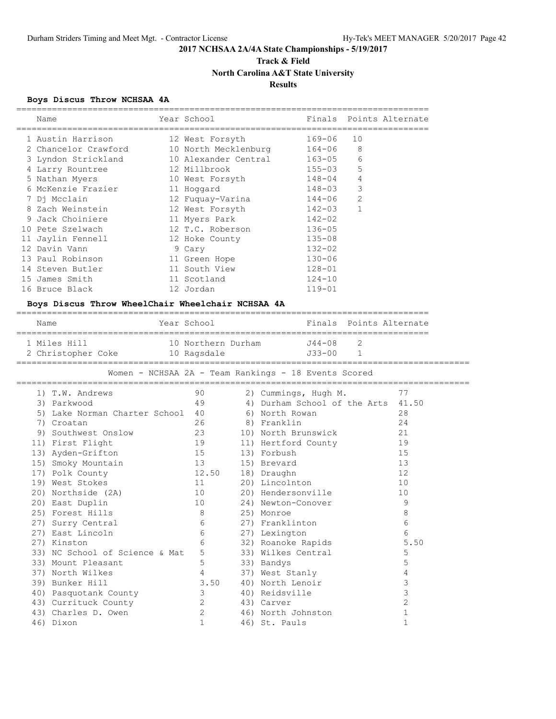=================================================================================

### **2017 NCHSAA 2A/4A State Championships - 5/19/2017**

# **Track & Field North Carolina A&T State University**

### **Results**

### **Boys Discus Throw NCHSAA 4A**

| Name                                                 | Year School          |               | Finals                                               |                | Points Alternate        |  |
|------------------------------------------------------|----------------------|---------------|------------------------------------------------------|----------------|-------------------------|--|
| 1 Austin Harrison                                    | 12 West Forsyth      |               | 169-06                                               | 10             |                         |  |
| 2 Chancelor Crawford                                 | 10 North Mecklenburg |               | $164 - 06$                                           | 8              |                         |  |
| 3 Lyndon Strickland                                  | 10 Alexander Central |               | $163 - 05$                                           | 6              |                         |  |
| 4 Larry Rountree                                     | 12 Millbrook         |               | $155 - 03$                                           | 5              |                         |  |
| 5 Nathan Myers                                       | 10 West Forsyth      |               | $148 - 04$                                           | 4              |                         |  |
| 6 McKenzie Frazier                                   | 11 Hoggard           |               | $148 - 03$                                           | 3              |                         |  |
| 7 Dj Mcclain                                         | 12 Fuquay-Varina     |               | $144 - 06$                                           | 2              |                         |  |
| 8 Zach Weinstein                                     | 12 West Forsyth      |               | $142 - 03$                                           | $\mathbf{1}$   |                         |  |
| 9 Jack Choiniere                                     | 11 Myers Park        |               | $142 - 02$                                           |                |                         |  |
| 10 Pete Szelwach                                     | 12 T.C. Roberson     |               | $136 - 05$                                           |                |                         |  |
| 11 Jaylin Fennell                                    | 12 Hoke County       |               | $135 - 08$                                           |                |                         |  |
| 12 Davin Vann                                        | 9 Cary               |               | $132 - 02$                                           |                |                         |  |
| 13 Paul Robinson                                     | 11 Green Hope        |               | $130 - 06$                                           |                |                         |  |
| 14 Steven Butler                                     | 11 South View        |               | $128 - 01$                                           |                |                         |  |
| 15 James Smith                                       | 11 Scotland          |               | $124 - 10$                                           |                |                         |  |
| 16 Bruce Black                                       | 12 Jordan            |               | $119 - 01$                                           |                |                         |  |
| Boys Discus Throw WheelChair Wheelchair NCHSAA 4A    |                      |               |                                                      |                |                         |  |
| Name                                                 | Year School          |               |                                                      |                | Finals Points Alternate |  |
| 1 Miles Hill                                         | 10 Northern Durham   |               | J44-08                                               | $\overline{2}$ |                         |  |
| 2 Christopher Coke                                   | 10 Ragsdale          |               | $J33 - 00$                                           | $\mathbf{1}$   |                         |  |
|                                                      |                      |               |                                                      |                |                         |  |
|                                                      |                      |               |                                                      |                |                         |  |
|                                                      |                      |               | Women - NCHSAA 2A - Team Rankings - 18 Events Scored |                |                         |  |
| 1) T.W. Andrews                                      | 90                   |               | 2) Cummings, Hugh M.                                 |                | 77                      |  |
| 3) Parkwood                                          | 49                   |               | 4) Durham School of the Arts 41.50                   |                |                         |  |
| 5) Lake Norman Charter School                        | 40                   |               | 6) North Rowan                                       |                | 28                      |  |
| 7) Croatan                                           | 26                   | 8) Franklin   |                                                      |                | 24                      |  |
| 9) Southwest Onslow                                  | 23                   |               | 10) North Brunswick                                  |                | 21                      |  |
| 11) First Flight                                     | 19                   |               | 11) Hertford County                                  |                | 19                      |  |
| 13) Ayden-Grifton                                    | 15                   | 13) Forbush   |                                                      |                | 15                      |  |
| 15) Smoky Mountain                                   | 13                   | 15) Brevard   |                                                      |                | 13                      |  |
| 17) Polk County                                      | 12.50                | 18) Draughn   |                                                      |                | 12                      |  |
| 19) West Stokes                                      | 11                   |               | 20) Lincolnton                                       |                | 10                      |  |
| 20) Northside (2A)                                   | 10                   |               | 20) Hendersonville                                   |                | 10                      |  |
| 20) East Duplin                                      | 10                   |               | 24) Newton-Conover                                   |                | 9                       |  |
| 25) Forest Hills                                     | 8                    | 25) Monroe    |                                                      |                | 8                       |  |
| 27) Surry Central                                    | 6                    |               | 27) Franklinton                                      |                | 6                       |  |
| 27) East Lincoln                                     | 6<br>6               | 27) Lexington |                                                      |                | 6<br>5.50               |  |
| 27) Kinston                                          | 5                    |               | 32) Roanoke Rapids                                   |                | 5                       |  |
| 33) NC School of Science & Mat<br>33) Mount Pleasant | 5                    |               | 33) Wilkes Central                                   |                | 5                       |  |
| 37) North Wilkes                                     | 4                    | 33) Bandys    | 37) West Stanly                                      |                | 4                       |  |
| 39) Bunker Hill                                      | 3.50                 |               | 40) North Lenoir                                     |                | 3                       |  |
| 40) Pasquotank County                                | 3                    |               | 40) Reidsville                                       |                | 3                       |  |
| 43) Currituck County                                 | 2                    | 43) Carver    |                                                      |                | $\overline{c}$          |  |
| 43) Charles D. Owen                                  | 2                    |               | 46) North Johnston                                   |                | $\mathbf{1}$            |  |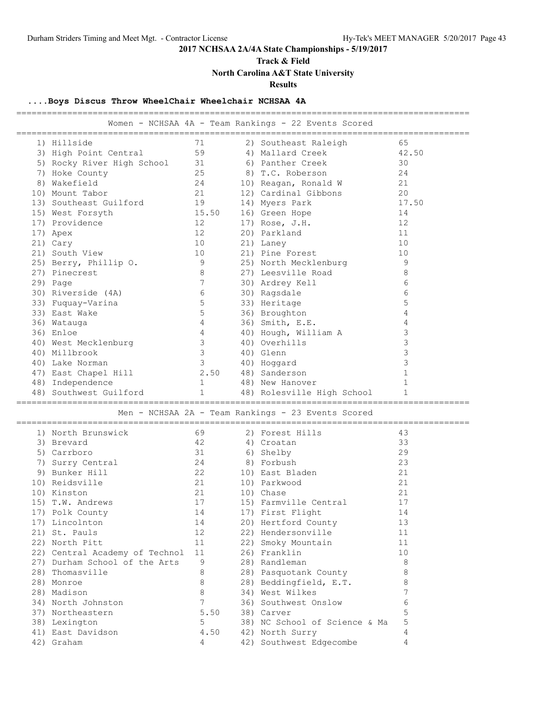**Track & Field**

**North Carolina A&T State University**

**Results**

### **....Boys Discus Throw WheelChair Wheelchair NCHSAA 4A**

| Women - NCHSAA 4A - Team Rankings - 22 Events Scored<br>71<br>2) Southeast Raleigh<br>65<br>1) Hillside<br>59<br>42.50<br>3) High Point Central<br>4) Mallard Creek<br>5) Rocky River High School<br>31<br>6) Panther Creek<br>30<br>7) Hoke County<br>25<br>8) T.C. Roberson<br>24<br>8) Wakefield<br>24<br>10) Reagan, Ronald W<br>21<br>10) Mount Tabor<br>21<br>12) Cardinal Gibbons<br>20<br>19<br>17.50<br>13) Southeast Guilford<br>14) Myers Park<br>15.50<br>16) Green Hope<br>14<br>15) West Forsyth<br>17) Providence<br>12<br>17) Rose, J.H.<br>12<br>$12 \overline{ }$<br>20) Parkland<br>11<br>17) Apex<br>10<br>10<br>21) Cary<br>21) Laney<br>21) South View<br>21) Pine Forest<br>10<br>10<br>25) Berry, Phillip O.<br>9<br>25) North Mecklenburg<br>9<br>8<br>8<br>27) Pinecrest<br>27) Leesville Road<br>$7\phantom{.0}$<br>6<br>29) Page<br>30) Ardrey Kell<br>6<br>30) Riverside (4A)<br>6<br>30) Ragsdale<br>5<br>5<br>33) Fuquay-Varina<br>33) Heritage<br>5<br>36) Broughton<br>33) East Wake<br>4<br>$\overline{4}$<br>4<br>36) Smith, E.E.<br>36) Watauga<br>3<br>$\overline{4}$<br>36) Enloe<br>40) Hough, William A<br>3<br>$\mathcal{S}$<br>40) Overhills<br>40) West Mecklenburg<br>3<br>40) Millbrook<br>$\mathcal{S}$<br>40) Glenn<br>3<br>$\mathcal{S}$<br>40) Lake Norman<br>40) Hoggard<br>$\mathbf{1}$<br>2.50<br>48) Sanderson<br>47) East Chapel Hill<br>48) Independence<br>$\mathbf{1}$<br>48) New Hanover<br>$\mathbf{1}$<br>$\mathbf{1}$<br>$\mathbf{1}$<br>48) Southwest Guilford<br>48) Rolesville High School<br>Men - NCHSAA 2A - Team Rankings - 23 Events Scored<br>69<br>43<br>1) North Brunswick<br>2) Forest Hills<br>42<br>33<br>3) Brevard<br>4) Croatan<br>31<br>29<br>5) Carrboro<br>6) Shelby<br>24<br>23<br>7) Surry Central<br>8) Forbush<br>9) Bunker Hill<br>22<br>10) East Bladen<br>21<br>21<br>21<br>10) Reidsville<br>10) Parkwood<br>21<br>21<br>10) Kinston<br>10) Chase<br>17<br>17<br>15) T.W. Andrews<br>15) Farmville Central<br>14<br>14<br>17) Polk County<br>17) First Flight<br>17) Lincolnton<br>14<br>20) Hertford County<br>13<br>12<br>22) Hendersonville<br>21) St. Pauls<br>11<br>22) North Pitt<br>11<br>22) Smoky Mountain<br>11<br>22) Central Academy of Technol<br>26) Franklin<br>10<br>11<br>27) Durham School of the Arts<br>9<br>28) Randleman<br>8<br>28) Thomasville<br>8<br>8<br>28) Pasquotank County<br>8<br>28) Beddingfield, E.T.<br>8<br>28) Monroe<br>7<br>8<br>34) West Wilkes<br>28) Madison<br>7<br>6<br>34) North Johnston<br>36) Southwest Onslow<br>5<br>37) Northeastern<br>38) Carver<br>5.50<br>5<br>38) NC School of Science & Ma<br>38) Lexington<br>5<br>41) East Davidson<br>4.50<br>42) North Surry<br>4<br>42) Southwest Edgecombe<br>4<br>42) Graham<br>4 |  | ================== | ___________________________________ |
|-----------------------------------------------------------------------------------------------------------------------------------------------------------------------------------------------------------------------------------------------------------------------------------------------------------------------------------------------------------------------------------------------------------------------------------------------------------------------------------------------------------------------------------------------------------------------------------------------------------------------------------------------------------------------------------------------------------------------------------------------------------------------------------------------------------------------------------------------------------------------------------------------------------------------------------------------------------------------------------------------------------------------------------------------------------------------------------------------------------------------------------------------------------------------------------------------------------------------------------------------------------------------------------------------------------------------------------------------------------------------------------------------------------------------------------------------------------------------------------------------------------------------------------------------------------------------------------------------------------------------------------------------------------------------------------------------------------------------------------------------------------------------------------------------------------------------------------------------------------------------------------------------------------------------------------------------------------------------------------------------------------------------------------------------------------------------------------------------------------------------------------------------------------------------------------------------------------------------------------------------------------------------------------------------------------------------------------------------------------------------------------------------------------------------------------------------------------------------------------------------------------------------------------------------------------------------------------------------------------------------------------------------------------------------------------------------------------------------------------------------------------------------------|--|--------------------|-------------------------------------|
|                                                                                                                                                                                                                                                                                                                                                                                                                                                                                                                                                                                                                                                                                                                                                                                                                                                                                                                                                                                                                                                                                                                                                                                                                                                                                                                                                                                                                                                                                                                                                                                                                                                                                                                                                                                                                                                                                                                                                                                                                                                                                                                                                                                                                                                                                                                                                                                                                                                                                                                                                                                                                                                                                                                                                                             |  |                    |                                     |
|                                                                                                                                                                                                                                                                                                                                                                                                                                                                                                                                                                                                                                                                                                                                                                                                                                                                                                                                                                                                                                                                                                                                                                                                                                                                                                                                                                                                                                                                                                                                                                                                                                                                                                                                                                                                                                                                                                                                                                                                                                                                                                                                                                                                                                                                                                                                                                                                                                                                                                                                                                                                                                                                                                                                                                             |  |                    |                                     |
|                                                                                                                                                                                                                                                                                                                                                                                                                                                                                                                                                                                                                                                                                                                                                                                                                                                                                                                                                                                                                                                                                                                                                                                                                                                                                                                                                                                                                                                                                                                                                                                                                                                                                                                                                                                                                                                                                                                                                                                                                                                                                                                                                                                                                                                                                                                                                                                                                                                                                                                                                                                                                                                                                                                                                                             |  |                    |                                     |
|                                                                                                                                                                                                                                                                                                                                                                                                                                                                                                                                                                                                                                                                                                                                                                                                                                                                                                                                                                                                                                                                                                                                                                                                                                                                                                                                                                                                                                                                                                                                                                                                                                                                                                                                                                                                                                                                                                                                                                                                                                                                                                                                                                                                                                                                                                                                                                                                                                                                                                                                                                                                                                                                                                                                                                             |  |                    |                                     |
|                                                                                                                                                                                                                                                                                                                                                                                                                                                                                                                                                                                                                                                                                                                                                                                                                                                                                                                                                                                                                                                                                                                                                                                                                                                                                                                                                                                                                                                                                                                                                                                                                                                                                                                                                                                                                                                                                                                                                                                                                                                                                                                                                                                                                                                                                                                                                                                                                                                                                                                                                                                                                                                                                                                                                                             |  |                    |                                     |
|                                                                                                                                                                                                                                                                                                                                                                                                                                                                                                                                                                                                                                                                                                                                                                                                                                                                                                                                                                                                                                                                                                                                                                                                                                                                                                                                                                                                                                                                                                                                                                                                                                                                                                                                                                                                                                                                                                                                                                                                                                                                                                                                                                                                                                                                                                                                                                                                                                                                                                                                                                                                                                                                                                                                                                             |  |                    |                                     |
|                                                                                                                                                                                                                                                                                                                                                                                                                                                                                                                                                                                                                                                                                                                                                                                                                                                                                                                                                                                                                                                                                                                                                                                                                                                                                                                                                                                                                                                                                                                                                                                                                                                                                                                                                                                                                                                                                                                                                                                                                                                                                                                                                                                                                                                                                                                                                                                                                                                                                                                                                                                                                                                                                                                                                                             |  |                    |                                     |
|                                                                                                                                                                                                                                                                                                                                                                                                                                                                                                                                                                                                                                                                                                                                                                                                                                                                                                                                                                                                                                                                                                                                                                                                                                                                                                                                                                                                                                                                                                                                                                                                                                                                                                                                                                                                                                                                                                                                                                                                                                                                                                                                                                                                                                                                                                                                                                                                                                                                                                                                                                                                                                                                                                                                                                             |  |                    |                                     |
|                                                                                                                                                                                                                                                                                                                                                                                                                                                                                                                                                                                                                                                                                                                                                                                                                                                                                                                                                                                                                                                                                                                                                                                                                                                                                                                                                                                                                                                                                                                                                                                                                                                                                                                                                                                                                                                                                                                                                                                                                                                                                                                                                                                                                                                                                                                                                                                                                                                                                                                                                                                                                                                                                                                                                                             |  |                    |                                     |
|                                                                                                                                                                                                                                                                                                                                                                                                                                                                                                                                                                                                                                                                                                                                                                                                                                                                                                                                                                                                                                                                                                                                                                                                                                                                                                                                                                                                                                                                                                                                                                                                                                                                                                                                                                                                                                                                                                                                                                                                                                                                                                                                                                                                                                                                                                                                                                                                                                                                                                                                                                                                                                                                                                                                                                             |  |                    |                                     |
|                                                                                                                                                                                                                                                                                                                                                                                                                                                                                                                                                                                                                                                                                                                                                                                                                                                                                                                                                                                                                                                                                                                                                                                                                                                                                                                                                                                                                                                                                                                                                                                                                                                                                                                                                                                                                                                                                                                                                                                                                                                                                                                                                                                                                                                                                                                                                                                                                                                                                                                                                                                                                                                                                                                                                                             |  |                    |                                     |
|                                                                                                                                                                                                                                                                                                                                                                                                                                                                                                                                                                                                                                                                                                                                                                                                                                                                                                                                                                                                                                                                                                                                                                                                                                                                                                                                                                                                                                                                                                                                                                                                                                                                                                                                                                                                                                                                                                                                                                                                                                                                                                                                                                                                                                                                                                                                                                                                                                                                                                                                                                                                                                                                                                                                                                             |  |                    |                                     |
|                                                                                                                                                                                                                                                                                                                                                                                                                                                                                                                                                                                                                                                                                                                                                                                                                                                                                                                                                                                                                                                                                                                                                                                                                                                                                                                                                                                                                                                                                                                                                                                                                                                                                                                                                                                                                                                                                                                                                                                                                                                                                                                                                                                                                                                                                                                                                                                                                                                                                                                                                                                                                                                                                                                                                                             |  |                    |                                     |
|                                                                                                                                                                                                                                                                                                                                                                                                                                                                                                                                                                                                                                                                                                                                                                                                                                                                                                                                                                                                                                                                                                                                                                                                                                                                                                                                                                                                                                                                                                                                                                                                                                                                                                                                                                                                                                                                                                                                                                                                                                                                                                                                                                                                                                                                                                                                                                                                                                                                                                                                                                                                                                                                                                                                                                             |  |                    |                                     |
|                                                                                                                                                                                                                                                                                                                                                                                                                                                                                                                                                                                                                                                                                                                                                                                                                                                                                                                                                                                                                                                                                                                                                                                                                                                                                                                                                                                                                                                                                                                                                                                                                                                                                                                                                                                                                                                                                                                                                                                                                                                                                                                                                                                                                                                                                                                                                                                                                                                                                                                                                                                                                                                                                                                                                                             |  |                    |                                     |
|                                                                                                                                                                                                                                                                                                                                                                                                                                                                                                                                                                                                                                                                                                                                                                                                                                                                                                                                                                                                                                                                                                                                                                                                                                                                                                                                                                                                                                                                                                                                                                                                                                                                                                                                                                                                                                                                                                                                                                                                                                                                                                                                                                                                                                                                                                                                                                                                                                                                                                                                                                                                                                                                                                                                                                             |  |                    |                                     |
|                                                                                                                                                                                                                                                                                                                                                                                                                                                                                                                                                                                                                                                                                                                                                                                                                                                                                                                                                                                                                                                                                                                                                                                                                                                                                                                                                                                                                                                                                                                                                                                                                                                                                                                                                                                                                                                                                                                                                                                                                                                                                                                                                                                                                                                                                                                                                                                                                                                                                                                                                                                                                                                                                                                                                                             |  |                    |                                     |
|                                                                                                                                                                                                                                                                                                                                                                                                                                                                                                                                                                                                                                                                                                                                                                                                                                                                                                                                                                                                                                                                                                                                                                                                                                                                                                                                                                                                                                                                                                                                                                                                                                                                                                                                                                                                                                                                                                                                                                                                                                                                                                                                                                                                                                                                                                                                                                                                                                                                                                                                                                                                                                                                                                                                                                             |  |                    |                                     |
|                                                                                                                                                                                                                                                                                                                                                                                                                                                                                                                                                                                                                                                                                                                                                                                                                                                                                                                                                                                                                                                                                                                                                                                                                                                                                                                                                                                                                                                                                                                                                                                                                                                                                                                                                                                                                                                                                                                                                                                                                                                                                                                                                                                                                                                                                                                                                                                                                                                                                                                                                                                                                                                                                                                                                                             |  |                    |                                     |
|                                                                                                                                                                                                                                                                                                                                                                                                                                                                                                                                                                                                                                                                                                                                                                                                                                                                                                                                                                                                                                                                                                                                                                                                                                                                                                                                                                                                                                                                                                                                                                                                                                                                                                                                                                                                                                                                                                                                                                                                                                                                                                                                                                                                                                                                                                                                                                                                                                                                                                                                                                                                                                                                                                                                                                             |  |                    |                                     |
|                                                                                                                                                                                                                                                                                                                                                                                                                                                                                                                                                                                                                                                                                                                                                                                                                                                                                                                                                                                                                                                                                                                                                                                                                                                                                                                                                                                                                                                                                                                                                                                                                                                                                                                                                                                                                                                                                                                                                                                                                                                                                                                                                                                                                                                                                                                                                                                                                                                                                                                                                                                                                                                                                                                                                                             |  |                    |                                     |
|                                                                                                                                                                                                                                                                                                                                                                                                                                                                                                                                                                                                                                                                                                                                                                                                                                                                                                                                                                                                                                                                                                                                                                                                                                                                                                                                                                                                                                                                                                                                                                                                                                                                                                                                                                                                                                                                                                                                                                                                                                                                                                                                                                                                                                                                                                                                                                                                                                                                                                                                                                                                                                                                                                                                                                             |  |                    |                                     |
|                                                                                                                                                                                                                                                                                                                                                                                                                                                                                                                                                                                                                                                                                                                                                                                                                                                                                                                                                                                                                                                                                                                                                                                                                                                                                                                                                                                                                                                                                                                                                                                                                                                                                                                                                                                                                                                                                                                                                                                                                                                                                                                                                                                                                                                                                                                                                                                                                                                                                                                                                                                                                                                                                                                                                                             |  |                    |                                     |
|                                                                                                                                                                                                                                                                                                                                                                                                                                                                                                                                                                                                                                                                                                                                                                                                                                                                                                                                                                                                                                                                                                                                                                                                                                                                                                                                                                                                                                                                                                                                                                                                                                                                                                                                                                                                                                                                                                                                                                                                                                                                                                                                                                                                                                                                                                                                                                                                                                                                                                                                                                                                                                                                                                                                                                             |  |                    |                                     |
|                                                                                                                                                                                                                                                                                                                                                                                                                                                                                                                                                                                                                                                                                                                                                                                                                                                                                                                                                                                                                                                                                                                                                                                                                                                                                                                                                                                                                                                                                                                                                                                                                                                                                                                                                                                                                                                                                                                                                                                                                                                                                                                                                                                                                                                                                                                                                                                                                                                                                                                                                                                                                                                                                                                                                                             |  |                    |                                     |
|                                                                                                                                                                                                                                                                                                                                                                                                                                                                                                                                                                                                                                                                                                                                                                                                                                                                                                                                                                                                                                                                                                                                                                                                                                                                                                                                                                                                                                                                                                                                                                                                                                                                                                                                                                                                                                                                                                                                                                                                                                                                                                                                                                                                                                                                                                                                                                                                                                                                                                                                                                                                                                                                                                                                                                             |  |                    |                                     |
|                                                                                                                                                                                                                                                                                                                                                                                                                                                                                                                                                                                                                                                                                                                                                                                                                                                                                                                                                                                                                                                                                                                                                                                                                                                                                                                                                                                                                                                                                                                                                                                                                                                                                                                                                                                                                                                                                                                                                                                                                                                                                                                                                                                                                                                                                                                                                                                                                                                                                                                                                                                                                                                                                                                                                                             |  |                    |                                     |
|                                                                                                                                                                                                                                                                                                                                                                                                                                                                                                                                                                                                                                                                                                                                                                                                                                                                                                                                                                                                                                                                                                                                                                                                                                                                                                                                                                                                                                                                                                                                                                                                                                                                                                                                                                                                                                                                                                                                                                                                                                                                                                                                                                                                                                                                                                                                                                                                                                                                                                                                                                                                                                                                                                                                                                             |  |                    |                                     |
|                                                                                                                                                                                                                                                                                                                                                                                                                                                                                                                                                                                                                                                                                                                                                                                                                                                                                                                                                                                                                                                                                                                                                                                                                                                                                                                                                                                                                                                                                                                                                                                                                                                                                                                                                                                                                                                                                                                                                                                                                                                                                                                                                                                                                                                                                                                                                                                                                                                                                                                                                                                                                                                                                                                                                                             |  |                    |                                     |
|                                                                                                                                                                                                                                                                                                                                                                                                                                                                                                                                                                                                                                                                                                                                                                                                                                                                                                                                                                                                                                                                                                                                                                                                                                                                                                                                                                                                                                                                                                                                                                                                                                                                                                                                                                                                                                                                                                                                                                                                                                                                                                                                                                                                                                                                                                                                                                                                                                                                                                                                                                                                                                                                                                                                                                             |  |                    |                                     |
|                                                                                                                                                                                                                                                                                                                                                                                                                                                                                                                                                                                                                                                                                                                                                                                                                                                                                                                                                                                                                                                                                                                                                                                                                                                                                                                                                                                                                                                                                                                                                                                                                                                                                                                                                                                                                                                                                                                                                                                                                                                                                                                                                                                                                                                                                                                                                                                                                                                                                                                                                                                                                                                                                                                                                                             |  |                    |                                     |
|                                                                                                                                                                                                                                                                                                                                                                                                                                                                                                                                                                                                                                                                                                                                                                                                                                                                                                                                                                                                                                                                                                                                                                                                                                                                                                                                                                                                                                                                                                                                                                                                                                                                                                                                                                                                                                                                                                                                                                                                                                                                                                                                                                                                                                                                                                                                                                                                                                                                                                                                                                                                                                                                                                                                                                             |  |                    |                                     |
|                                                                                                                                                                                                                                                                                                                                                                                                                                                                                                                                                                                                                                                                                                                                                                                                                                                                                                                                                                                                                                                                                                                                                                                                                                                                                                                                                                                                                                                                                                                                                                                                                                                                                                                                                                                                                                                                                                                                                                                                                                                                                                                                                                                                                                                                                                                                                                                                                                                                                                                                                                                                                                                                                                                                                                             |  |                    |                                     |
|                                                                                                                                                                                                                                                                                                                                                                                                                                                                                                                                                                                                                                                                                                                                                                                                                                                                                                                                                                                                                                                                                                                                                                                                                                                                                                                                                                                                                                                                                                                                                                                                                                                                                                                                                                                                                                                                                                                                                                                                                                                                                                                                                                                                                                                                                                                                                                                                                                                                                                                                                                                                                                                                                                                                                                             |  |                    |                                     |
|                                                                                                                                                                                                                                                                                                                                                                                                                                                                                                                                                                                                                                                                                                                                                                                                                                                                                                                                                                                                                                                                                                                                                                                                                                                                                                                                                                                                                                                                                                                                                                                                                                                                                                                                                                                                                                                                                                                                                                                                                                                                                                                                                                                                                                                                                                                                                                                                                                                                                                                                                                                                                                                                                                                                                                             |  |                    |                                     |
|                                                                                                                                                                                                                                                                                                                                                                                                                                                                                                                                                                                                                                                                                                                                                                                                                                                                                                                                                                                                                                                                                                                                                                                                                                                                                                                                                                                                                                                                                                                                                                                                                                                                                                                                                                                                                                                                                                                                                                                                                                                                                                                                                                                                                                                                                                                                                                                                                                                                                                                                                                                                                                                                                                                                                                             |  |                    |                                     |
|                                                                                                                                                                                                                                                                                                                                                                                                                                                                                                                                                                                                                                                                                                                                                                                                                                                                                                                                                                                                                                                                                                                                                                                                                                                                                                                                                                                                                                                                                                                                                                                                                                                                                                                                                                                                                                                                                                                                                                                                                                                                                                                                                                                                                                                                                                                                                                                                                                                                                                                                                                                                                                                                                                                                                                             |  |                    |                                     |
|                                                                                                                                                                                                                                                                                                                                                                                                                                                                                                                                                                                                                                                                                                                                                                                                                                                                                                                                                                                                                                                                                                                                                                                                                                                                                                                                                                                                                                                                                                                                                                                                                                                                                                                                                                                                                                                                                                                                                                                                                                                                                                                                                                                                                                                                                                                                                                                                                                                                                                                                                                                                                                                                                                                                                                             |  |                    |                                     |
|                                                                                                                                                                                                                                                                                                                                                                                                                                                                                                                                                                                                                                                                                                                                                                                                                                                                                                                                                                                                                                                                                                                                                                                                                                                                                                                                                                                                                                                                                                                                                                                                                                                                                                                                                                                                                                                                                                                                                                                                                                                                                                                                                                                                                                                                                                                                                                                                                                                                                                                                                                                                                                                                                                                                                                             |  |                    |                                     |
|                                                                                                                                                                                                                                                                                                                                                                                                                                                                                                                                                                                                                                                                                                                                                                                                                                                                                                                                                                                                                                                                                                                                                                                                                                                                                                                                                                                                                                                                                                                                                                                                                                                                                                                                                                                                                                                                                                                                                                                                                                                                                                                                                                                                                                                                                                                                                                                                                                                                                                                                                                                                                                                                                                                                                                             |  |                    |                                     |
|                                                                                                                                                                                                                                                                                                                                                                                                                                                                                                                                                                                                                                                                                                                                                                                                                                                                                                                                                                                                                                                                                                                                                                                                                                                                                                                                                                                                                                                                                                                                                                                                                                                                                                                                                                                                                                                                                                                                                                                                                                                                                                                                                                                                                                                                                                                                                                                                                                                                                                                                                                                                                                                                                                                                                                             |  |                    |                                     |
|                                                                                                                                                                                                                                                                                                                                                                                                                                                                                                                                                                                                                                                                                                                                                                                                                                                                                                                                                                                                                                                                                                                                                                                                                                                                                                                                                                                                                                                                                                                                                                                                                                                                                                                                                                                                                                                                                                                                                                                                                                                                                                                                                                                                                                                                                                                                                                                                                                                                                                                                                                                                                                                                                                                                                                             |  |                    |                                     |
|                                                                                                                                                                                                                                                                                                                                                                                                                                                                                                                                                                                                                                                                                                                                                                                                                                                                                                                                                                                                                                                                                                                                                                                                                                                                                                                                                                                                                                                                                                                                                                                                                                                                                                                                                                                                                                                                                                                                                                                                                                                                                                                                                                                                                                                                                                                                                                                                                                                                                                                                                                                                                                                                                                                                                                             |  |                    |                                     |
|                                                                                                                                                                                                                                                                                                                                                                                                                                                                                                                                                                                                                                                                                                                                                                                                                                                                                                                                                                                                                                                                                                                                                                                                                                                                                                                                                                                                                                                                                                                                                                                                                                                                                                                                                                                                                                                                                                                                                                                                                                                                                                                                                                                                                                                                                                                                                                                                                                                                                                                                                                                                                                                                                                                                                                             |  |                    |                                     |
|                                                                                                                                                                                                                                                                                                                                                                                                                                                                                                                                                                                                                                                                                                                                                                                                                                                                                                                                                                                                                                                                                                                                                                                                                                                                                                                                                                                                                                                                                                                                                                                                                                                                                                                                                                                                                                                                                                                                                                                                                                                                                                                                                                                                                                                                                                                                                                                                                                                                                                                                                                                                                                                                                                                                                                             |  |                    |                                     |
|                                                                                                                                                                                                                                                                                                                                                                                                                                                                                                                                                                                                                                                                                                                                                                                                                                                                                                                                                                                                                                                                                                                                                                                                                                                                                                                                                                                                                                                                                                                                                                                                                                                                                                                                                                                                                                                                                                                                                                                                                                                                                                                                                                                                                                                                                                                                                                                                                                                                                                                                                                                                                                                                                                                                                                             |  |                    |                                     |
|                                                                                                                                                                                                                                                                                                                                                                                                                                                                                                                                                                                                                                                                                                                                                                                                                                                                                                                                                                                                                                                                                                                                                                                                                                                                                                                                                                                                                                                                                                                                                                                                                                                                                                                                                                                                                                                                                                                                                                                                                                                                                                                                                                                                                                                                                                                                                                                                                                                                                                                                                                                                                                                                                                                                                                             |  |                    |                                     |
|                                                                                                                                                                                                                                                                                                                                                                                                                                                                                                                                                                                                                                                                                                                                                                                                                                                                                                                                                                                                                                                                                                                                                                                                                                                                                                                                                                                                                                                                                                                                                                                                                                                                                                                                                                                                                                                                                                                                                                                                                                                                                                                                                                                                                                                                                                                                                                                                                                                                                                                                                                                                                                                                                                                                                                             |  |                    |                                     |
|                                                                                                                                                                                                                                                                                                                                                                                                                                                                                                                                                                                                                                                                                                                                                                                                                                                                                                                                                                                                                                                                                                                                                                                                                                                                                                                                                                                                                                                                                                                                                                                                                                                                                                                                                                                                                                                                                                                                                                                                                                                                                                                                                                                                                                                                                                                                                                                                                                                                                                                                                                                                                                                                                                                                                                             |  |                    |                                     |
|                                                                                                                                                                                                                                                                                                                                                                                                                                                                                                                                                                                                                                                                                                                                                                                                                                                                                                                                                                                                                                                                                                                                                                                                                                                                                                                                                                                                                                                                                                                                                                                                                                                                                                                                                                                                                                                                                                                                                                                                                                                                                                                                                                                                                                                                                                                                                                                                                                                                                                                                                                                                                                                                                                                                                                             |  |                    |                                     |
|                                                                                                                                                                                                                                                                                                                                                                                                                                                                                                                                                                                                                                                                                                                                                                                                                                                                                                                                                                                                                                                                                                                                                                                                                                                                                                                                                                                                                                                                                                                                                                                                                                                                                                                                                                                                                                                                                                                                                                                                                                                                                                                                                                                                                                                                                                                                                                                                                                                                                                                                                                                                                                                                                                                                                                             |  |                    |                                     |
|                                                                                                                                                                                                                                                                                                                                                                                                                                                                                                                                                                                                                                                                                                                                                                                                                                                                                                                                                                                                                                                                                                                                                                                                                                                                                                                                                                                                                                                                                                                                                                                                                                                                                                                                                                                                                                                                                                                                                                                                                                                                                                                                                                                                                                                                                                                                                                                                                                                                                                                                                                                                                                                                                                                                                                             |  |                    |                                     |